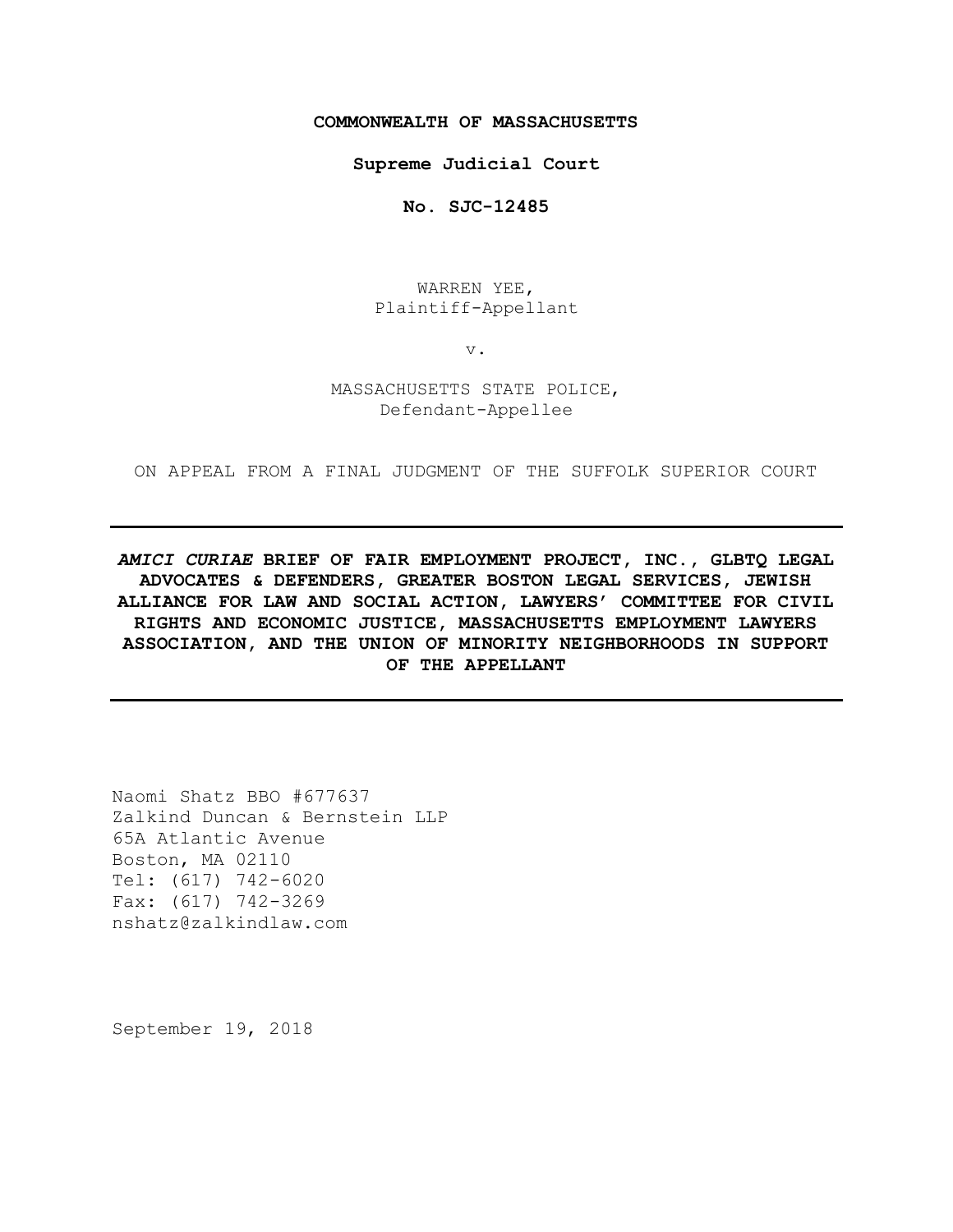### **COMMONWEALTH OF MASSACHUSETTS**

**Supreme Judicial Court**

**No. SJC-12485**

WARREN YEE, Plaintiff-Appellant

v.

### MASSACHUSETTS STATE POLICE, Defendant-Appellee

ON APPEAL FROM A FINAL JUDGMENT OF THE SUFFOLK SUPERIOR COURT

*AMICI CURIAE* **BRIEF OF FAIR EMPLOYMENT PROJECT, INC., GLBTQ LEGAL ADVOCATES & DEFENDERS, GREATER BOSTON LEGAL SERVICES, JEWISH ALLIANCE FOR LAW AND SOCIAL ACTION, LAWYERS' COMMITTEE FOR CIVIL RIGHTS AND ECONOMIC JUSTICE, MASSACHUSETTS EMPLOYMENT LAWYERS ASSOCIATION, AND THE UNION OF MINORITY NEIGHBORHOODS IN SUPPORT OF THE APPELLANT**

Naomi Shatz BBO #677637 Zalkind Duncan & Bernstein LLP 65A Atlantic Avenue Boston, MA 02110 Tel: (617) 742-6020 Fax: (617) 742-3269 nshatz@zalkindlaw.com

September 19, 2018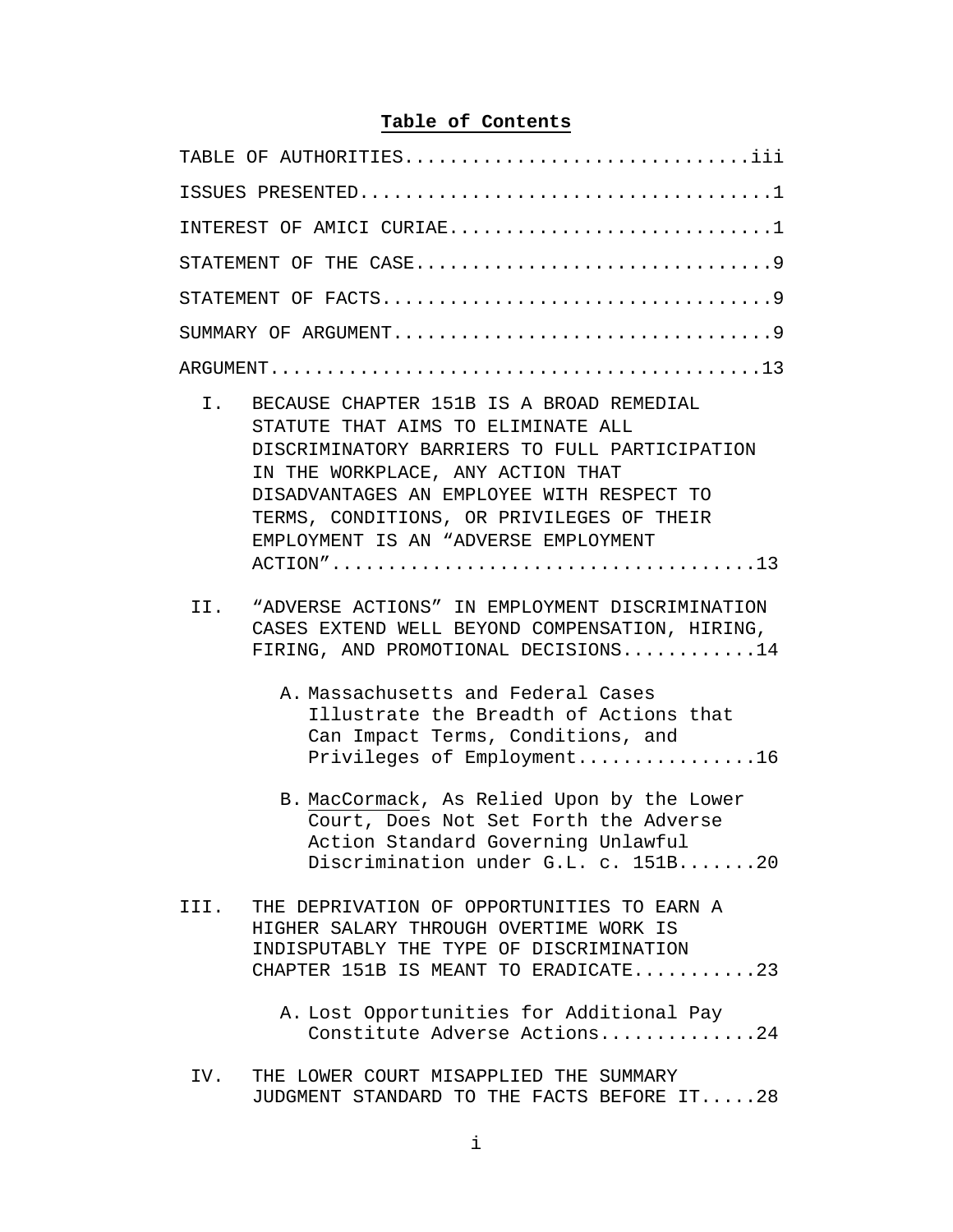# **Table of Contents**

| TABLE OF AUTHORITIESiii                                                                                                                                                                                                                                                                                         |  |  |  |  |  |  |  |  |  |  |  |  |
|-----------------------------------------------------------------------------------------------------------------------------------------------------------------------------------------------------------------------------------------------------------------------------------------------------------------|--|--|--|--|--|--|--|--|--|--|--|--|
|                                                                                                                                                                                                                                                                                                                 |  |  |  |  |  |  |  |  |  |  |  |  |
| INTEREST OF AMICI CURIAE1                                                                                                                                                                                                                                                                                       |  |  |  |  |  |  |  |  |  |  |  |  |
|                                                                                                                                                                                                                                                                                                                 |  |  |  |  |  |  |  |  |  |  |  |  |
|                                                                                                                                                                                                                                                                                                                 |  |  |  |  |  |  |  |  |  |  |  |  |
|                                                                                                                                                                                                                                                                                                                 |  |  |  |  |  |  |  |  |  |  |  |  |
|                                                                                                                                                                                                                                                                                                                 |  |  |  |  |  |  |  |  |  |  |  |  |
| $I$ .<br>BECAUSE CHAPTER 151B IS A BROAD REMEDIAL<br>STATUTE THAT AIMS TO ELIMINATE ALL<br>DISCRIMINATORY BARRIERS TO FULL PARTICIPATION<br>IN THE WORKPLACE, ANY ACTION THAT<br>DISADVANTAGES AN EMPLOYEE WITH RESPECT TO<br>TERMS, CONDITIONS, OR PRIVILEGES OF THEIR<br>EMPLOYMENT IS AN "ADVERSE EMPLOYMENT |  |  |  |  |  |  |  |  |  |  |  |  |
| "ADVERSE ACTIONS" IN EMPLOYMENT DISCRIMINATION<br>II.<br>CASES EXTEND WELL BEYOND COMPENSATION, HIRING,<br>FIRING, AND PROMOTIONAL DECISIONS14<br>A. Massachusetts and Federal Cases                                                                                                                            |  |  |  |  |  |  |  |  |  |  |  |  |
| Illustrate the Breadth of Actions that<br>Can Impact Terms, Conditions, and<br>Privileges of Employment16                                                                                                                                                                                                       |  |  |  |  |  |  |  |  |  |  |  |  |
| B. MacCormack, As Relied Upon by the Lower<br>Court, Does Not Set Forth the Adverse<br>Action Standard Governing Unlawful<br>Discrimination under G.L. c. 151B20                                                                                                                                                |  |  |  |  |  |  |  |  |  |  |  |  |
| III. THE DEPRIVATION OF OPPORTUNITIES TO EARN A<br>HIGHER SALARY THROUGH OVERTIME WORK IS<br>INDISPUTABLY THE TYPE OF DISCRIMINATION<br>CHAPTER 151B IS MEANT TO ERADICATE23                                                                                                                                    |  |  |  |  |  |  |  |  |  |  |  |  |
| A. Lost Opportunities for Additional Pay<br>Constitute Adverse Actions24                                                                                                                                                                                                                                        |  |  |  |  |  |  |  |  |  |  |  |  |
| IV. THE LOWER COURT MISAPPLIED THE SUMMARY                                                                                                                                                                                                                                                                      |  |  |  |  |  |  |  |  |  |  |  |  |

JUDGMENT STANDARD TO THE FACTS BEFORE IT.....28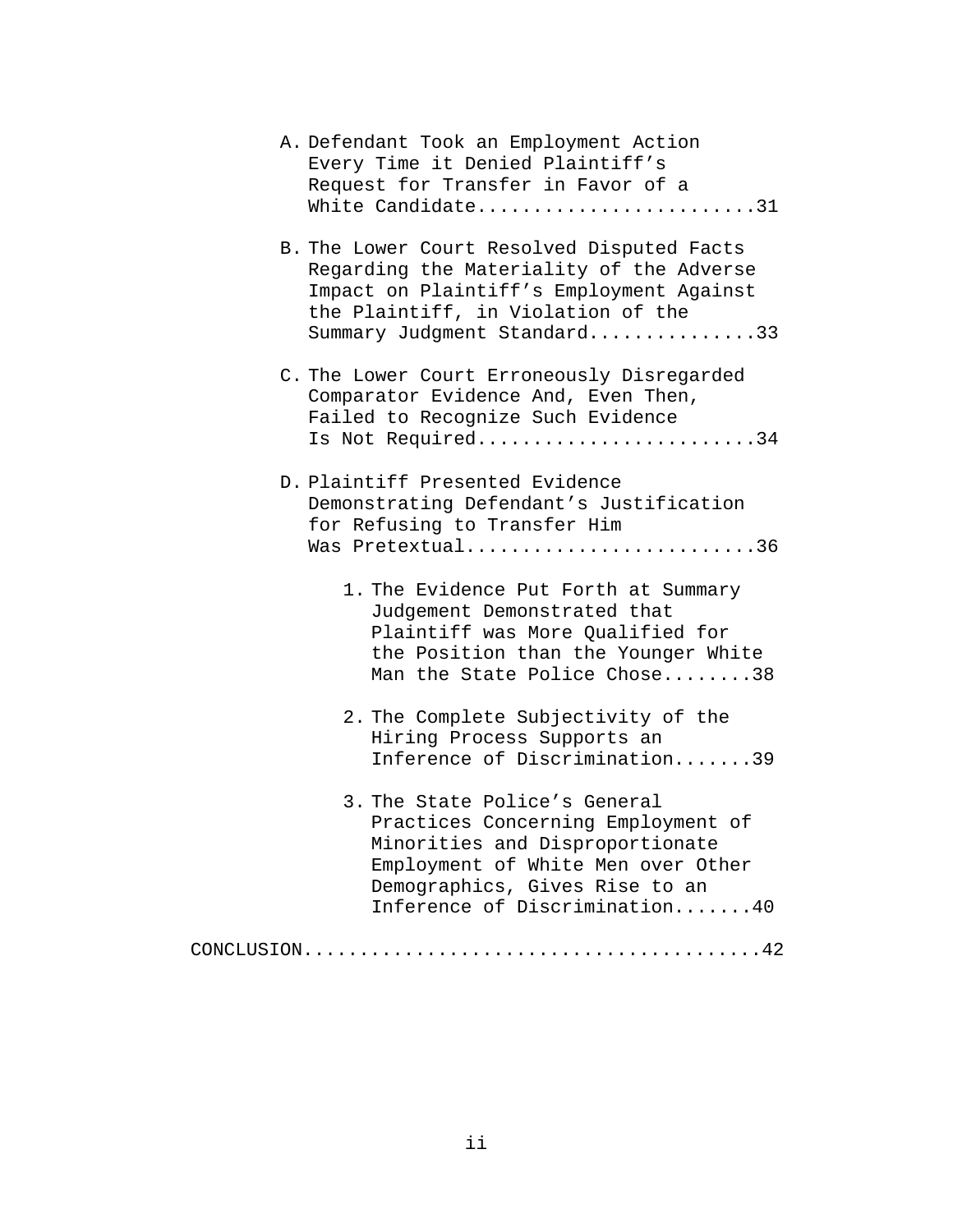| A. Defendant Took an Employment Action<br>Every Time it Denied Plaintiff's<br>Request for Transfer in Favor of a<br>White Candidate31                                                                           |  |
|-----------------------------------------------------------------------------------------------------------------------------------------------------------------------------------------------------------------|--|
| B. The Lower Court Resolved Disputed Facts<br>Regarding the Materiality of the Adverse<br>Impact on Plaintiff's Employment Against<br>the Plaintiff, in Violation of the<br>Summary Judgment Standard33         |  |
| C. The Lower Court Erroneously Disregarded<br>Comparator Evidence And, Even Then,<br>Failed to Recognize Such Evidence<br>Is Not Required34                                                                     |  |
| D. Plaintiff Presented Evidence<br>Demonstrating Defendant's Justification<br>for Refusing to Transfer Him<br>Was Pretextual36                                                                                  |  |
| 1. The Evidence Put Forth at Summary<br>Judgement Demonstrated that<br>Plaintiff was More Qualified for<br>the Position than the Younger White<br>Man the State Police Chose38                                  |  |
| 2. The Complete Subjectivity of the<br>Hiring Process Supports an<br>Inference of Discrimination39                                                                                                              |  |
| 3. The State Police's General<br>Practices Concerning Employment of<br>Minorities and Disproportionate<br>Employment of White Men over Other<br>Demographics, Gives Rise to an<br>Inference of Discrimination40 |  |
|                                                                                                                                                                                                                 |  |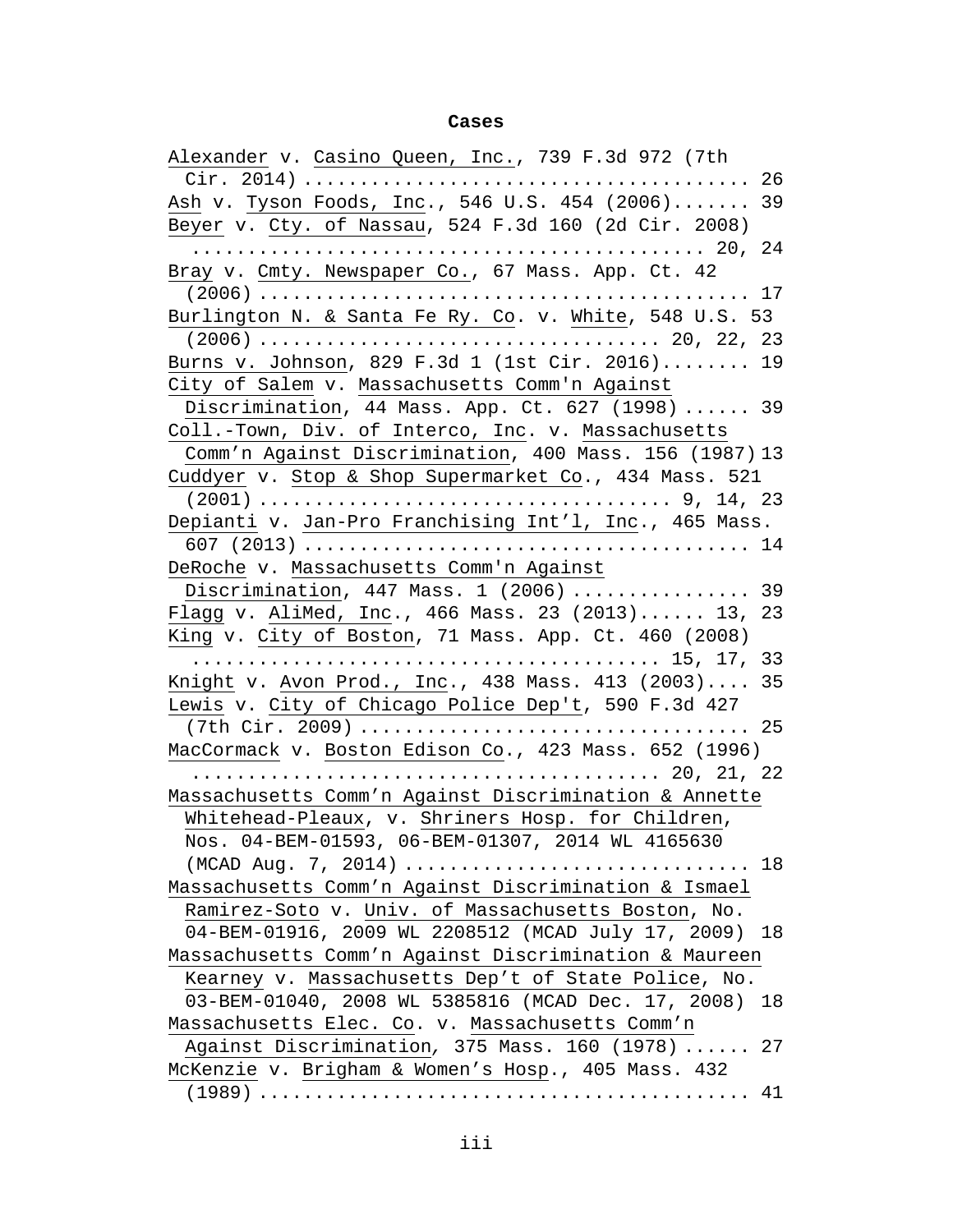### **Cases**

| Alexander v. Casino Queen, Inc., 739 F.3d 972 (7th     |    |
|--------------------------------------------------------|----|
|                                                        |    |
| Ash v. Tyson Foods, Inc., 546 U.S. 454 (2006)          | 39 |
| Beyer v. Cty. of Nassau, 524 F.3d 160 (2d Cir. 2008)   |    |
|                                                        | 24 |
| Bray v. Cmty. Newspaper Co., 67 Mass. App. Ct. 42      |    |
|                                                        |    |
| Burlington N. & Santa Fe Ry. Co. v. White, 548 U.S. 53 |    |
|                                                        |    |
| Burns v. Johnson, 829 F.3d 1 (1st Cir. 2016) 19        |    |
| City of Salem v. Massachusetts Comm'n Against          |    |
| Discrimination, 44 Mass. App. Ct. 627 (1998)  39       |    |
| Coll.-Town, Div. of Interco, Inc. v. Massachusetts     |    |
| Comm'n Against Discrimination, 400 Mass. 156 (1987) 13 |    |
| Cuddyer v. Stop & Shop Supermarket Co., 434 Mass. 521  |    |
|                                                        |    |
| Depianti v. Jan-Pro Franchising Int'l, Inc., 465 Mass. |    |
|                                                        |    |
| DeRoche v. Massachusetts Comm'n Against                |    |
| Discrimination, $447$ Mass. 1 $(2006)$ 39              |    |
| Flagg v. AliMed, Inc., 466 Mass. 23 (2013) 13, 23      |    |
| King v. City of Boston, 71 Mass. App. Ct. 460 (2008)   |    |
|                                                        |    |
| Knight v. Avon Prod., Inc., 438 Mass. 413 (2003)       | 35 |
| Lewis v. City of Chicago Police Dep't, 590 F.3d 427    |    |
|                                                        |    |
| MacCormack v. Boston Edison Co., 423 Mass. 652 (1996)  |    |
| 20, 21, 22                                             |    |
| Massachusetts Comm'n Against Discrimination & Annette  |    |
| Whitehead-Pleaux, v. Shriners Hosp. for Children,      |    |
| Nos. 04-BEM-01593, 06-BEM-01307, 2014 WL 4165630       |    |
|                                                        |    |
| Massachusetts Comm'n Against Discrimination & Ismael   |    |
| Ramirez-Soto v. Univ. of Massachusetts Boston, No.     |    |
| 04-BEM-01916, 2009 WL 2208512 (MCAD July 17, 2009)     | 18 |
| Massachusetts Comm'n Against Discrimination & Maureen  |    |
| Kearney v. Massachusetts Dep't of State Police, No.    |    |
| 03-BEM-01040, 2008 WL 5385816 (MCAD Dec. 17, 2008)     | 18 |
| Massachusetts Elec. Co. v. Massachusetts Comm'n        |    |
| Against Discrimination, 375 Mass. 160 (1978)           | 27 |
| McKenzie v. Brigham & Women's Hosp., 405 Mass. 432     |    |
|                                                        | 41 |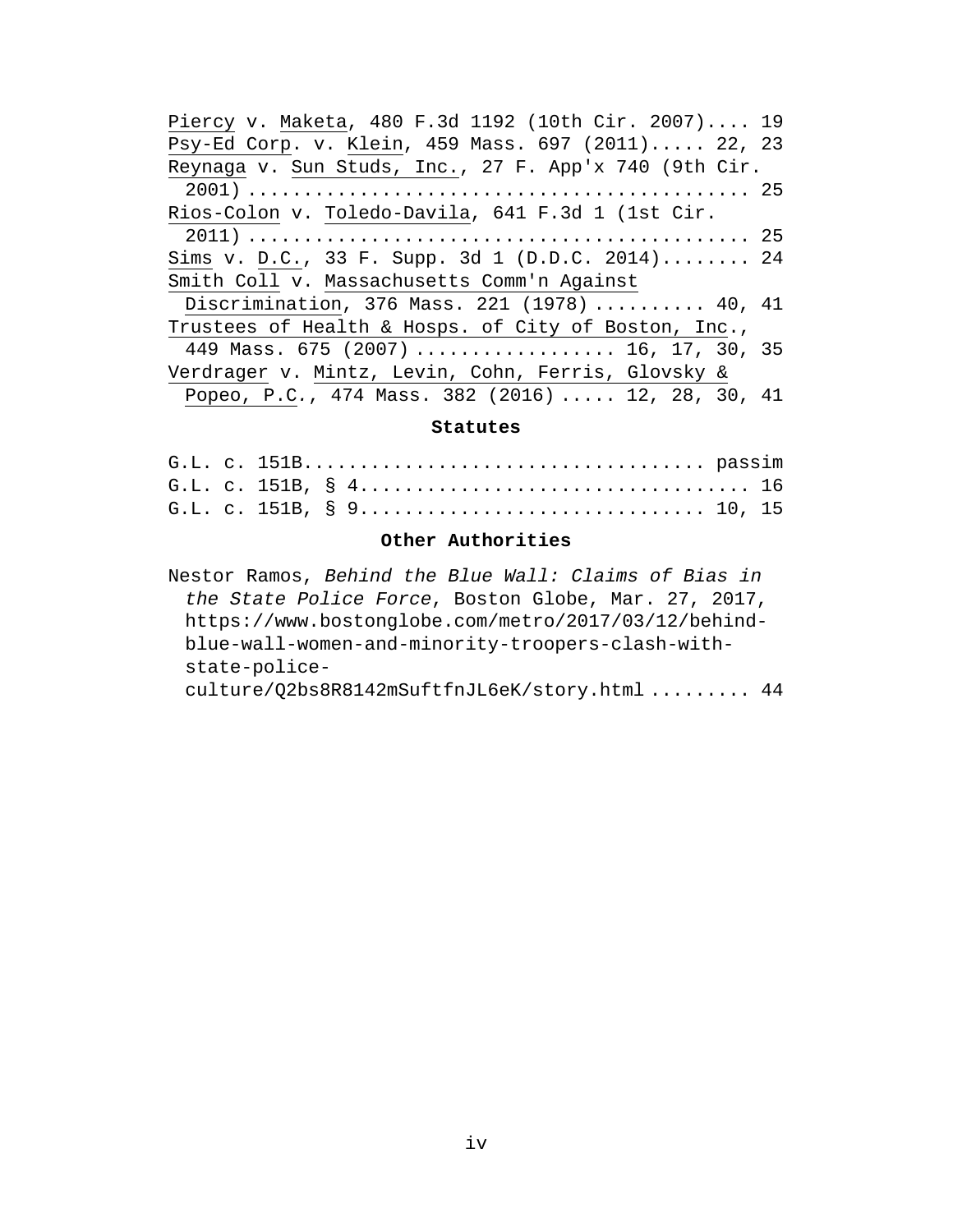| Piercy v. Maketa, 480 F.3d 1192 (10th Cir. 2007) 19   |  |
|-------------------------------------------------------|--|
| Psy-Ed Corp. v. Klein, 459 Mass. 697 (2011) 22, 23    |  |
| Reynaga v. Sun Studs, Inc., 27 F. App'x 740 (9th Cir. |  |
|                                                       |  |
| Rios-Colon v. Toledo-Davila, 641 F.3d 1 (1st Cir.     |  |
|                                                       |  |
| Sims v. D.C., 33 F. Supp. 3d 1 (D.D.C. 2014) 24       |  |
| Smith Coll v. Massachusetts Comm'n Against            |  |
| Discrimination, 376 Mass. 221 (1978)  40, 41          |  |
| Trustees of Health & Hosps. of City of Boston, Inc.,  |  |
| 449 Mass. 675 (2007)  16, 17, 30, 35                  |  |
| Verdrager v. Mintz, Levin, Cohn, Ferris, Glovsky &    |  |
| Popeo, P.C., 474 Mass. 382 (2016)  12, 28, 30, 41     |  |

### **Statutes**

### **Other Authorities**

Nestor Ramos, *Behind the Blue Wall: Claims of Bias in the State Police Force*, Boston Globe, Mar. 27, 2017, https://www.bostonglobe.com/metro/2017/03/12/behindblue-wall-women-and-minority-troopers-clash-withstate-policeculture/Q2bs8R8142mSuftfnJL6eK/story.html ......... 44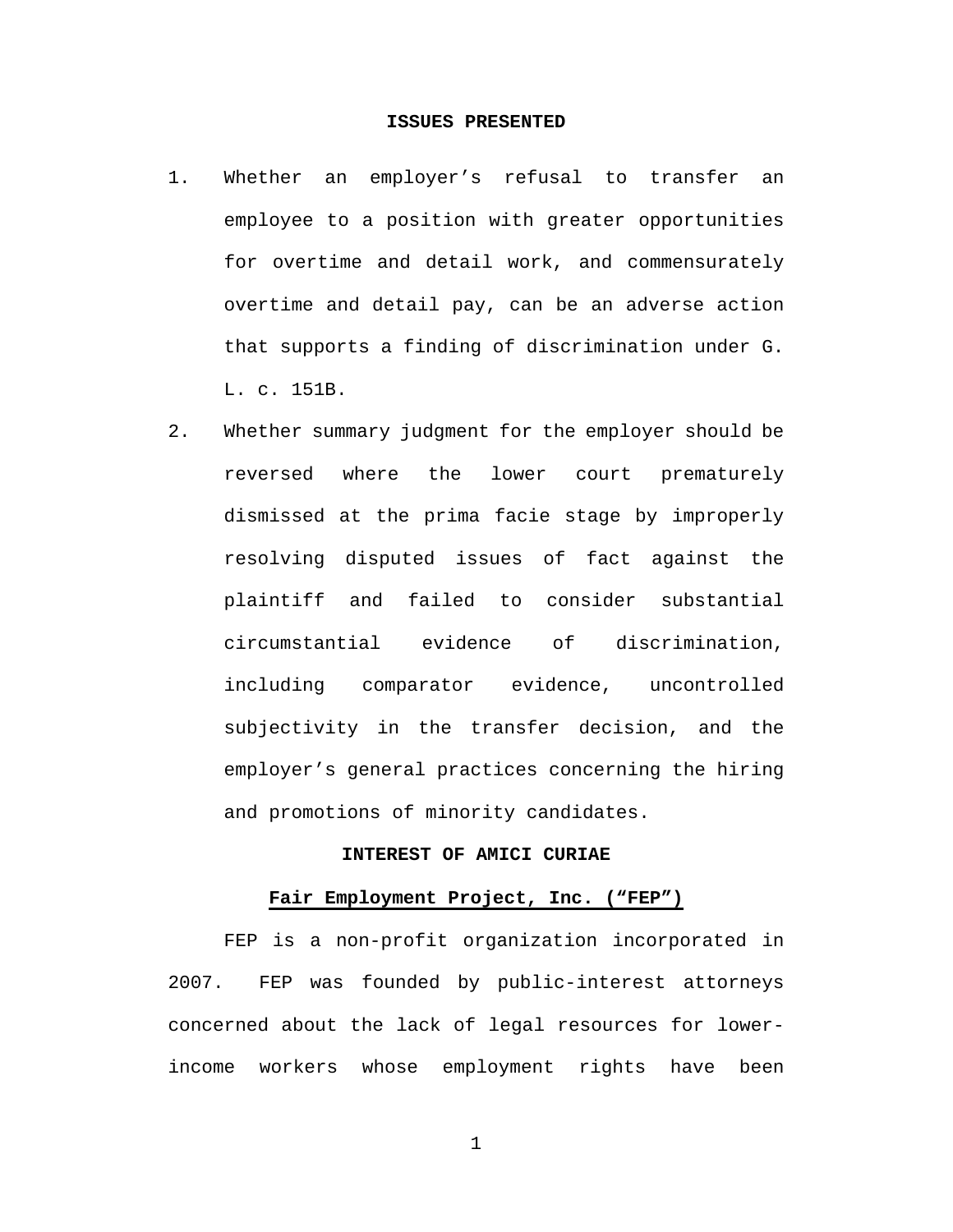### **ISSUES PRESENTED**

- 1. Whether an employer's refusal to transfer an employee to a position with greater opportunities for overtime and detail work, and commensurately overtime and detail pay, can be an adverse action that supports a finding of discrimination under G. L. c. 151B.
- 2. Whether summary judgment for the employer should be reversed where the lower court prematurely dismissed at the prima facie stage by improperly resolving disputed issues of fact against the plaintiff and failed to consider substantial circumstantial evidence of discrimination, including comparator evidence, uncontrolled subjectivity in the transfer decision, and the employer's general practices concerning the hiring and promotions of minority candidates.

### **INTEREST OF AMICI CURIAE**

#### **Fair Employment Project, Inc. ("FEP")**

FEP is a non-profit organization incorporated in 2007. FEP was founded by public-interest attorneys concerned about the lack of legal resources for lowerincome workers whose employment rights have been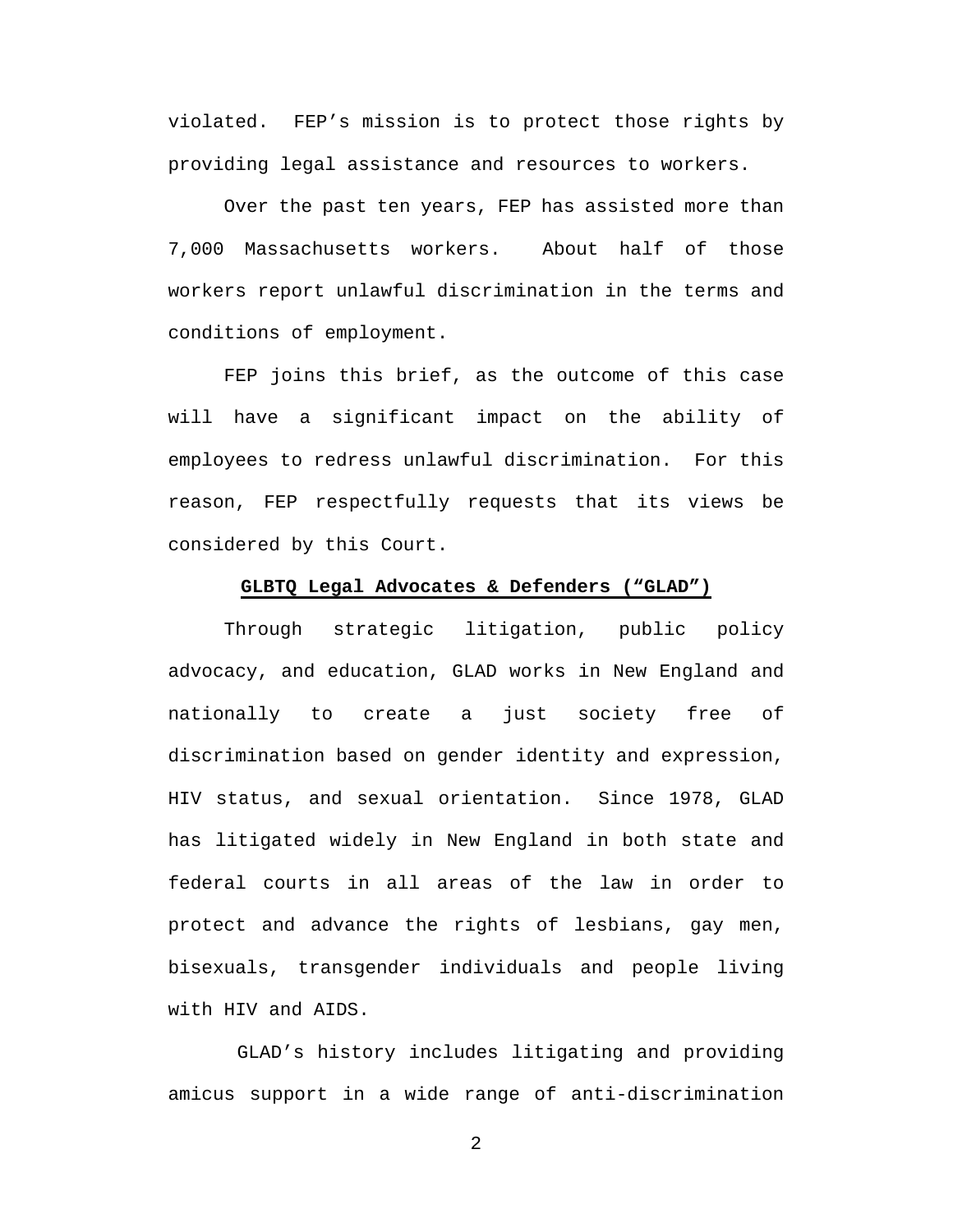violated. FEP's mission is to protect those rights by providing legal assistance and resources to workers.

Over the past ten years, FEP has assisted more than 7,000 Massachusetts workers. About half of those workers report unlawful discrimination in the terms and conditions of employment.

FEP joins this brief, as the outcome of this case will have a significant impact on the ability of employees to redress unlawful discrimination. For this reason, FEP respectfully requests that its views be considered by this Court.

### **GLBTQ Legal Advocates & Defenders ("GLAD")**

Through strategic litigation, public policy advocacy, and education, GLAD works in New England and nationally to create a just society free of discrimination based on gender identity and expression, HIV status, and sexual orientation. Since 1978, GLAD has litigated widely in New England in both state and federal courts in all areas of the law in order to protect and advance the rights of lesbians, gay men, bisexuals, transgender individuals and people living with HIV and AIDS.

 GLAD's history includes litigating and providing amicus support in a wide range of anti-discrimination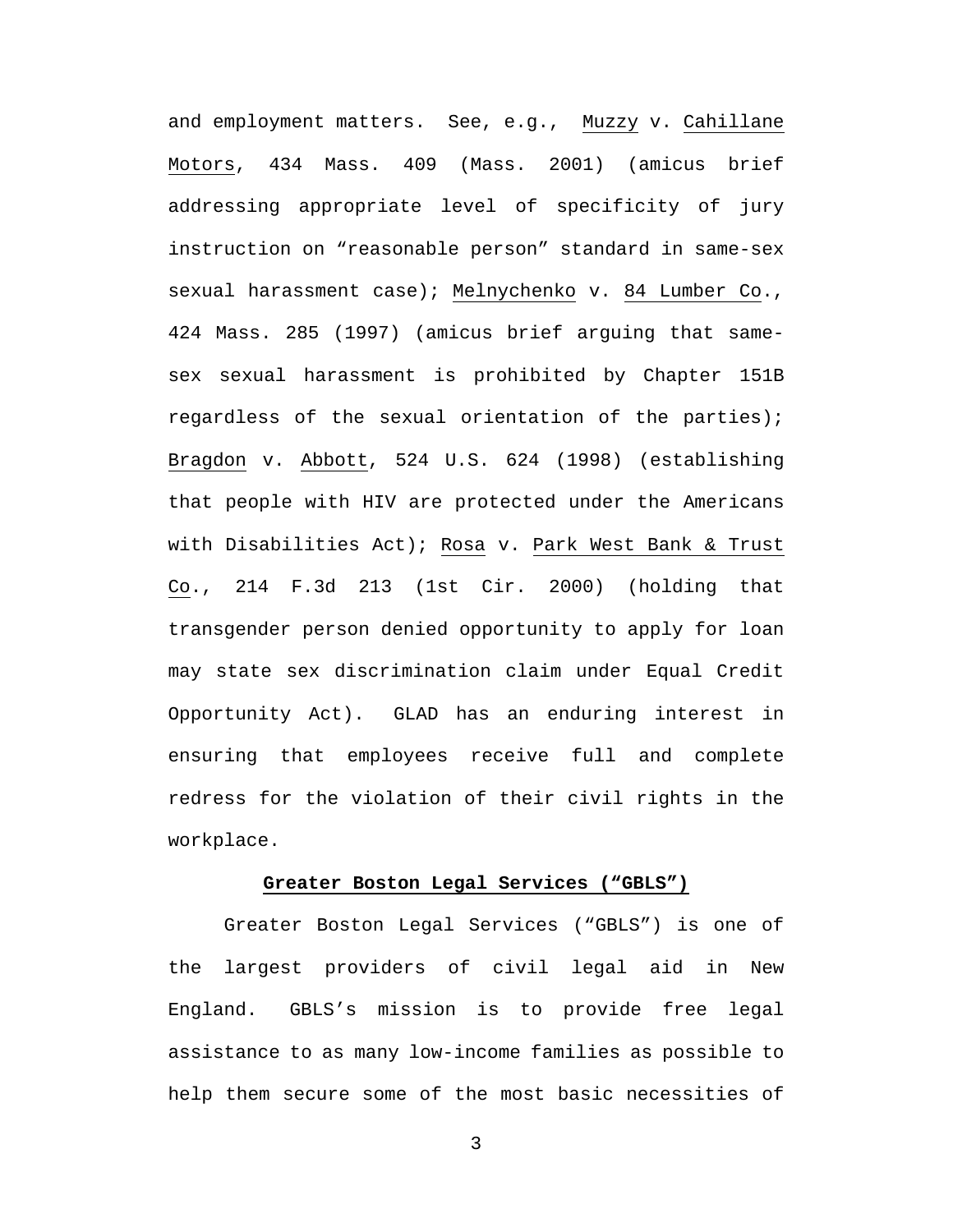and employment matters. See, e.g., Muzzy v. Cahillane Motors, 434 Mass. 409 (Mass. 2001) (amicus brief addressing appropriate level of specificity of jury instruction on "reasonable person" standard in same-sex sexual harassment case); Melnychenko v. 84 Lumber Co., 424 Mass. 285 (1997) (amicus brief arguing that samesex sexual harassment is prohibited by Chapter 151B regardless of the sexual orientation of the parties); Bragdon v. Abbott, 524 U.S. 624 (1998) (establishing that people with HIV are protected under the Americans with Disabilities Act); Rosa v. Park West Bank & Trust Co., 214 F.3d 213 (1st Cir. 2000) (holding that transgender person denied opportunity to apply for loan may state sex discrimination claim under Equal Credit Opportunity Act). GLAD has an enduring interest in ensuring that employees receive full and complete redress for the violation of their civil rights in the workplace.

#### **Greater Boston Legal Services ("GBLS")**

Greater Boston Legal Services ("GBLS") is one of the largest providers of civil legal aid in New England. GBLS's mission is to provide free legal assistance to as many low-income families as possible to help them secure some of the most basic necessities of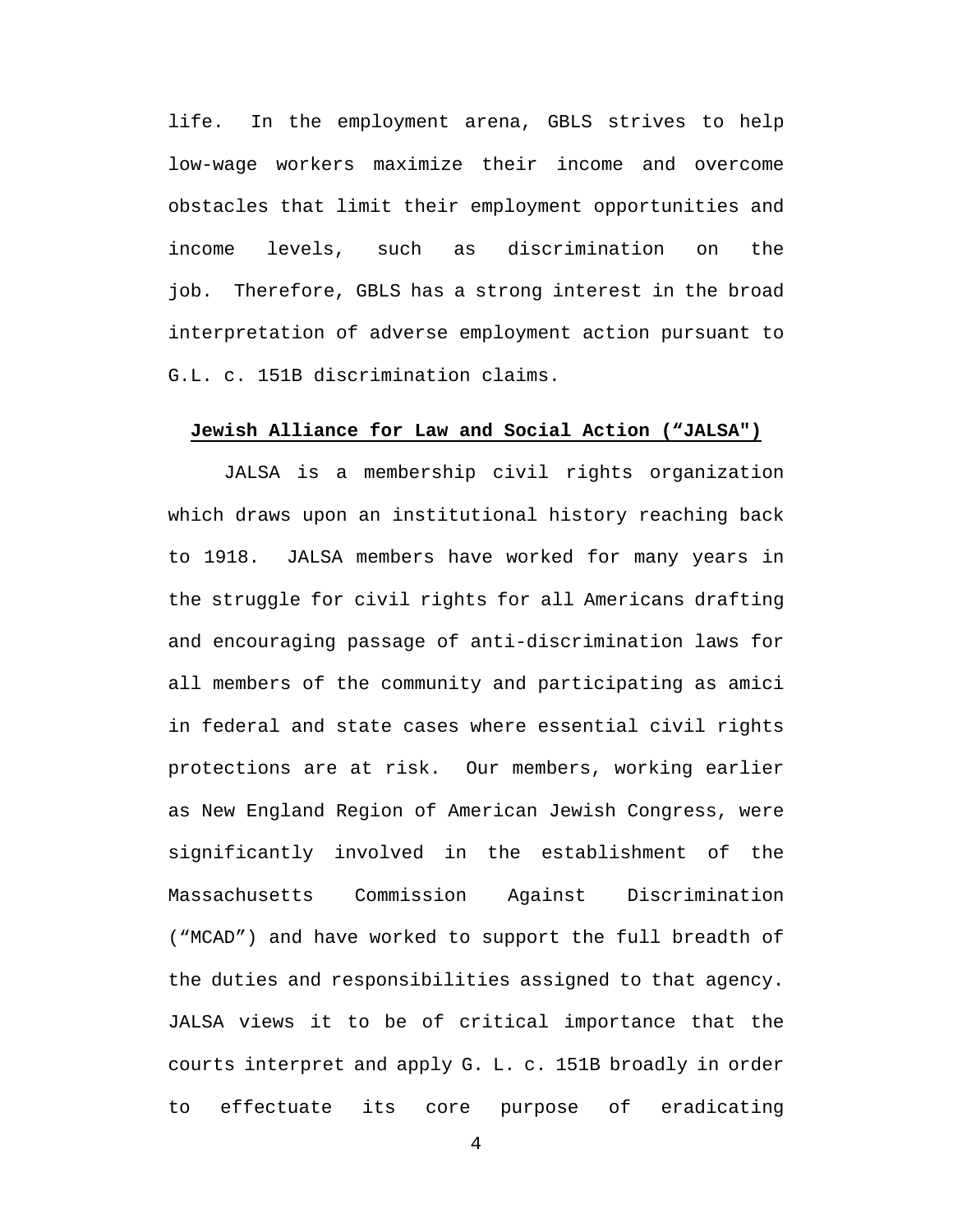life. In the employment arena, GBLS strives to help low-wage workers maximize their income and overcome obstacles that limit their employment opportunities and income levels, such as discrimination on the job. Therefore, GBLS has a strong interest in the broad interpretation of adverse employment action pursuant to G.L. c. 151B discrimination claims.

#### **Jewish Alliance for Law and Social Action ("JALSA")**

JALSA is a membership civil rights organization which draws upon an institutional history reaching back to 1918. JALSA members have worked for many years in the struggle for civil rights for all Americans drafting and encouraging passage of anti-discrimination laws for all members of the community and participating as amici in federal and state cases where essential civil rights protections are at risk. Our members, working earlier as New England Region of American Jewish Congress, were significantly involved in the establishment of the Massachusetts Commission Against Discrimination ("MCAD") and have worked to support the full breadth of the duties and responsibilities assigned to that agency. JALSA views it to be of critical importance that the courts interpret and apply G. L. c. 151B broadly in order to effectuate its core purpose of eradicating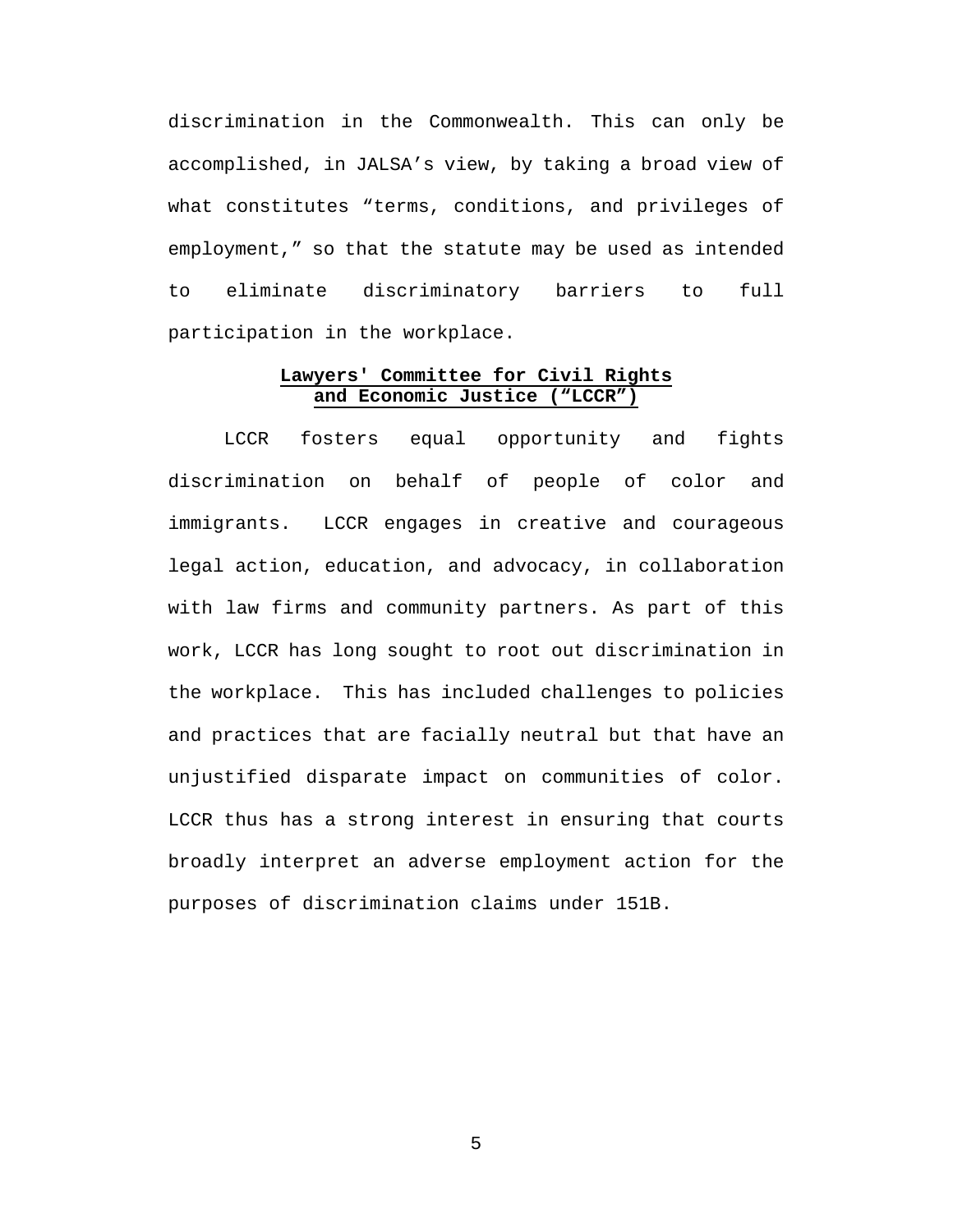discrimination in the Commonwealth. This can only be accomplished, in JALSA's view, by taking a broad view of what constitutes "terms, conditions, and privileges of employment," so that the statute may be used as intended to eliminate discriminatory barriers to full participation in the workplace.

## **Lawyers' Committee for Civil Rights and Economic Justice ("LCCR")**

LCCR fosters equal opportunity and fights discrimination on behalf of people of color and immigrants. LCCR engages in creative and courageous legal action, education, and advocacy, in collaboration with law firms and community partners. As part of this work, LCCR has long sought to root out discrimination in the workplace. This has included challenges to policies and practices that are facially neutral but that have an unjustified disparate impact on communities of color. LCCR thus has a strong interest in ensuring that courts broadly interpret an adverse employment action for the purposes of discrimination claims under 151B.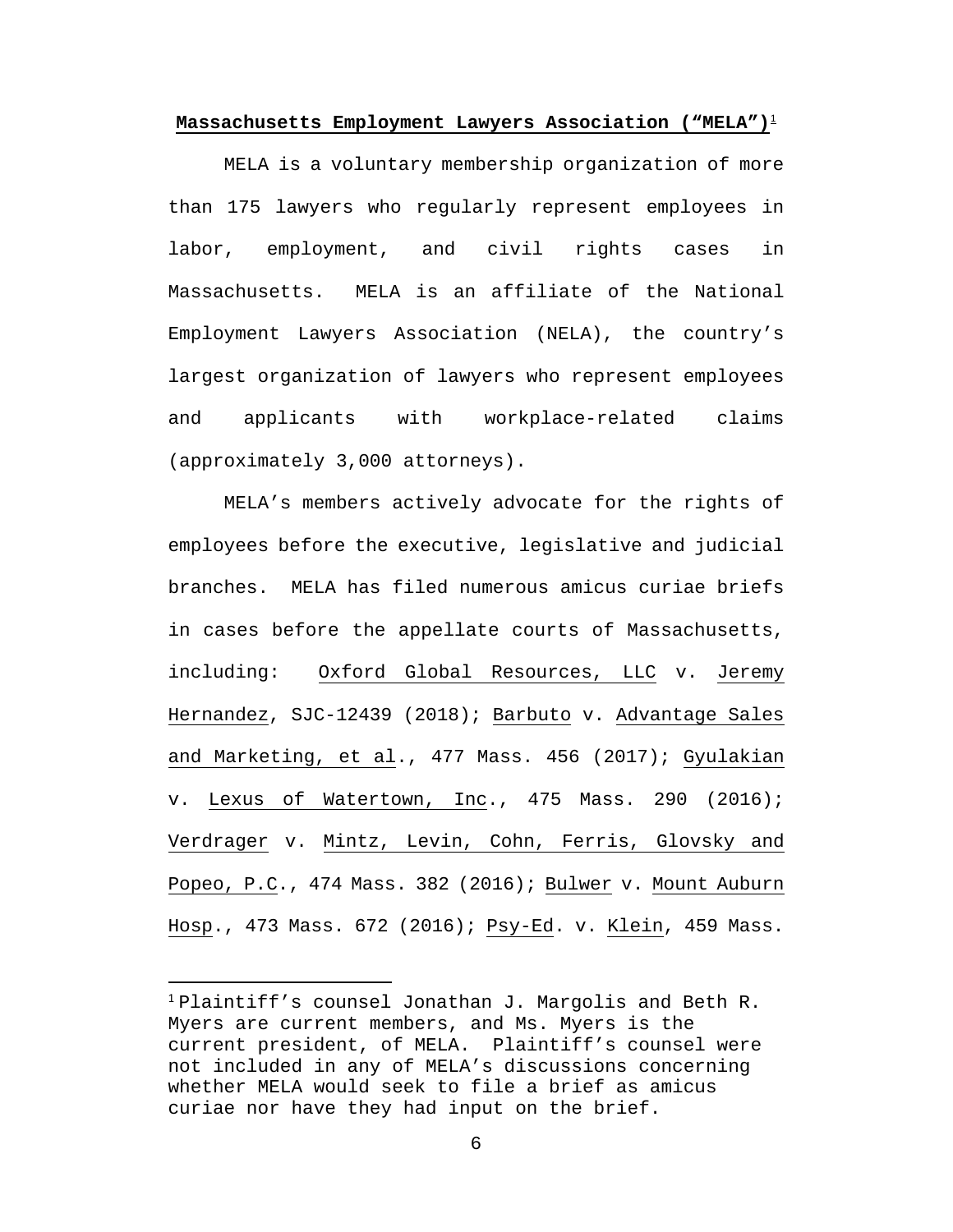**Massachusetts Employment Lawyers Association ("MELA")**[1](#page-11-0)

MELA is a voluntary membership organization of more than 175 lawyers who regularly represent employees in labor, employment, and civil rights cases in Massachusetts. MELA is an affiliate of the National Employment Lawyers Association (NELA), the country's largest organization of lawyers who represent employees and applicants with workplace-related claims (approximately 3,000 attorneys).

MELA's members actively advocate for the rights of employees before the executive, legislative and judicial branches. MELA has filed numerous amicus curiae briefs in cases before the appellate courts of Massachusetts, including: Oxford Global Resources, LLC v. Jeremy Hernandez, SJC-12439 (2018); Barbuto v. Advantage Sales and Marketing, et al., 477 Mass. 456 (2017); Gyulakian v. Lexus of Watertown, Inc., 475 Mass. 290 (2016); Verdrager v. Mintz, Levin, Cohn, Ferris, Glovsky and Popeo, P.C., 474 Mass. 382 (2016); Bulwer v. Mount Auburn Hosp., 473 Mass. 672 (2016); Psy-Ed. v. Klein, 459 Mass.

 $1$ Plaintiff's counsel Jonathan J. Margolis and Beth R. Myers are current members, and Ms. Myers is the current president, of MELA. Plaintiff's counsel were not included in any of MELA's discussions concerning whether MELA would seek to file a brief as amicus curiae nor have they had input on the brief.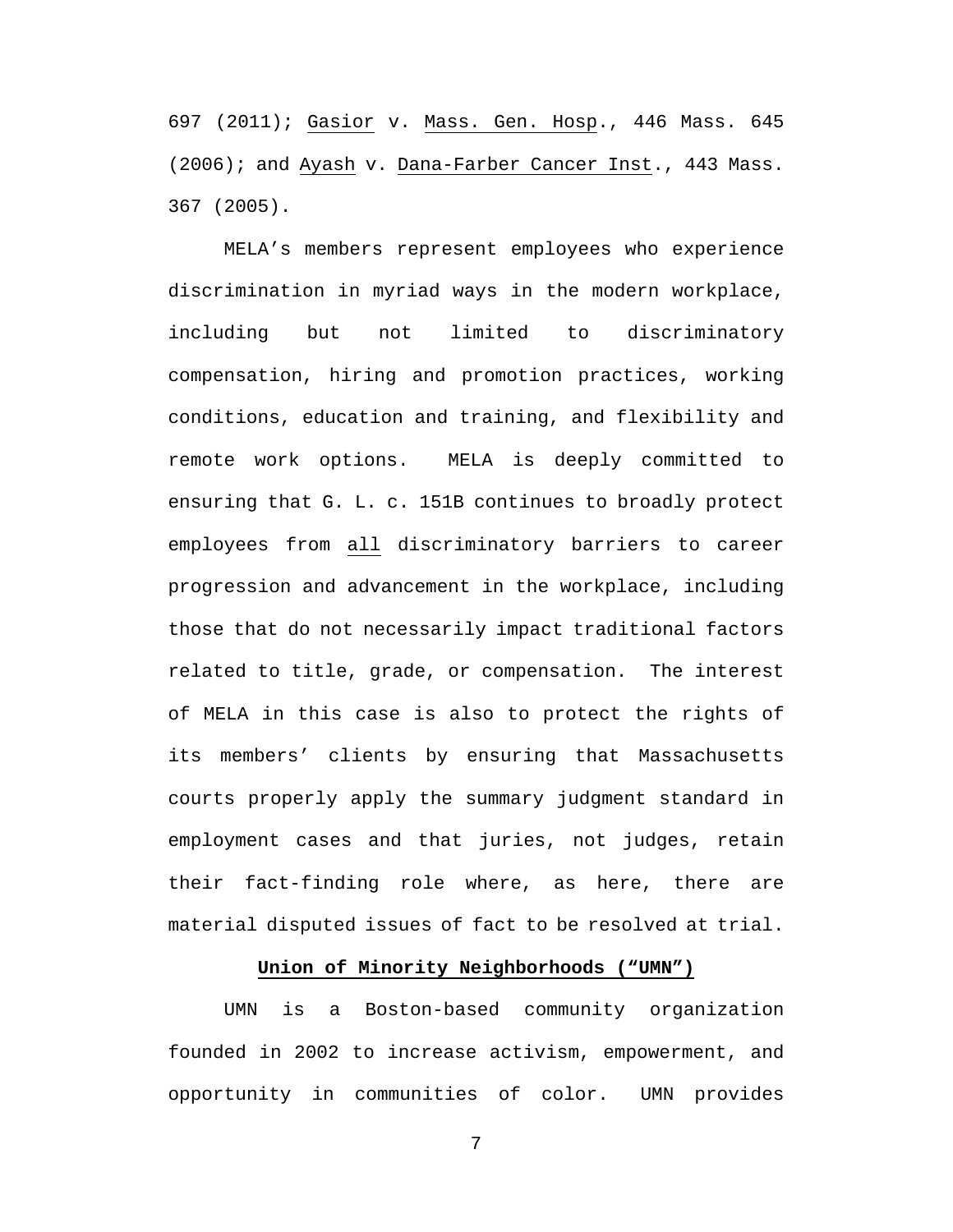697 (2011); Gasior v. Mass. Gen. Hosp., 446 Mass. 645 (2006); and Ayash v. Dana-Farber Cancer Inst., 443 Mass. 367 (2005).

MELA's members represent employees who experience discrimination in myriad ways in the modern workplace, including but not limited to discriminatory compensation, hiring and promotion practices, working conditions, education and training, and flexibility and remote work options. MELA is deeply committed to ensuring that G. L. c. 151B continues to broadly protect employees from all discriminatory barriers to career progression and advancement in the workplace, including those that do not necessarily impact traditional factors related to title, grade, or compensation. The interest of MELA in this case is also to protect the rights of its members' clients by ensuring that Massachusetts courts properly apply the summary judgment standard in employment cases and that juries, not judges, retain their fact-finding role where, as here, there are material disputed issues of fact to be resolved at trial.

### **Union of Minority Neighborhoods ("UMN")**

<span id="page-11-0"></span>UMN is a Boston-based community organization founded in 2002 to increase activism, empowerment, and opportunity in communities of color. UMN provides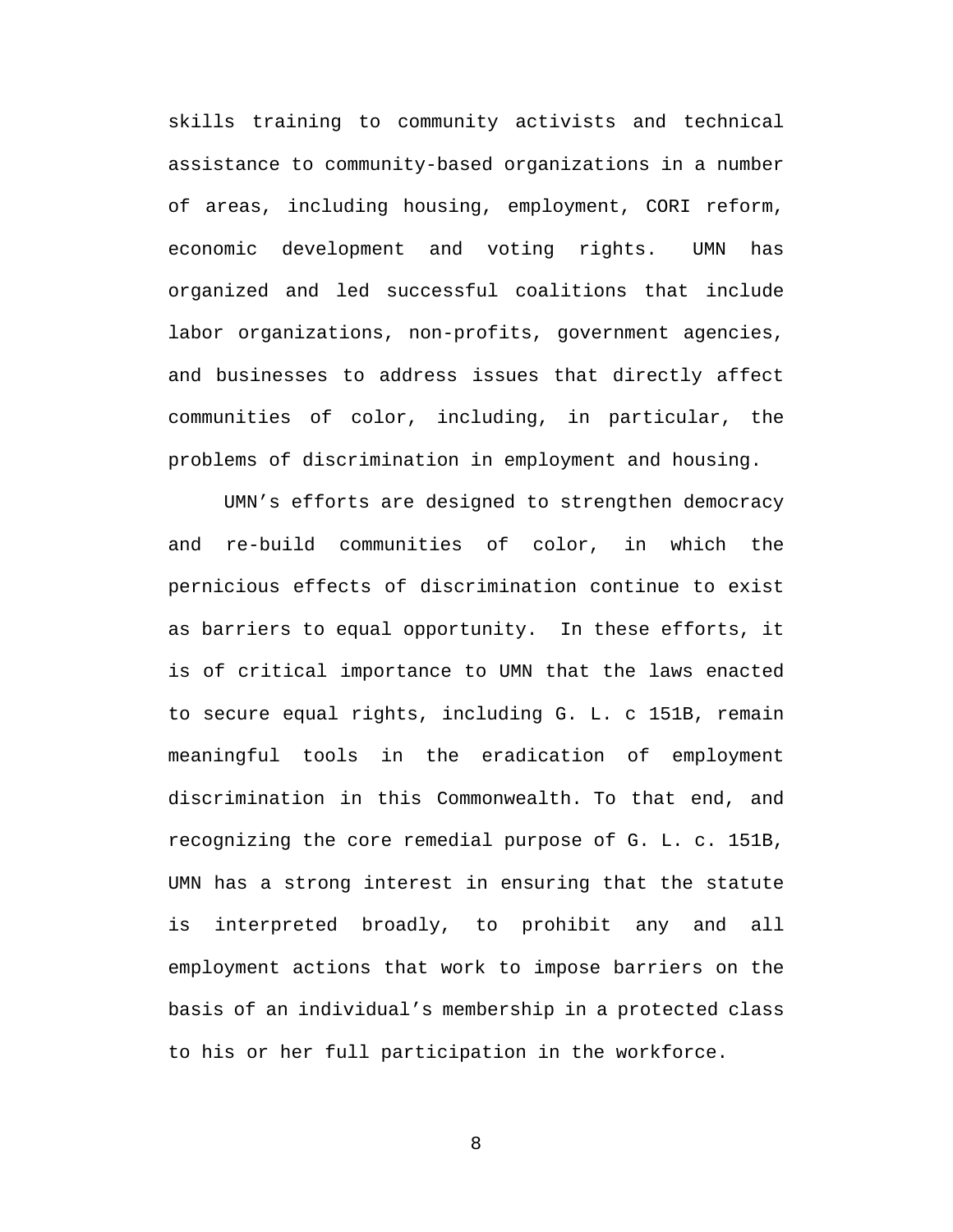skills training to community activists and technical assistance to community-based organizations in a number of areas, including housing, employment, CORI reform, economic development and voting rights. UMN has organized and led successful coalitions that include labor organizations, non-profits, government agencies, and businesses to address issues that directly affect communities of color, including, in particular, the problems of discrimination in employment and housing.

UMN's efforts are designed to strengthen democracy and re-build communities of color, in which the pernicious effects of discrimination continue to exist as barriers to equal opportunity. In these efforts, it is of critical importance to UMN that the laws enacted to secure equal rights, including G. L. c 151B, remain meaningful tools in the eradication of employment discrimination in this Commonwealth. To that end, and recognizing the core remedial purpose of G. L. c. 151B, UMN has a strong interest in ensuring that the statute is interpreted broadly, to prohibit any and all employment actions that work to impose barriers on the basis of an individual's membership in a protected class to his or her full participation in the workforce.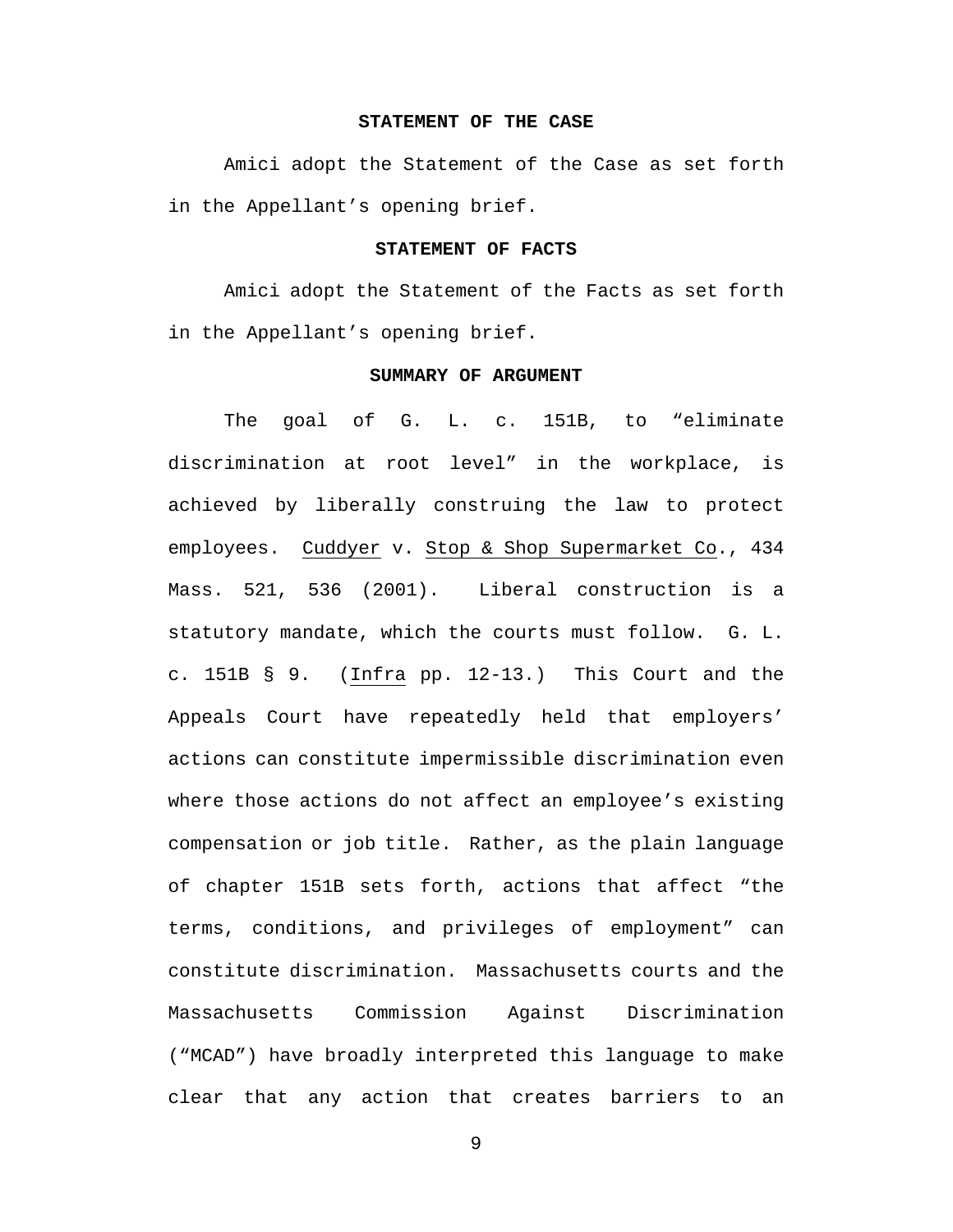### **STATEMENT OF THE CASE**

Amici adopt the Statement of the Case as set forth in the Appellant's opening brief.

### **STATEMENT OF FACTS**

Amici adopt the Statement of the Facts as set forth in the Appellant's opening brief.

### **SUMMARY OF ARGUMENT**

The goal of G. L. c. 151B, to "eliminate discrimination at root level" in the workplace, is achieved by liberally construing the law to protect employees. Cuddyer v. Stop & Shop Supermarket Co., 434 Mass. 521, 536 (2001). Liberal construction is a statutory mandate, which the courts must follow. G. L. c. 151B § 9. (Infra pp. 12-13.) This Court and the Appeals Court have repeatedly held that employers' actions can constitute impermissible discrimination even where those actions do not affect an employee's existing compensation or job title. Rather, as the plain language of chapter 151B sets forth, actions that affect "the terms, conditions, and privileges of employment" can constitute discrimination. Massachusetts courts and the Massachusetts Commission Against Discrimination ("MCAD") have broadly interpreted this language to make clear that any action that creates barriers to an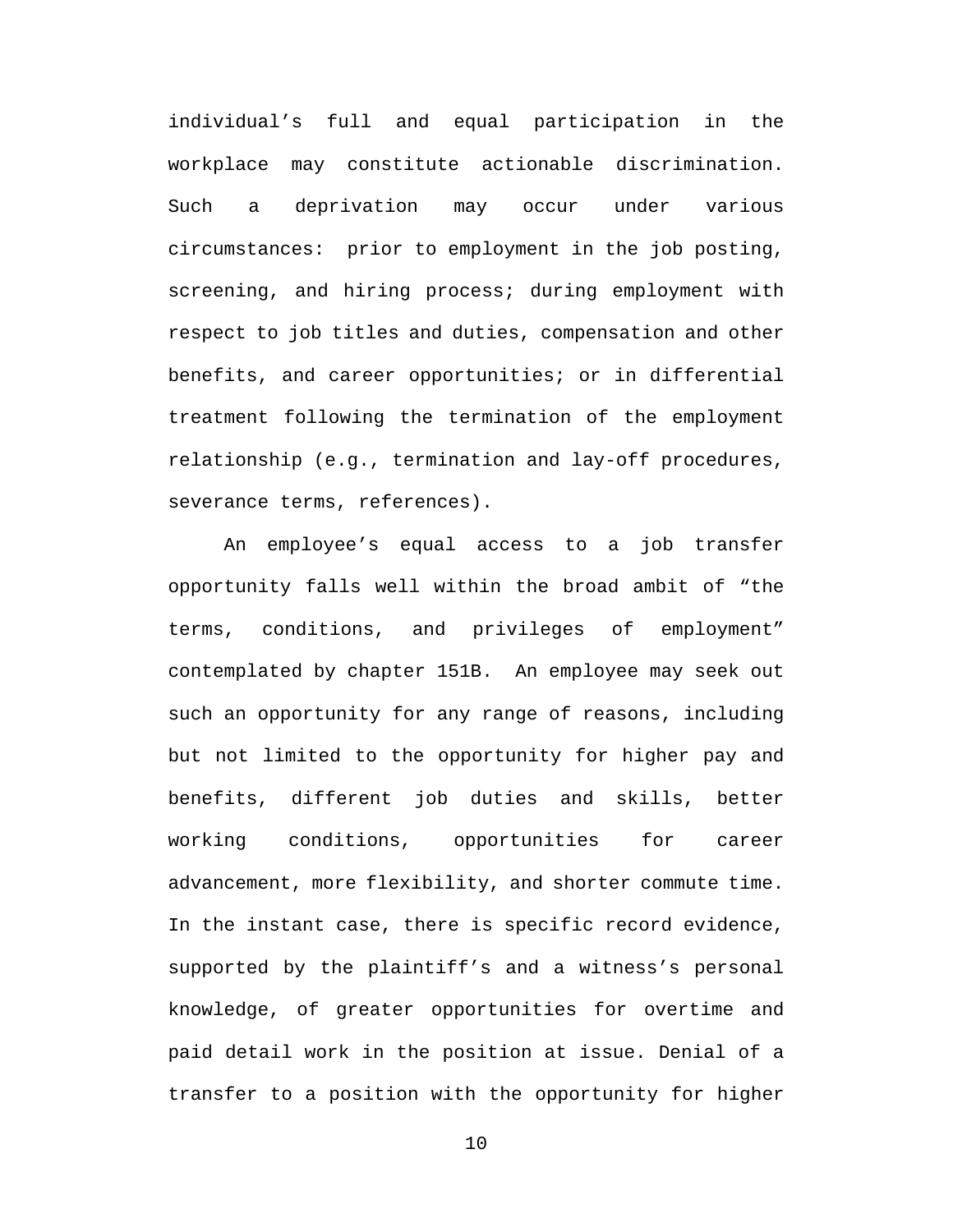individual's full and equal participation in the workplace may constitute actionable discrimination. Such a deprivation may occur under various circumstances: prior to employment in the job posting, screening, and hiring process; during employment with respect to job titles and duties, compensation and other benefits, and career opportunities; or in differential treatment following the termination of the employment relationship (e.g., termination and lay-off procedures, severance terms, references).

An employee's equal access to a job transfer opportunity falls well within the broad ambit of "the terms, conditions, and privileges of employment" contemplated by chapter 151B. An employee may seek out such an opportunity for any range of reasons, including but not limited to the opportunity for higher pay and benefits, different job duties and skills, better working conditions, opportunities for career advancement, more flexibility, and shorter commute time. In the instant case, there is specific record evidence, supported by the plaintiff's and a witness's personal knowledge, of greater opportunities for overtime and paid detail work in the position at issue. Denial of a transfer to a position with the opportunity for higher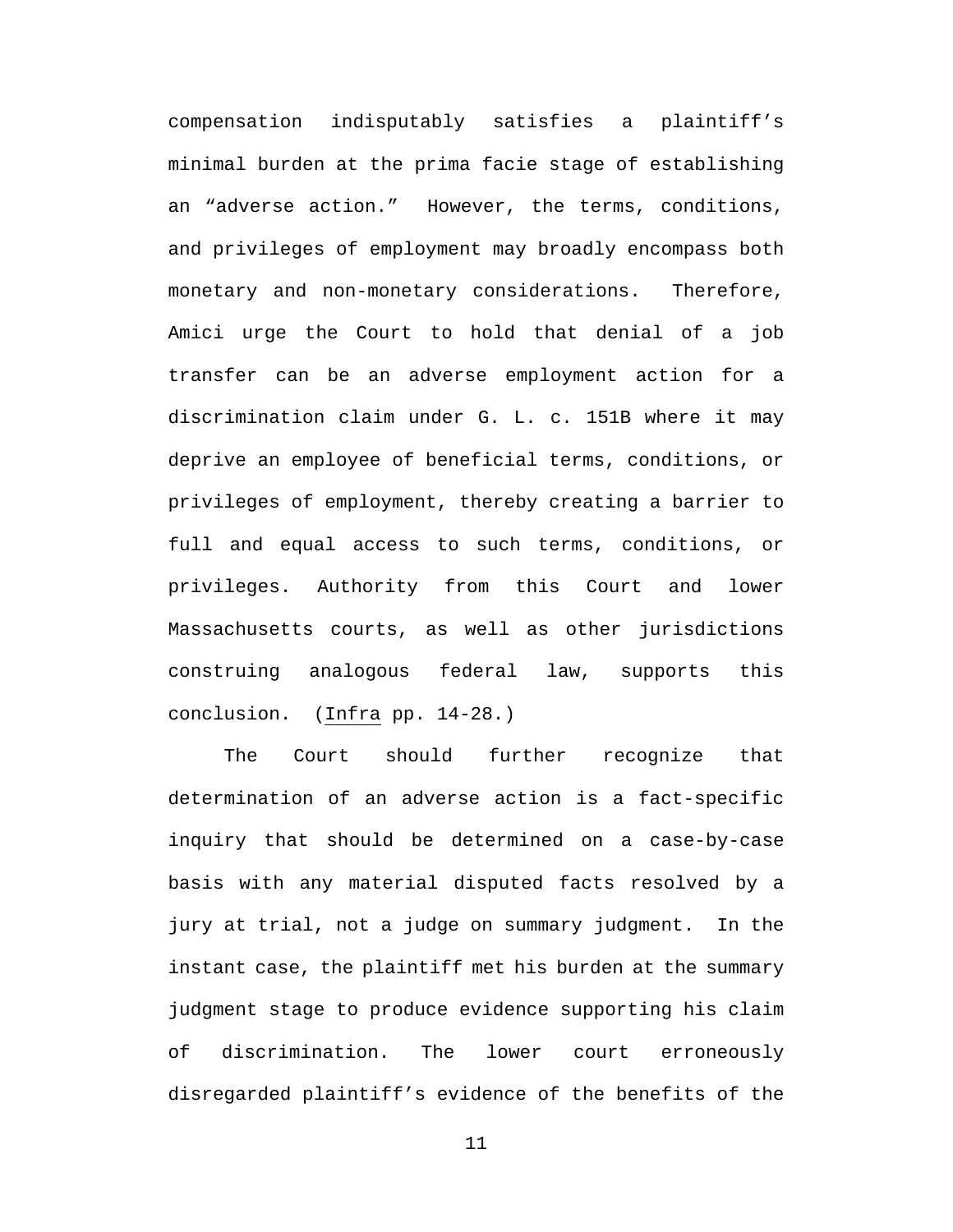compensation indisputably satisfies a plaintiff's minimal burden at the prima facie stage of establishing an "adverse action." However, the terms, conditions, and privileges of employment may broadly encompass both monetary and non-monetary considerations. Therefore, Amici urge the Court to hold that denial of a job transfer can be an adverse employment action for a discrimination claim under G. L. c. 151B where it may deprive an employee of beneficial terms, conditions, or privileges of employment, thereby creating a barrier to full and equal access to such terms, conditions, or privileges. Authority from this Court and lower Massachusetts courts, as well as other jurisdictions construing analogous federal law, supports this conclusion. (Infra pp. 14-28.)

The Court should further recognize that determination of an adverse action is a fact-specific inquiry that should be determined on a case-by-case basis with any material disputed facts resolved by a jury at trial, not a judge on summary judgment. In the instant case, the plaintiff met his burden at the summary judgment stage to produce evidence supporting his claim of discrimination. The lower court erroneously disregarded plaintiff's evidence of the benefits of the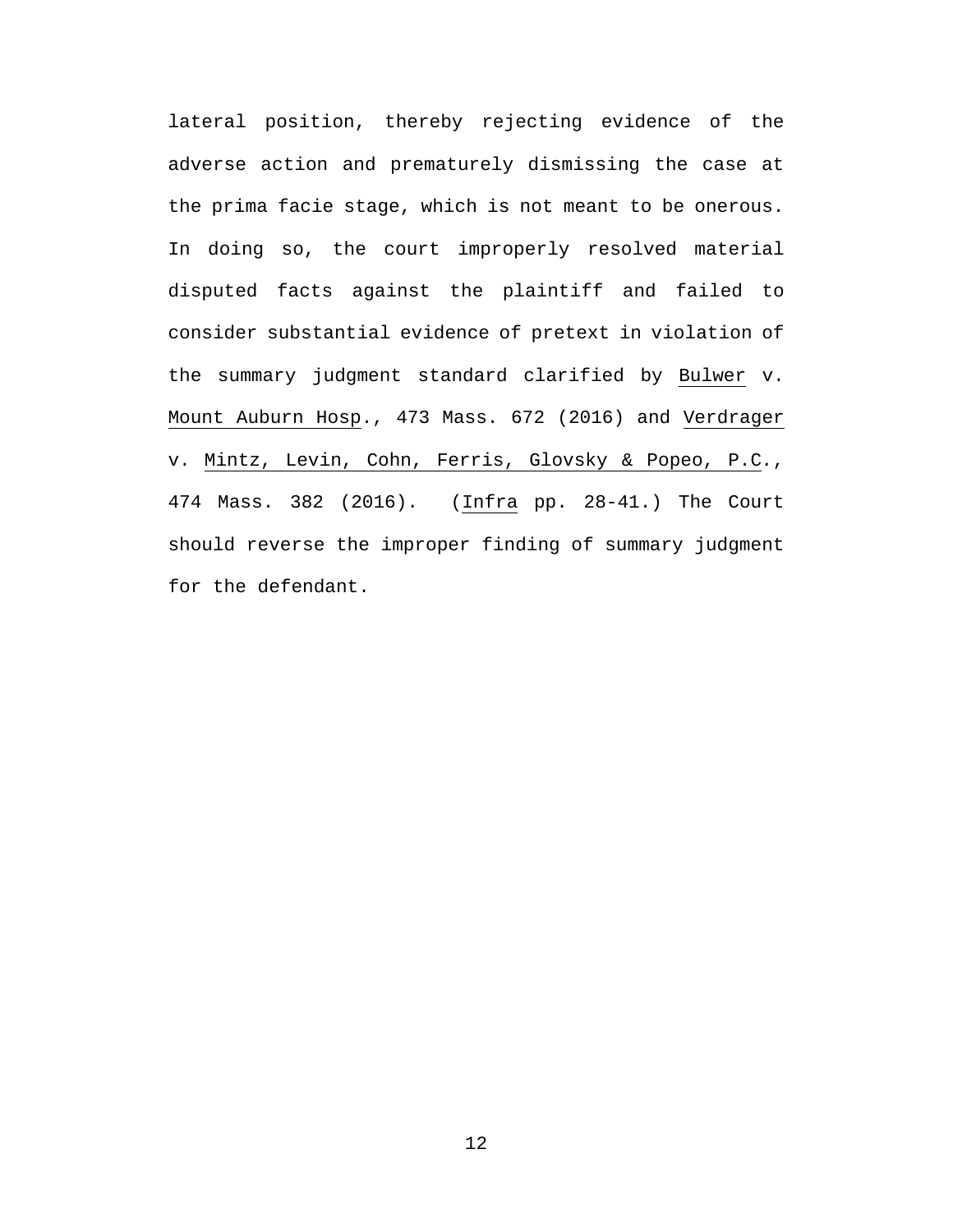lateral position, thereby rejecting evidence of the adverse action and prematurely dismissing the case at the prima facie stage, which is not meant to be onerous. In doing so, the court improperly resolved material disputed facts against the plaintiff and failed to consider substantial evidence of pretext in violation of the summary judgment standard clarified by Bulwer v. Mount Auburn Hosp., 473 Mass. 672 (2016) and Verdrager v. Mintz, Levin, Cohn, Ferris, Glovsky & Popeo, P.C*.*, 474 Mass. 382 (2016). (Infra pp. 28-41.) The Court should reverse the improper finding of summary judgment for the defendant.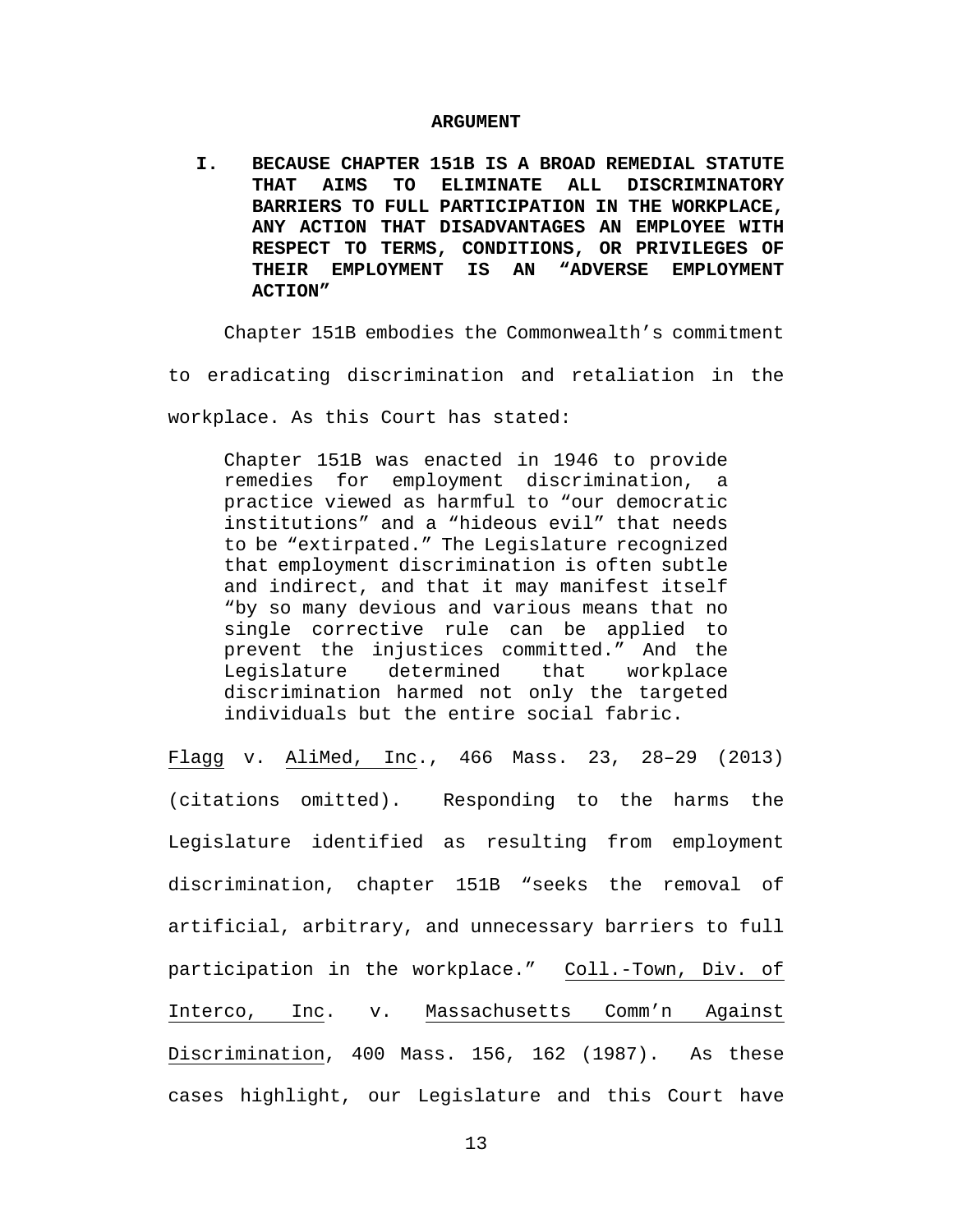#### **ARGUMENT**

**I. BECAUSE CHAPTER 151B IS A BROAD REMEDIAL STATUTE THAT AIMS TO ELIMINATE ALL DISCRIMINATORY BARRIERS TO FULL PARTICIPATION IN THE WORKPLACE, ANY ACTION THAT DISADVANTAGES AN EMPLOYEE WITH RESPECT TO TERMS, CONDITIONS, OR PRIVILEGES OF THEIR EMPLOYMENT IS AN "ADVERSE EMPLOYMENT ACTION"**

Chapter 151B embodies the Commonwealth's commitment to eradicating discrimination and retaliation in the workplace. As this Court has stated:

Chapter 151B was enacted in 1946 to provide remedies for employment discrimination, a practice viewed as harmful to "our democratic institutions" and a "hideous evil" that needs to be "extirpated." The Legislature recognized that employment discrimination is often subtle and indirect, and that it may manifest itself "by so many devious and various means that no single corrective rule can be applied to prevent the injustices committed." And the<br>Legislature determined that workplace Legislature determined that workplace discrimination harmed not only the targeted individuals but the entire social fabric.

Flagg v. AliMed, Inc., 466 Mass. 23, 28–29 (2013) (citations omitted). Responding to the harms the Legislature identified as resulting from employment discrimination, chapter 151B "seeks the removal of artificial, arbitrary, and unnecessary barriers to full participation in the workplace." Coll.-Town, Div. of Interco, Inc. v. Massachusetts Comm'n Against Discrimination, 400 Mass. 156, 162 (1987). As these cases highlight, our Legislature and this Court have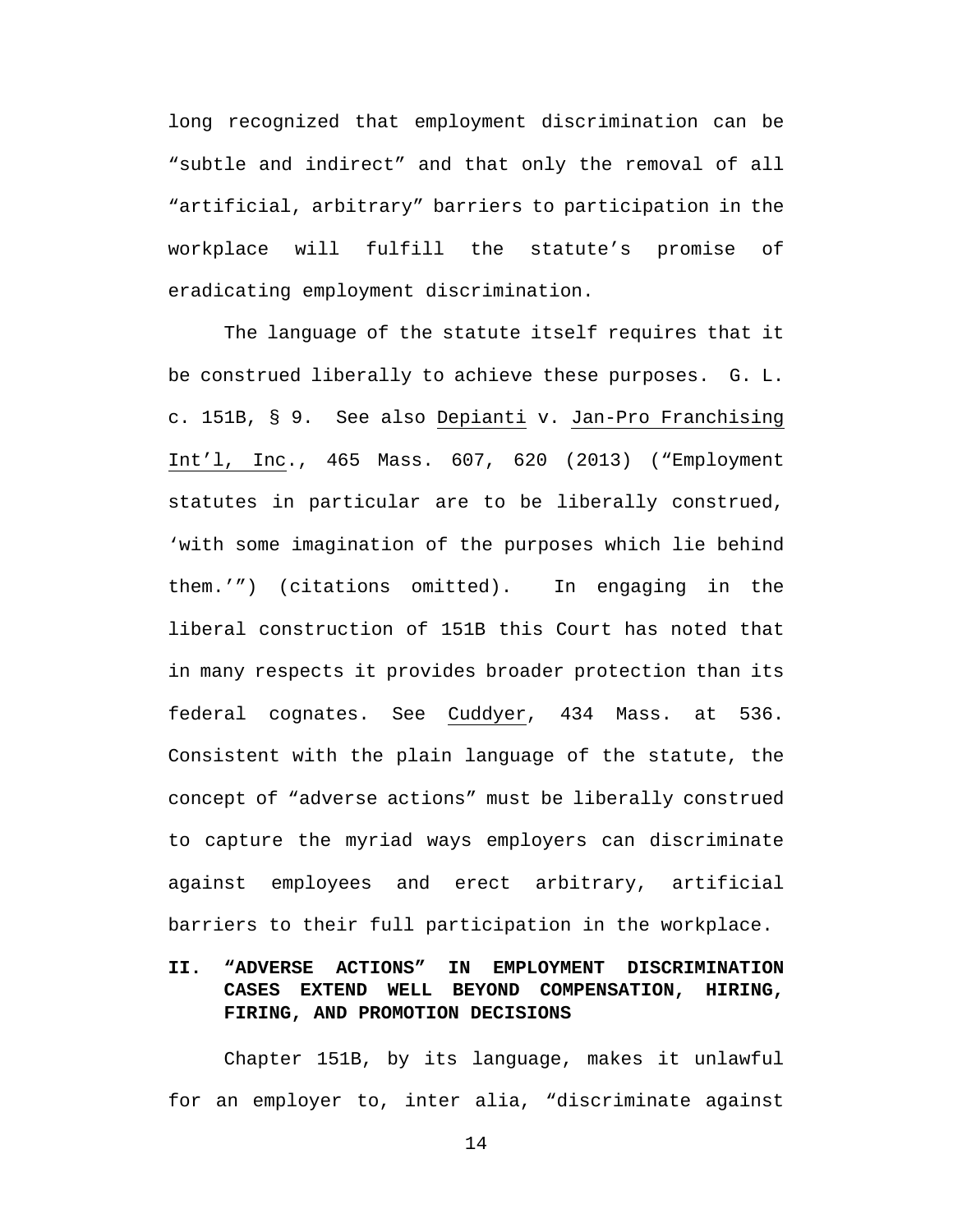long recognized that employment discrimination can be "subtle and indirect" and that only the removal of all "artificial, arbitrary" barriers to participation in the workplace will fulfill the statute's promise of eradicating employment discrimination.

The language of the statute itself requires that it be construed liberally to achieve these purposes. G. L. c. 151B, § 9. See also Depianti v. Jan-Pro Franchising Int'l, Inc., 465 Mass. 607, 620 (2013) ("Employment statutes in particular are to be liberally construed, 'with some imagination of the purposes which lie behind them.'") (citations omitted). In engaging in the liberal construction of 151B this Court has noted that in many respects it provides broader protection than its federal cognates. See Cuddyer, 434 Mass. at 536. Consistent with the plain language of the statute, the concept of "adverse actions" must be liberally construed to capture the myriad ways employers can discriminate against employees and erect arbitrary, artificial barriers to their full participation in the workplace.

# **II. "ADVERSE ACTIONS" IN EMPLOYMENT DISCRIMINATION CASES EXTEND WELL BEYOND COMPENSATION, HIRING, FIRING, AND PROMOTION DECISIONS**

Chapter 151B, by its language, makes it unlawful for an employer to, inter alia, "discriminate against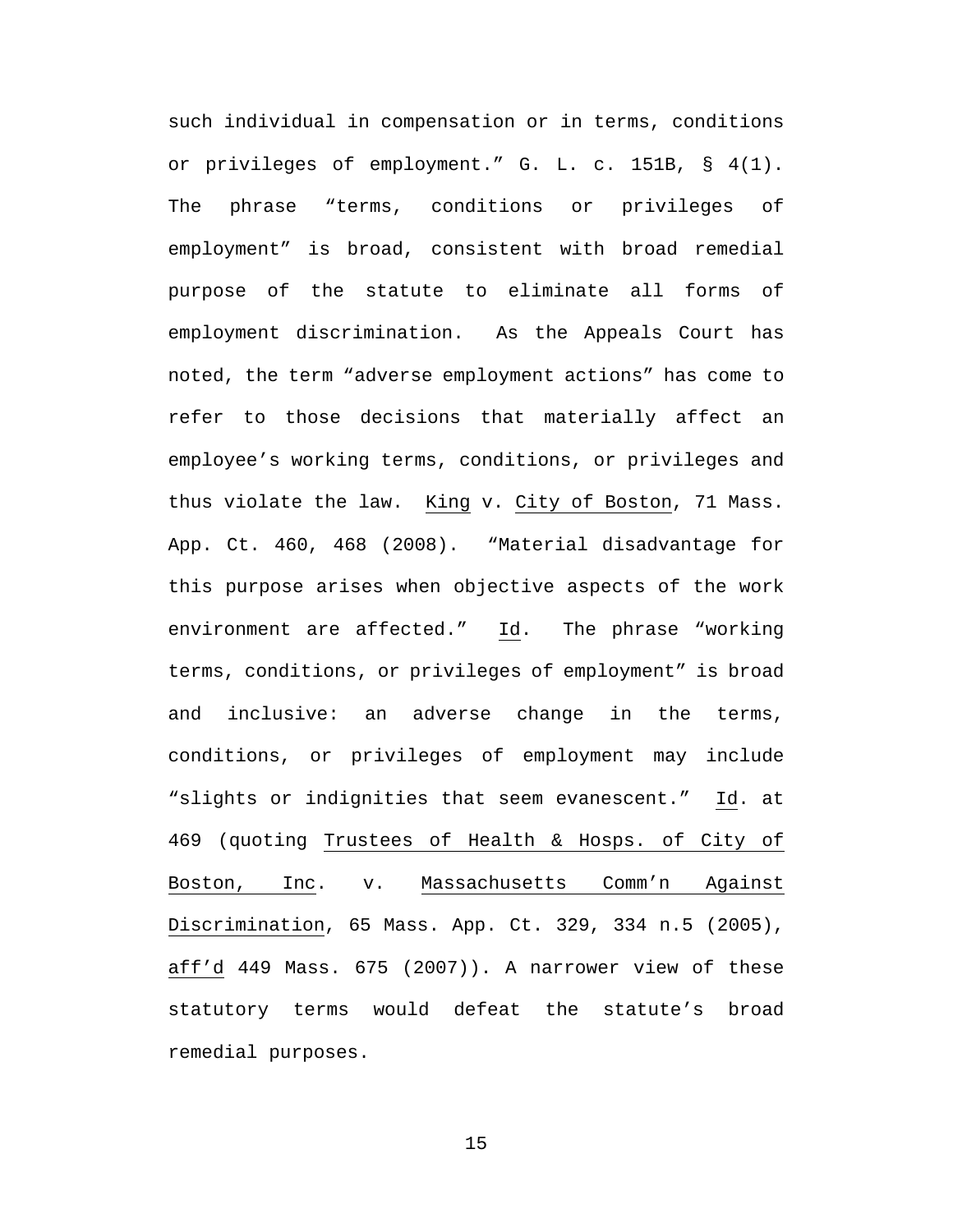such individual in compensation or in terms, conditions or privileges of employment." G. L. c. 151B, § 4(1). The phrase "terms, conditions or privileges of employment" is broad, consistent with broad remedial purpose of the statute to eliminate all forms of employment discrimination. As the Appeals Court has noted, the term "adverse employment actions" has come to refer to those decisions that materially affect an employee's working terms, conditions, or privileges and thus violate the law. King v. City of Boston, 71 Mass. App. Ct. 460, 468 (2008). "Material disadvantage for this purpose arises when objective aspects of the work environment are affected." Id. The phrase "working terms, conditions, or privileges of employment" is broad and inclusive: an adverse change in the terms, conditions, or privileges of employment may include "slights or indignities that seem evanescent." Id. at 469 (quoting Trustees of Health & Hosps. of City of Boston, Inc. v. Massachusetts Comm'n Against Discrimination, 65 Mass. App. Ct. 329, 334 n.5 (2005), aff'd 449 Mass. 675 (2007)). A narrower view of these statutory terms would defeat the statute's broad remedial purposes.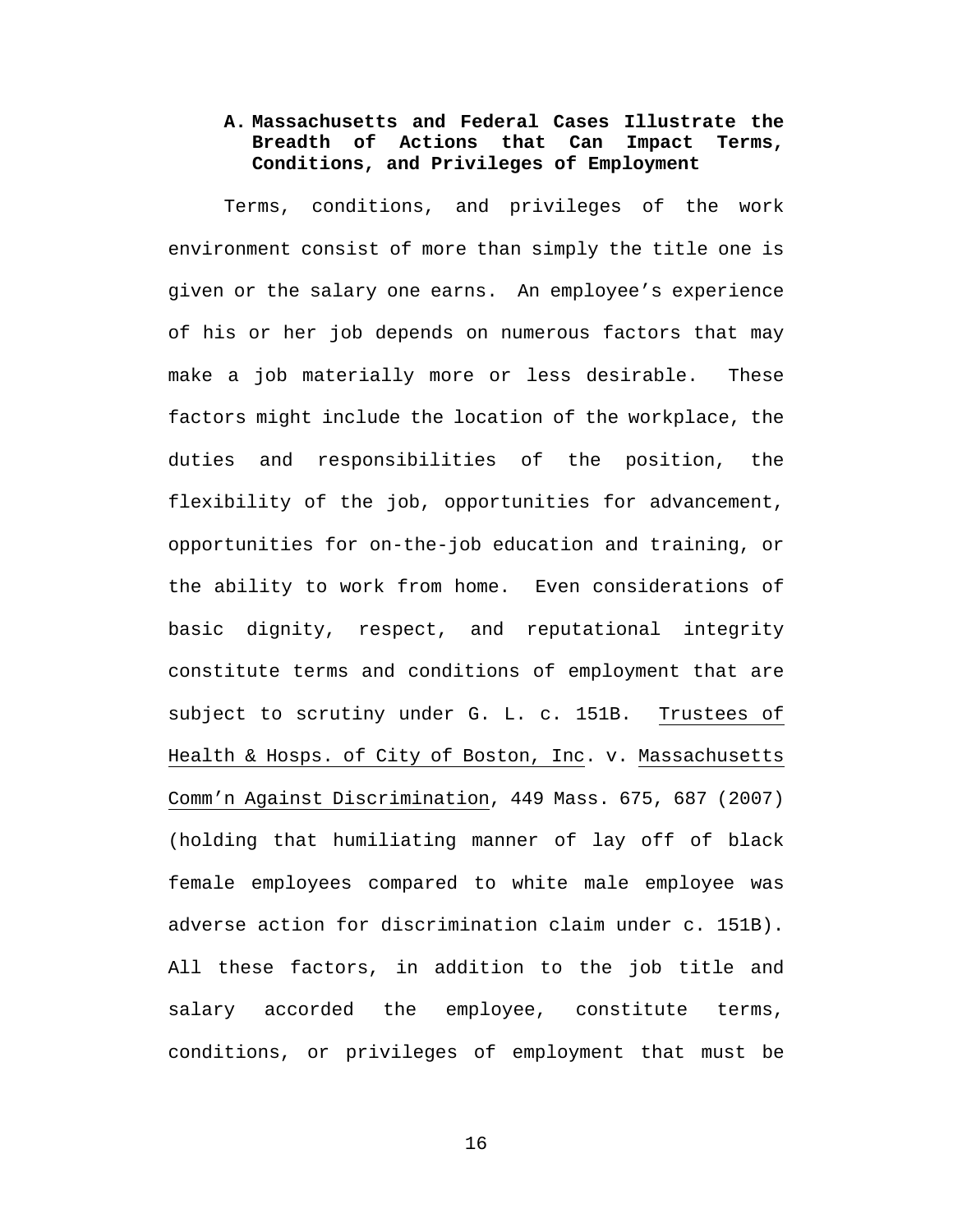# **A. Massachusetts and Federal Cases Illustrate the Breadth of Actions that Can Impact Terms, Conditions, and Privileges of Employment**

Terms, conditions, and privileges of the work environment consist of more than simply the title one is given or the salary one earns. An employee's experience of his or her job depends on numerous factors that may make a job materially more or less desirable. These factors might include the location of the workplace, the duties and responsibilities of the position, the flexibility of the job, opportunities for advancement, opportunities for on-the-job education and training, or the ability to work from home. Even considerations of basic dignity, respect, and reputational integrity constitute terms and conditions of employment that are subject to scrutiny under G. L. c. 151B. Trustees of Health & Hosps. of City of Boston, Inc. v. Massachusetts Comm'n Against Discrimination, 449 Mass. 675, 687 (2007) (holding that humiliating manner of lay off of black female employees compared to white male employee was adverse action for discrimination claim under c. 151B). All these factors, in addition to the job title and salary accorded the employee, constitute terms, conditions, or privileges of employment that must be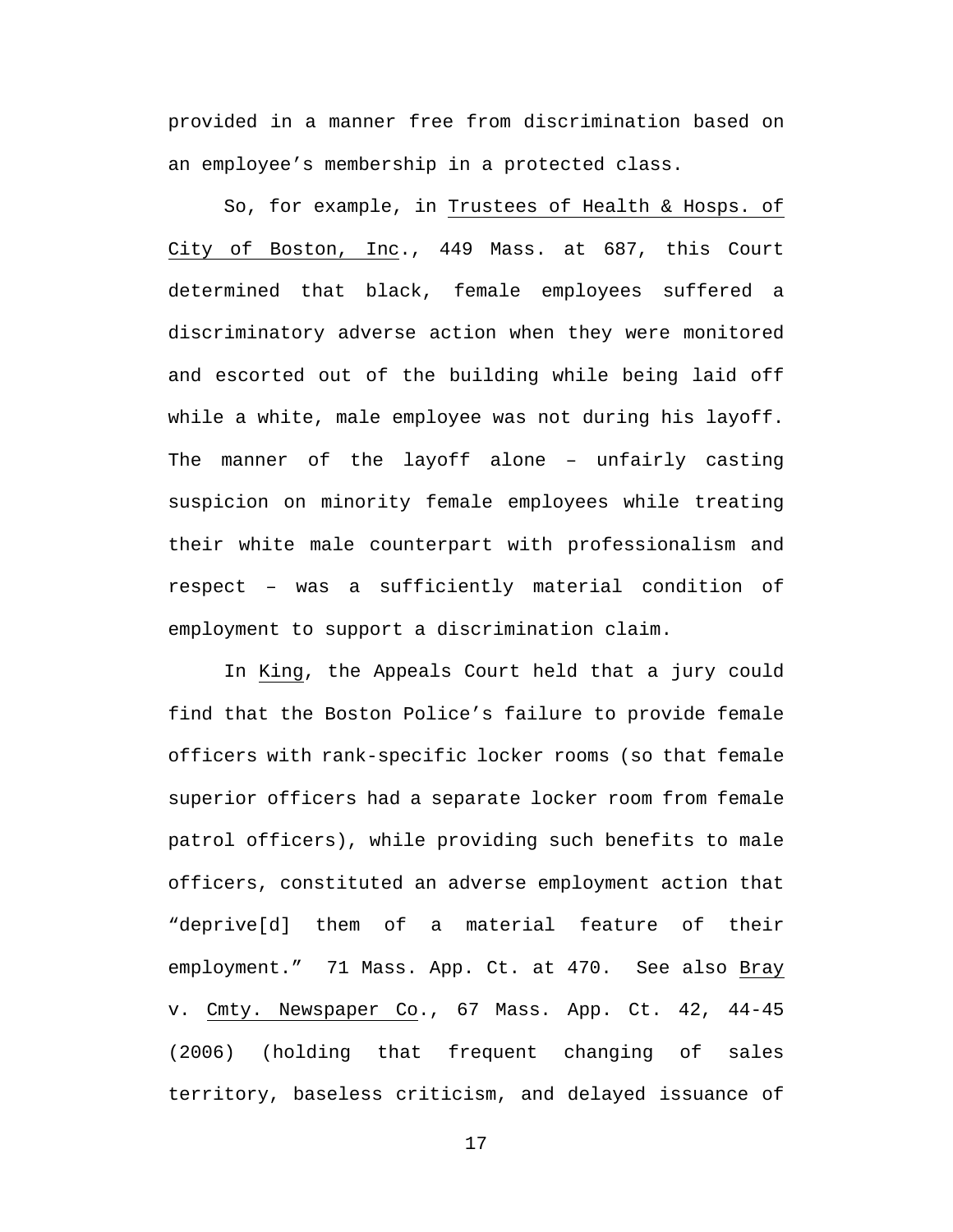provided in a manner free from discrimination based on an employee's membership in a protected class.

So, for example, in Trustees of Health & Hosps. of City of Boston, Inc., 449 Mass. at 687, this Court determined that black, female employees suffered a discriminatory adverse action when they were monitored and escorted out of the building while being laid off while a white, male employee was not during his layoff. The manner of the layoff alone – unfairly casting suspicion on minority female employees while treating their white male counterpart with professionalism and respect – was a sufficiently material condition of employment to support a discrimination claim.

In King, the Appeals Court held that a jury could find that the Boston Police's failure to provide female officers with rank-specific locker rooms (so that female superior officers had a separate locker room from female patrol officers), while providing such benefits to male officers, constituted an adverse employment action that "deprive[d] them of a material feature of their employment." 71 Mass. App. Ct. at 470. See also Bray v. Cmty. Newspaper Co., 67 Mass. App. Ct. 42, 44-45 (2006) (holding that frequent changing of sales territory, baseless criticism, and delayed issuance of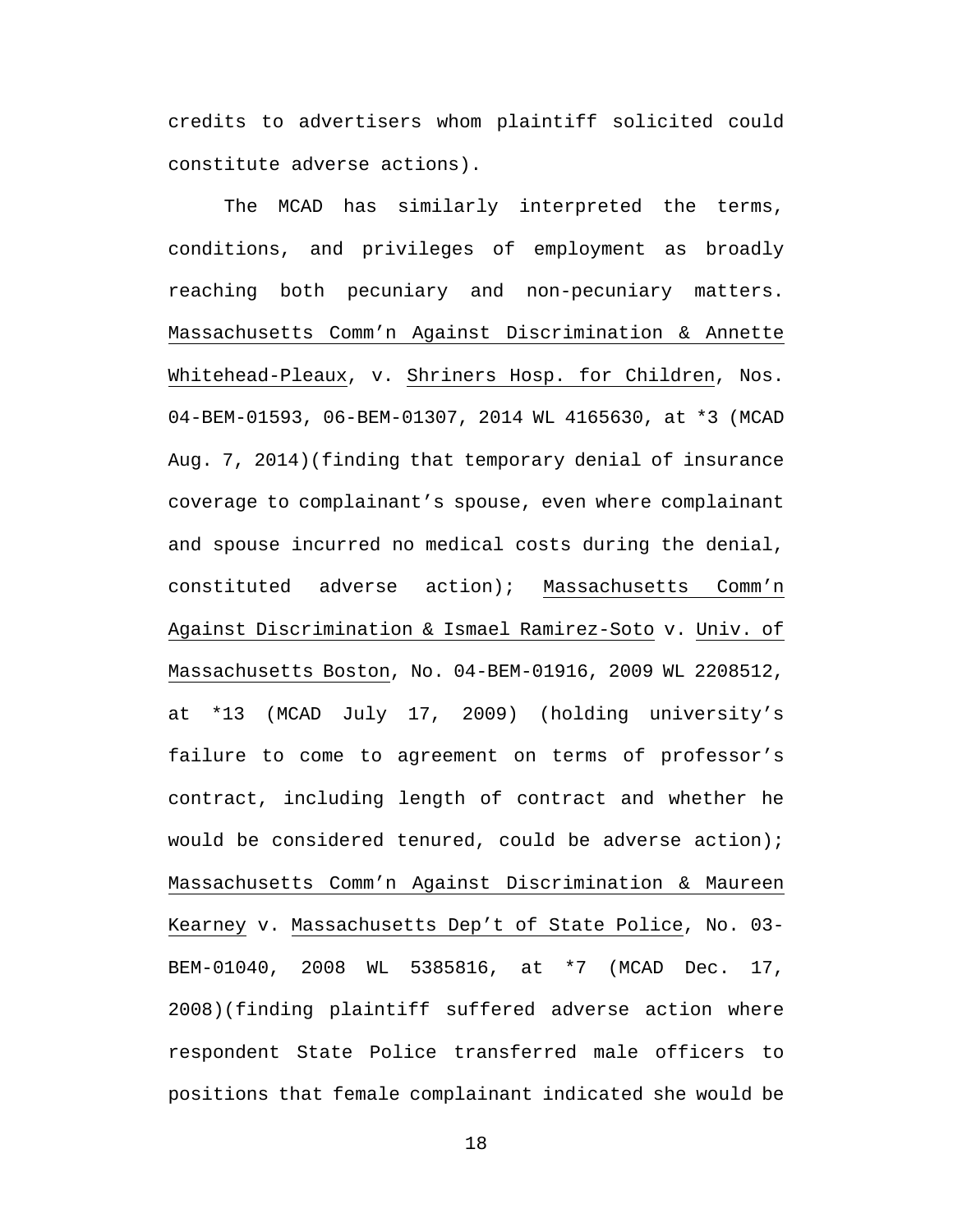credits to advertisers whom plaintiff solicited could constitute adverse actions).

The MCAD has similarly interpreted the terms, conditions, and privileges of employment as broadly reaching both pecuniary and non-pecuniary matters. Massachusetts Comm'n Against Discrimination & Annette Whitehead-Pleaux, v. Shriners Hosp. for Children, Nos. 04-BEM-01593, 06-BEM-01307, 2014 WL 4165630, at \*3 (MCAD Aug. 7, 2014)(finding that temporary denial of insurance coverage to complainant's spouse, even where complainant and spouse incurred no medical costs during the denial, constituted adverse action); Massachusetts Comm'n Against Discrimination & Ismael Ramirez-Soto v. Univ. of Massachusetts Boston, No. 04-BEM-01916, 2009 WL 2208512, at \*13 (MCAD July 17, 2009) (holding university's failure to come to agreement on terms of professor's contract, including length of contract and whether he would be considered tenured, could be adverse action); Massachusetts Comm'n Against Discrimination & Maureen Kearney v. Massachusetts Dep't of State Police, No. 03- BEM-01040, 2008 WL 5385816, at \*7 (MCAD Dec. 17, 2008)(finding plaintiff suffered adverse action where respondent State Police transferred male officers to positions that female complainant indicated she would be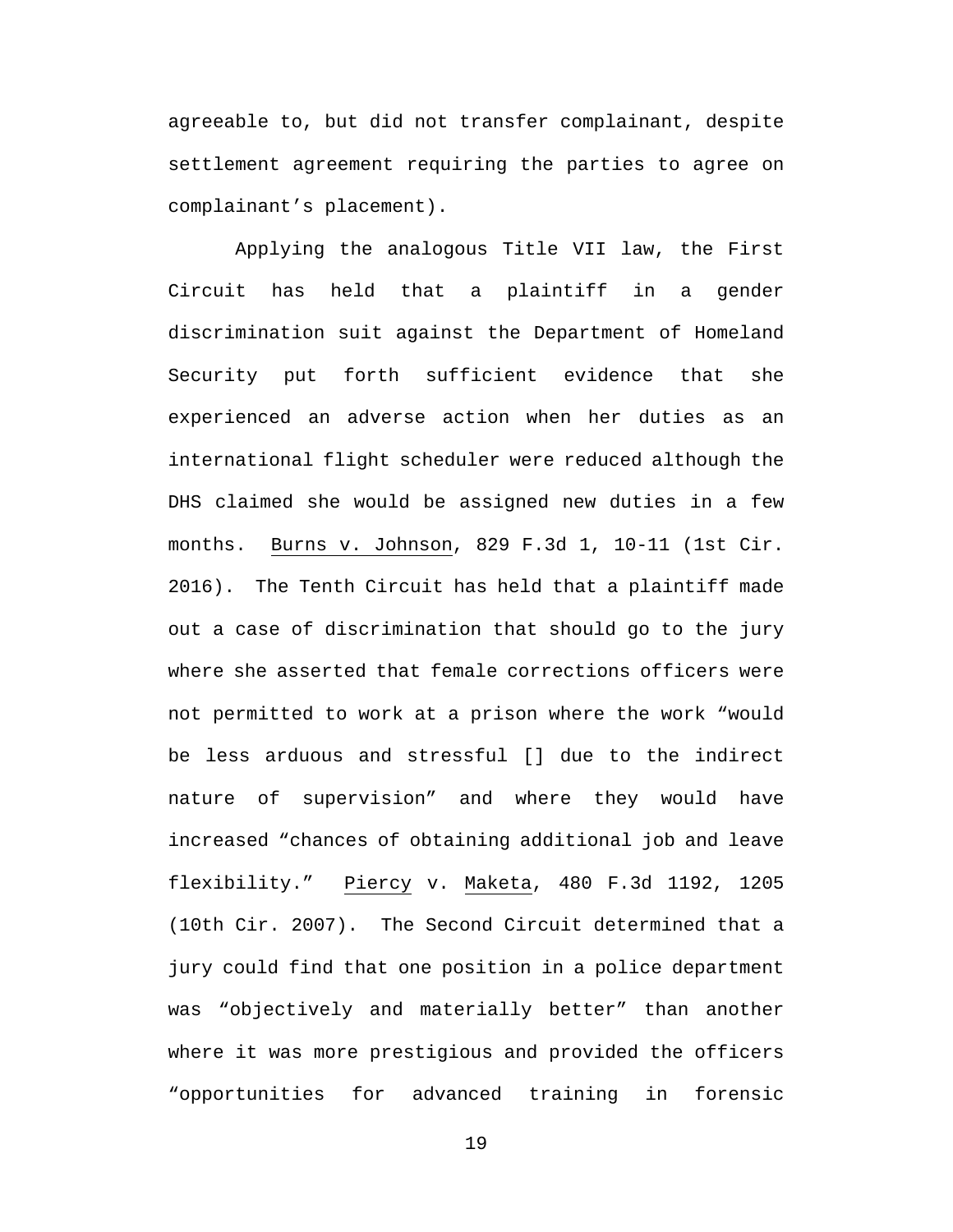agreeable to, but did not transfer complainant, despite settlement agreement requiring the parties to agree on complainant's placement).

Applying the analogous Title VII law, the First Circuit has held that a plaintiff in a gender discrimination suit against the Department of Homeland Security put forth sufficient evidence that she experienced an adverse action when her duties as an international flight scheduler were reduced although the DHS claimed she would be assigned new duties in a few months. Burns v. Johnson, 829 F.3d 1, 10-11 (1st Cir. 2016). The Tenth Circuit has held that a plaintiff made out a case of discrimination that should go to the jury where she asserted that female corrections officers were not permitted to work at a prison where the work "would be less arduous and stressful [] due to the indirect nature of supervision" and where they would have increased "chances of obtaining additional job and leave flexibility." Piercy v. Maketa, 480 F.3d 1192, 1205 (10th Cir. 2007). The Second Circuit determined that a jury could find that one position in a police department was "objectively and materially better" than another where it was more prestigious and provided the officers "opportunities for advanced training in forensic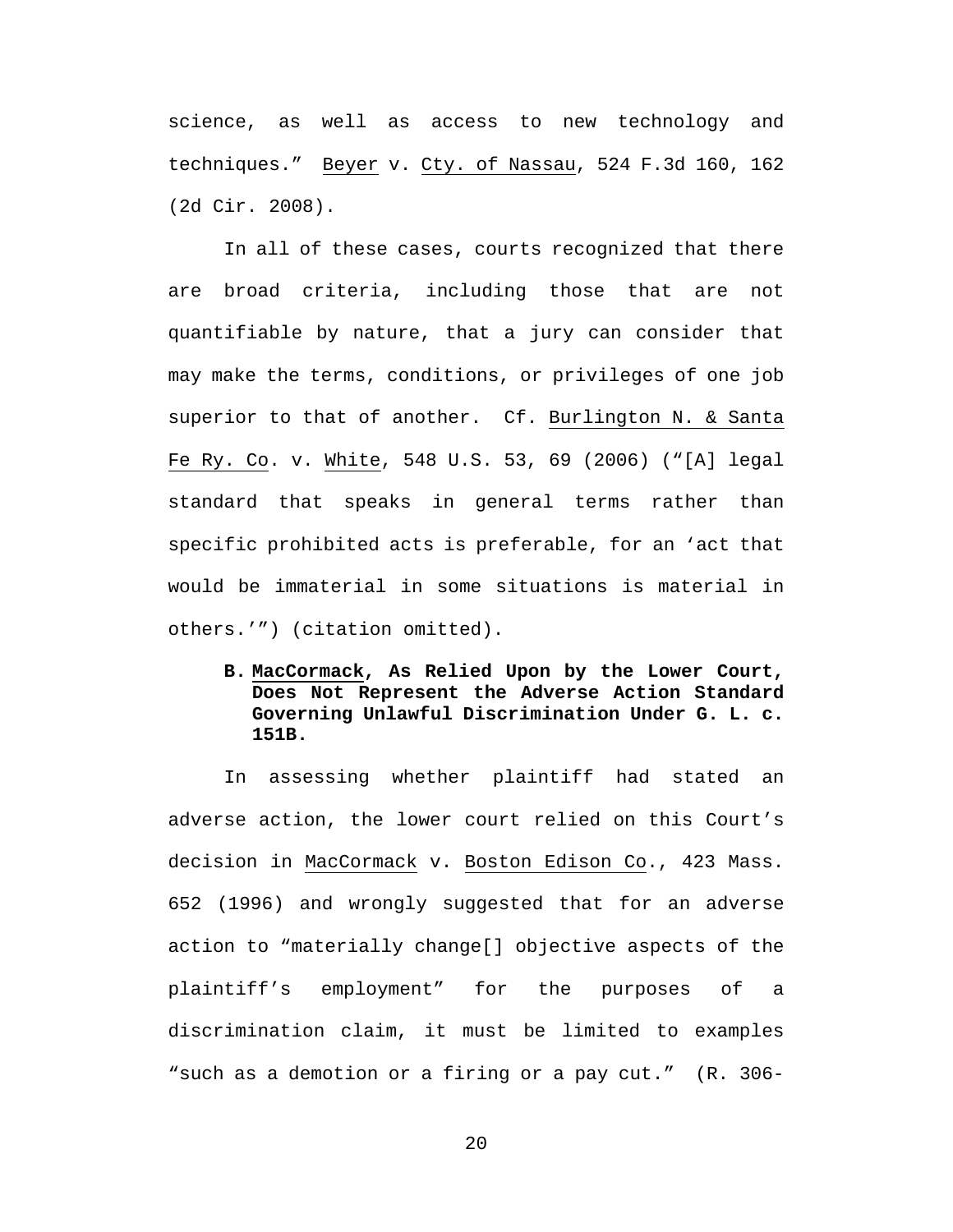science, as well as access to new technology and techniques." Beyer v. Cty. of Nassau, 524 F.3d 160, 162 (2d Cir. 2008).

In all of these cases, courts recognized that there are broad criteria, including those that are not quantifiable by nature, that a jury can consider that may make the terms, conditions, or privileges of one job superior to that of another. Cf. Burlington N. & Santa Fe Ry. Co. v. White, 548 U.S. 53, 69 (2006) ("[A] legal standard that speaks in general terms rather than specific prohibited acts is preferable, for an 'act that would be immaterial in some situations is material in others.'") (citation omitted).

**B. MacCormack, As Relied Upon by the Lower Court, Does Not Represent the Adverse Action Standard Governing Unlawful Discrimination Under G. L. c. 151B.**

In assessing whether plaintiff had stated an adverse action, the lower court relied on this Court's decision in MacCormack v. Boston Edison Co., 423 Mass. 652 (1996) and wrongly suggested that for an adverse action to "materially change[] objective aspects of the plaintiff's employment" for the purposes of a discrimination claim, it must be limited to examples "such as a demotion or a firing or a pay cut." (R. 306-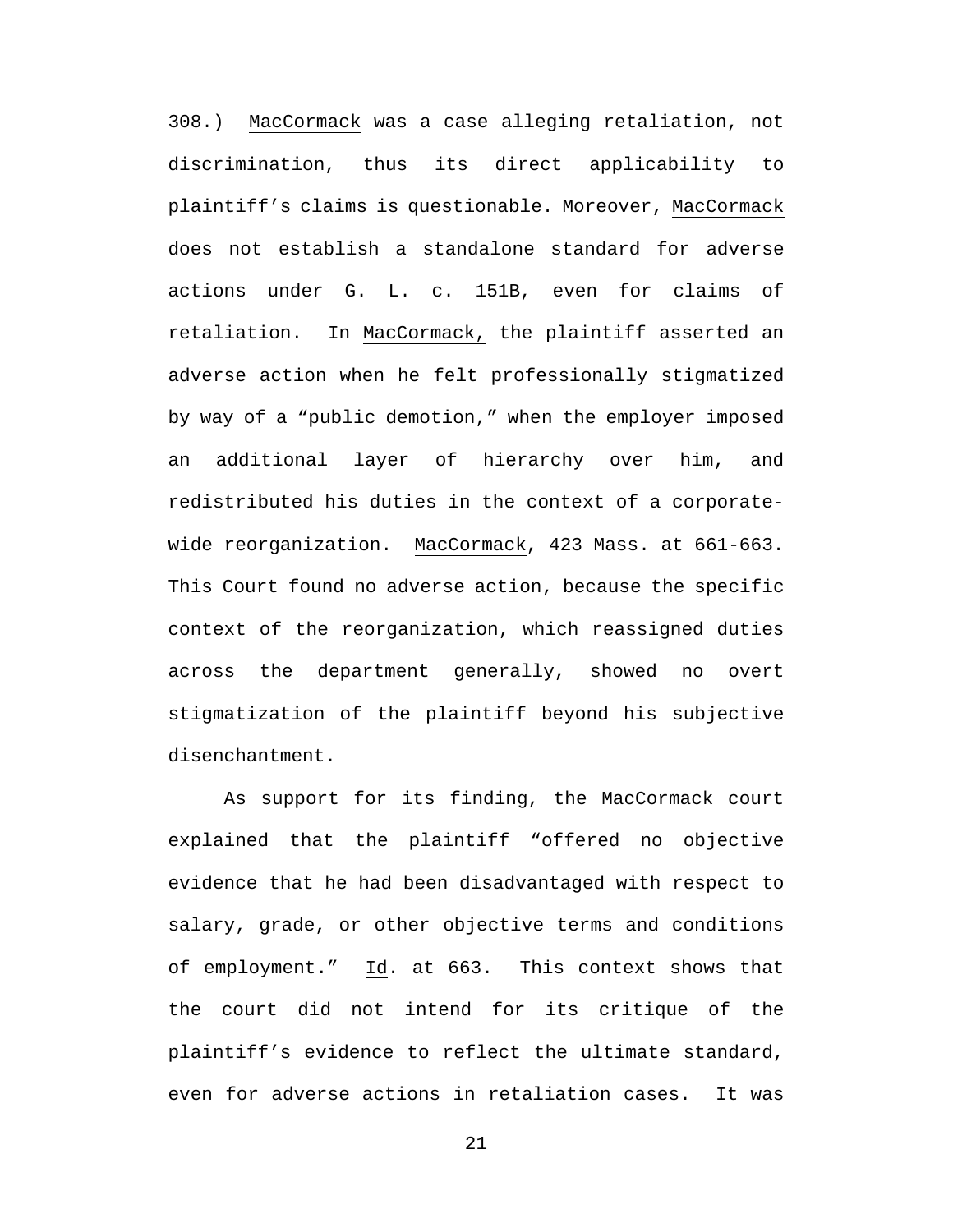308.) MacCormack was a case alleging retaliation, not discrimination, thus its direct applicability to plaintiff's claims is questionable. Moreover, MacCormack does not establish a standalone standard for adverse actions under G. L. c. 151B, even for claims of retaliation. In MacCormack, the plaintiff asserted an adverse action when he felt professionally stigmatized by way of a "public demotion," when the employer imposed an additional layer of hierarchy over him, and redistributed his duties in the context of a corporatewide reorganization. MacCormack, 423 Mass. at 661-663. This Court found no adverse action, because the specific context of the reorganization, which reassigned duties across the department generally, showed no overt stigmatization of the plaintiff beyond his subjective disenchantment.

As support for its finding, the MacCormack court explained that the plaintiff "offered no objective evidence that he had been disadvantaged with respect to salary, grade, or other objective terms and conditions of employment." Id. at 663. This context shows that the court did not intend for its critique of the plaintiff's evidence to reflect the ultimate standard, even for adverse actions in retaliation cases. It was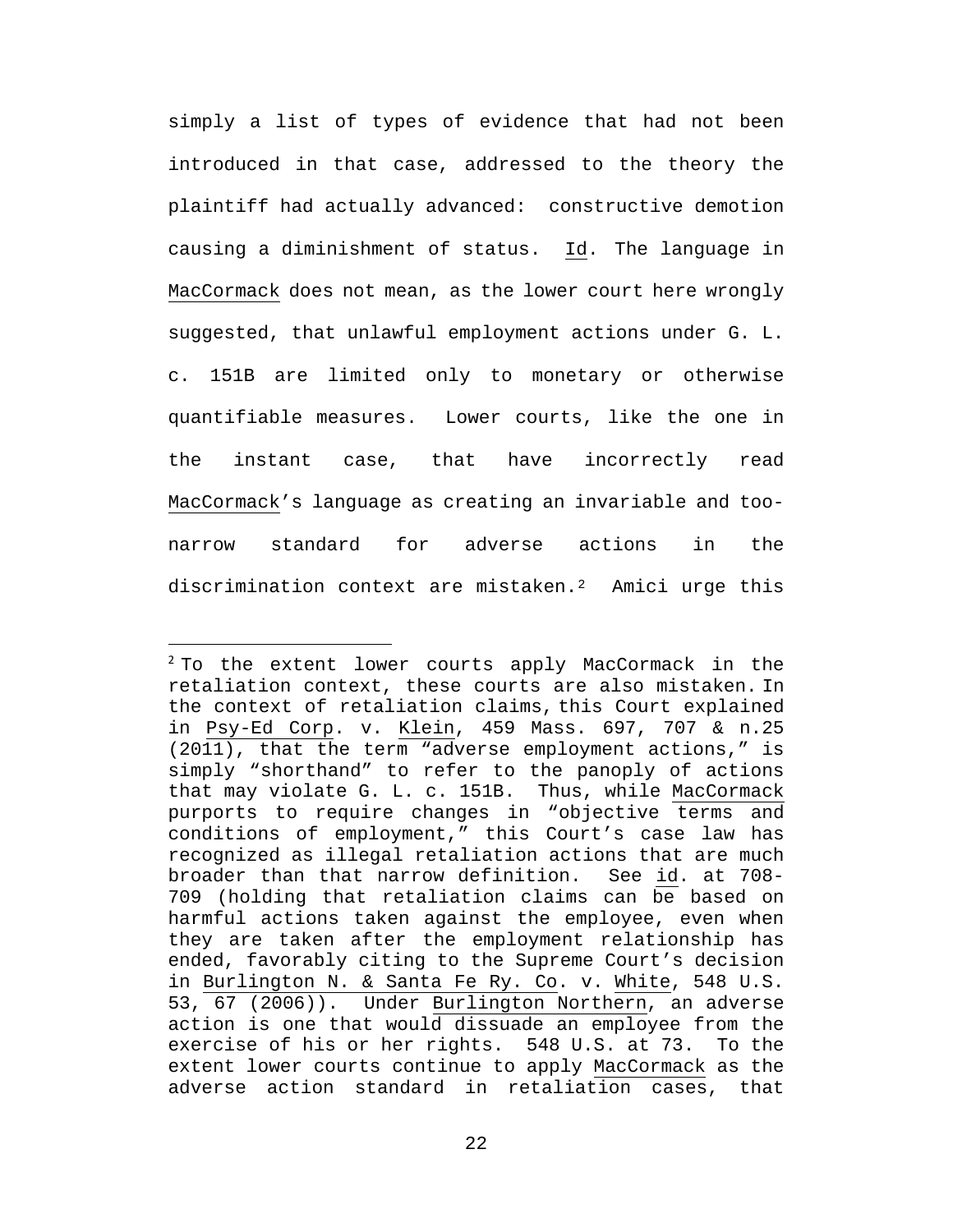simply a list of types of evidence that had not been introduced in that case, addressed to the theory the plaintiff had actually advanced: constructive demotion causing a diminishment of status. Id. The language in MacCormack does not mean, as the lower court here wrongly suggested, that unlawful employment actions under G. L. c. 151B are limited only to monetary or otherwise quantifiable measures. Lower courts, like the one in the instant case, that have incorrectly read MacCormack's language as creating an invariable and toonarrow standard for adverse actions in the discrimination context are mistaken.<sup>[2](#page-29-0)</sup>Amici urge this

<sup>&</sup>lt;sup>2</sup> To the extent lower courts apply MacCormack in the retaliation context, these courts are also mistaken. In the context of retaliation claims, this Court explained in Psy-Ed Corp. v. Klein, 459 Mass. 697, 707 & n.25 (2011), that the term "adverse employment actions," is simply "shorthand" to refer to the panoply of actions that may violate G. L. c. 151B. Thus, while MacCormack purports to require changes in "objective terms and conditions of employment," this Court's case law has recognized as illegal retaliation actions that are much<br>broader than that narrow definition. See id. at 708broader than that narrow definition. 709 (holding that retaliation claims can be based on harmful actions taken against the employee, even when they are taken after the employment relationship has ended, favorably citing to the Supreme Court's decision in Burlington N. & Santa Fe Ry. Co. v. White, 548 U.S. 53, 67 (2006)). Under Burlington Northern, an adverse action is one that would dissuade an employee from the exercise of his or her rights. 548 U.S. at 73. To the extent lower courts continue to apply MacCormack as the adverse action standard in retaliation cases, that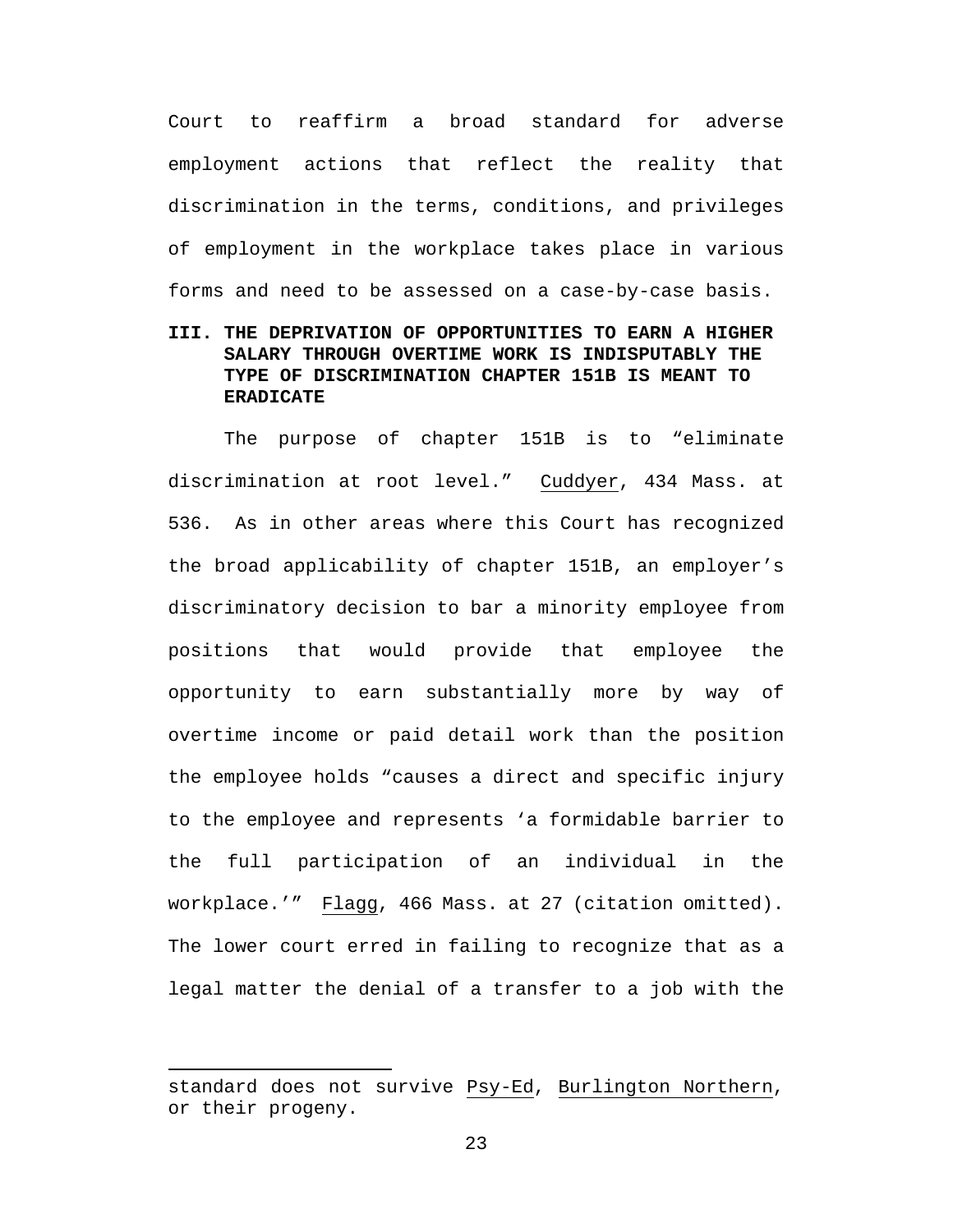Court to reaffirm a broad standard for adverse employment actions that reflect the reality that discrimination in the terms, conditions, and privileges of employment in the workplace takes place in various forms and need to be assessed on a case-by-case basis.

## **III. THE DEPRIVATION OF OPPORTUNITIES TO EARN A HIGHER SALARY THROUGH OVERTIME WORK IS INDISPUTABLY THE TYPE OF DISCRIMINATION CHAPTER 151B IS MEANT TO ERADICATE**

The purpose of chapter 151B is to "eliminate discrimination at root level." Cuddyer, 434 Mass. at 536. As in other areas where this Court has recognized the broad applicability of chapter 151B, an employer's discriminatory decision to bar a minority employee from positions that would provide that employee the opportunity to earn substantially more by way of overtime income or paid detail work than the position the employee holds "causes a direct and specific injury to the employee and represents 'a formidable barrier to the full participation of an individual in the workplace.'" Flagg, 466 Mass. at 27 (citation omitted). The lower court erred in failing to recognize that as a legal matter the denial of a transfer to a job with the

l

standard does not survive Psy-Ed, Burlington Northern, or their progeny.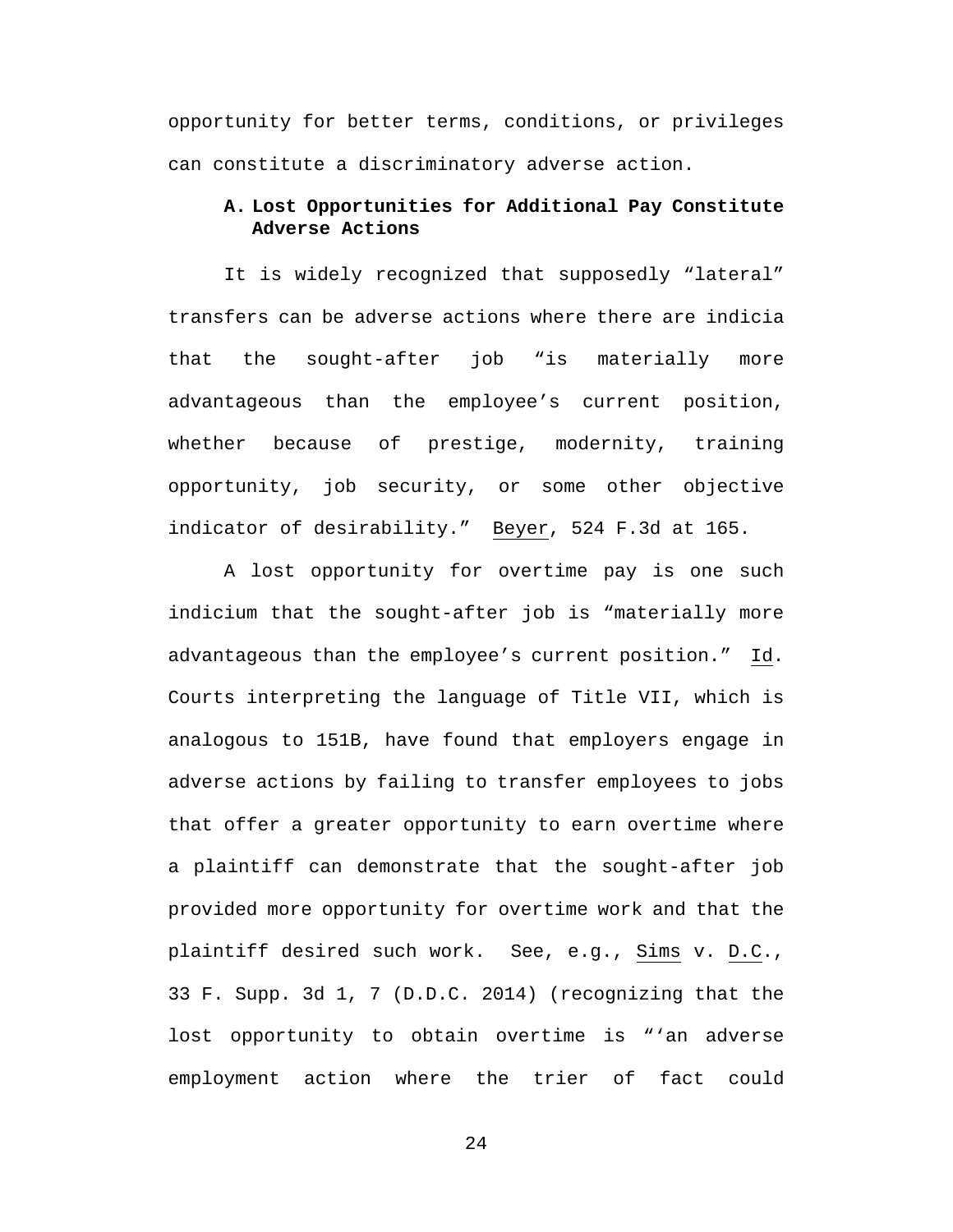opportunity for better terms, conditions, or privileges can constitute a discriminatory adverse action.

# **A. Lost Opportunities for Additional Pay Constitute Adverse Actions**

It is widely recognized that supposedly "lateral" transfers can be adverse actions where there are indicia that the sought-after job "is materially more advantageous than the employee's current position, whether because of prestige, modernity, training opportunity, job security, or some other objective indicator of desirability." Beyer, 524 F.3d at 165.

A lost opportunity for overtime pay is one such indicium that the sought-after job is "materially more advantageous than the employee's current position." Id. Courts interpreting the language of Title VII, which is analogous to 151B, have found that employers engage in adverse actions by failing to transfer employees to jobs that offer a greater opportunity to earn overtime where a plaintiff can demonstrate that the sought-after job provided more opportunity for overtime work and that the plaintiff desired such work. See, e.g., Sims v. D.C., 33 F. Supp. 3d 1, 7 (D.D.C. 2014) (recognizing that the lost opportunity to obtain overtime is "'an adverse employment action where the trier of fact could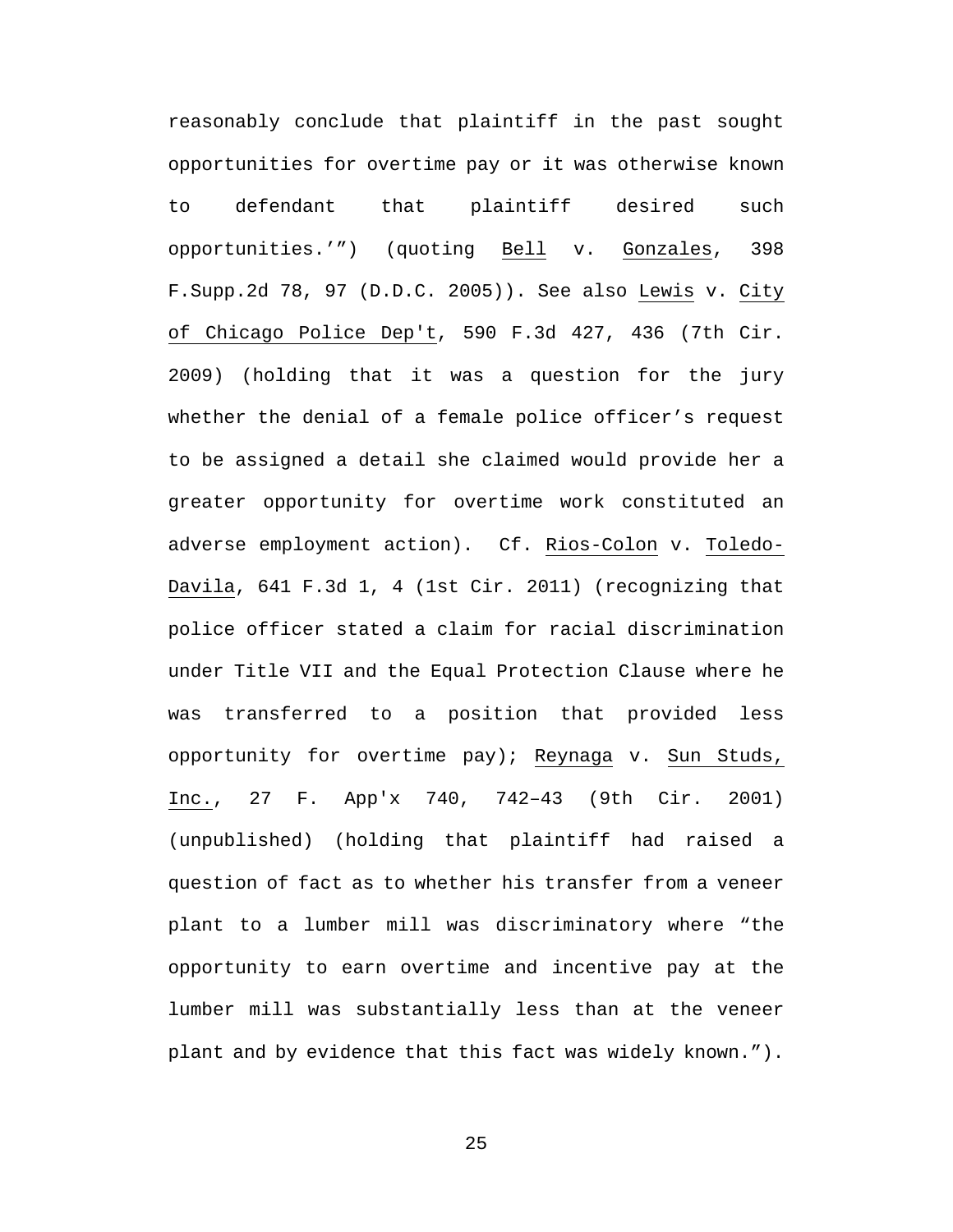<span id="page-29-0"></span>reasonably conclude that plaintiff in the past sought opportunities for overtime pay or it was otherwise known to defendant that plaintiff desired such opportunities.'") (quoting Bell v. Gonzales, 398 F.Supp.2d 78, 97 (D.D.C. 2005)). See also Lewis v. City of Chicago Police Dep't, 590 F.3d 427, 436 (7th Cir. 2009) (holding that it was a question for the jury whether the denial of a female police officer's request to be assigned a detail she claimed would provide her a greater opportunity for overtime work constituted an adverse employment action). Cf. Rios-Colon v. Toledo-Davila, 641 F.3d 1, 4 (1st Cir. 2011) (recognizing that police officer stated a claim for racial discrimination under Title VII and the Equal Protection Clause where he was transferred to a position that provided less opportunity for overtime pay); Reynaga v. Sun Studs, Inc., 27 F. App'x 740, 742–43 (9th Cir. 2001) (unpublished) (holding that plaintiff had raised a question of fact as to whether his transfer from a veneer plant to a lumber mill was discriminatory where "the opportunity to earn overtime and incentive pay at the lumber mill was substantially less than at the veneer plant and by evidence that this fact was widely known.").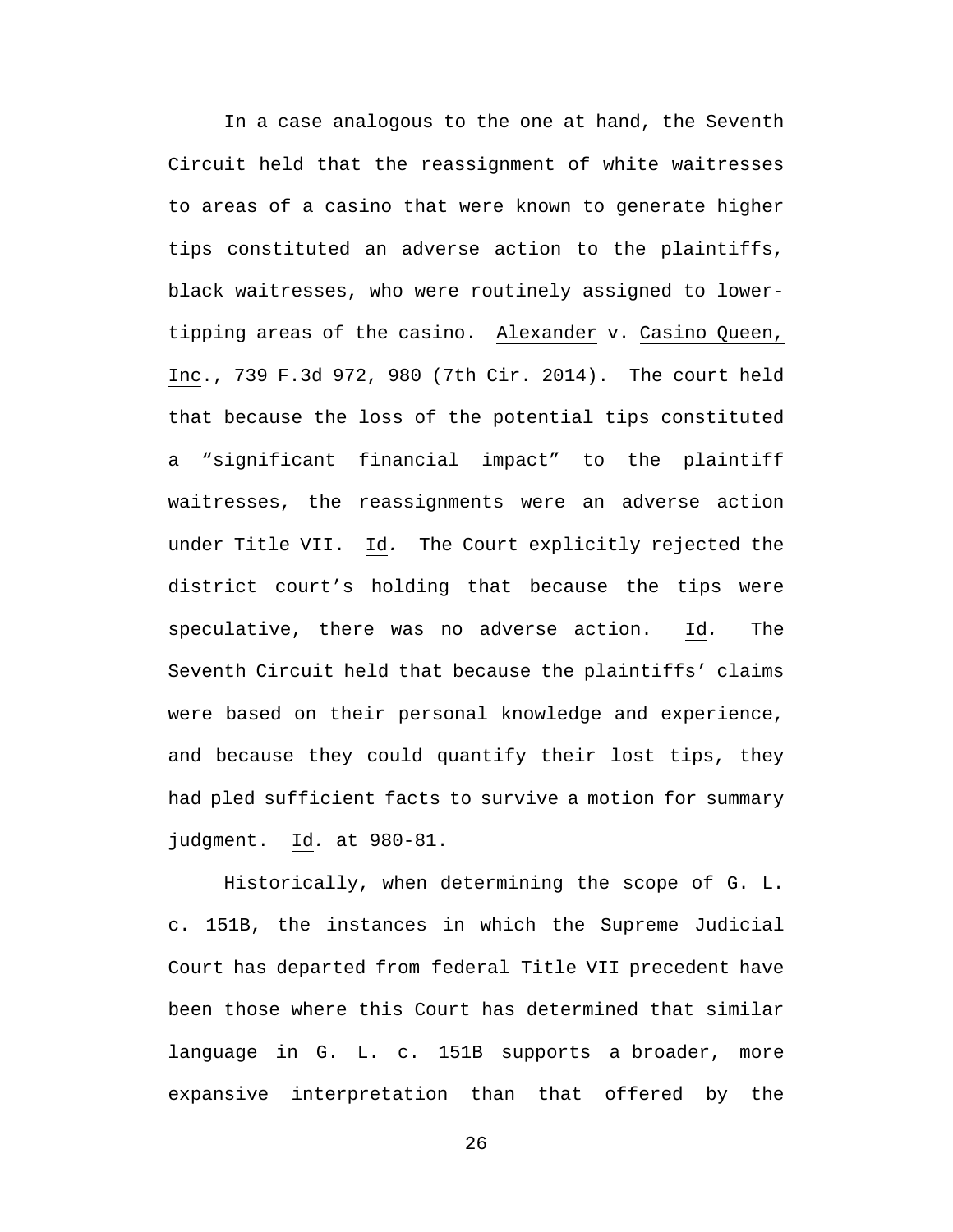In a case analogous to the one at hand, the Seventh Circuit held that the reassignment of white waitresses to areas of a casino that were known to generate higher tips constituted an adverse action to the plaintiffs, black waitresses, who were routinely assigned to lowertipping areas of the casino. Alexander v. Casino Queen, Inc., 739 F.3d 972, 980 (7th Cir. 2014). The court held that because the loss of the potential tips constituted a "significant financial impact" to the plaintiff waitresses, the reassignments were an adverse action under Title VII. Id*.* The Court explicitly rejected the district court's holding that because the tips were speculative, there was no adverse action. Id*.* The Seventh Circuit held that because the plaintiffs' claims were based on their personal knowledge and experience, and because they could quantify their lost tips, they had pled sufficient facts to survive a motion for summary judgment. Id*.* at 980-81.

Historically, when determining the scope of G. L. c. 151B, the instances in which the Supreme Judicial Court has departed from federal Title VII precedent have been those where this Court has determined that similar language in G. L. c. 151B supports a broader, more expansive interpretation than that offered by the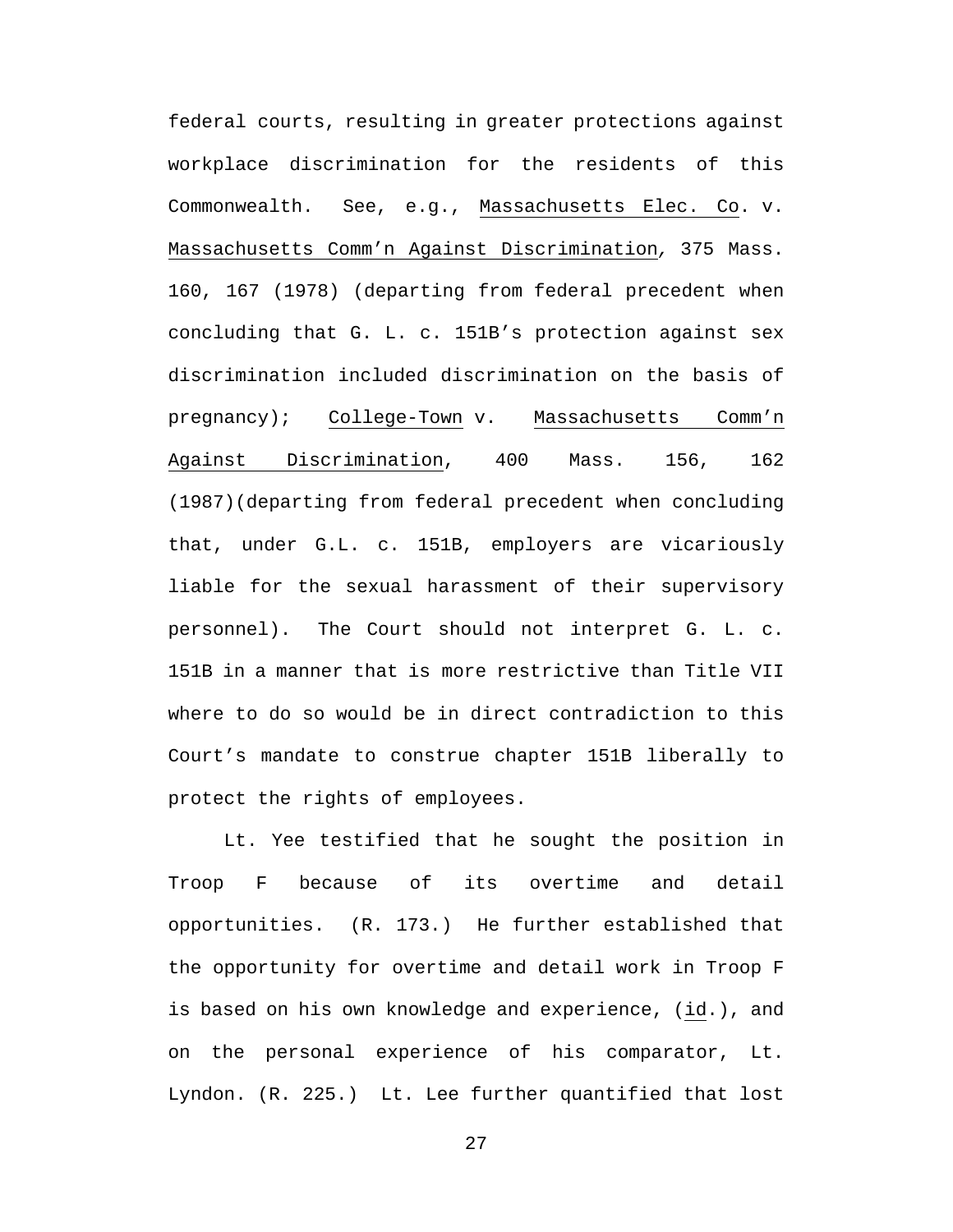federal courts, resulting in greater protections against workplace discrimination for the residents of this Commonwealth. See, e.g., Massachusetts Elec. Co. v. Massachusetts Comm'n Against Discrimination*,* 375 Mass. 160, 167 (1978) (departing from federal precedent when concluding that G. L. c. 151B's protection against sex discrimination included discrimination on the basis of pregnancy); College-Town v. Massachusetts Comm'n Against Discrimination, 400 Mass. 156, 162 (1987)(departing from federal precedent when concluding that, under G.L. c. 151B, employers are vicariously liable for the sexual harassment of their supervisory personnel). The Court should not interpret G. L. c. 151B in a manner that is more restrictive than Title VII where to do so would be in direct contradiction to this Court's mandate to construe chapter 151B liberally to protect the rights of employees.

<span id="page-31-0"></span>Lt. Yee testified that he sought the position in Troop F because of its overtime and detail opportunities. (R. 173.) He further established that the opportunity for overtime and detail work in Troop F is based on his own knowledge and experience, (id.), and on the personal experience of his comparator, Lt. Lyndon. (R. 225.) Lt. Lee further quantified that lost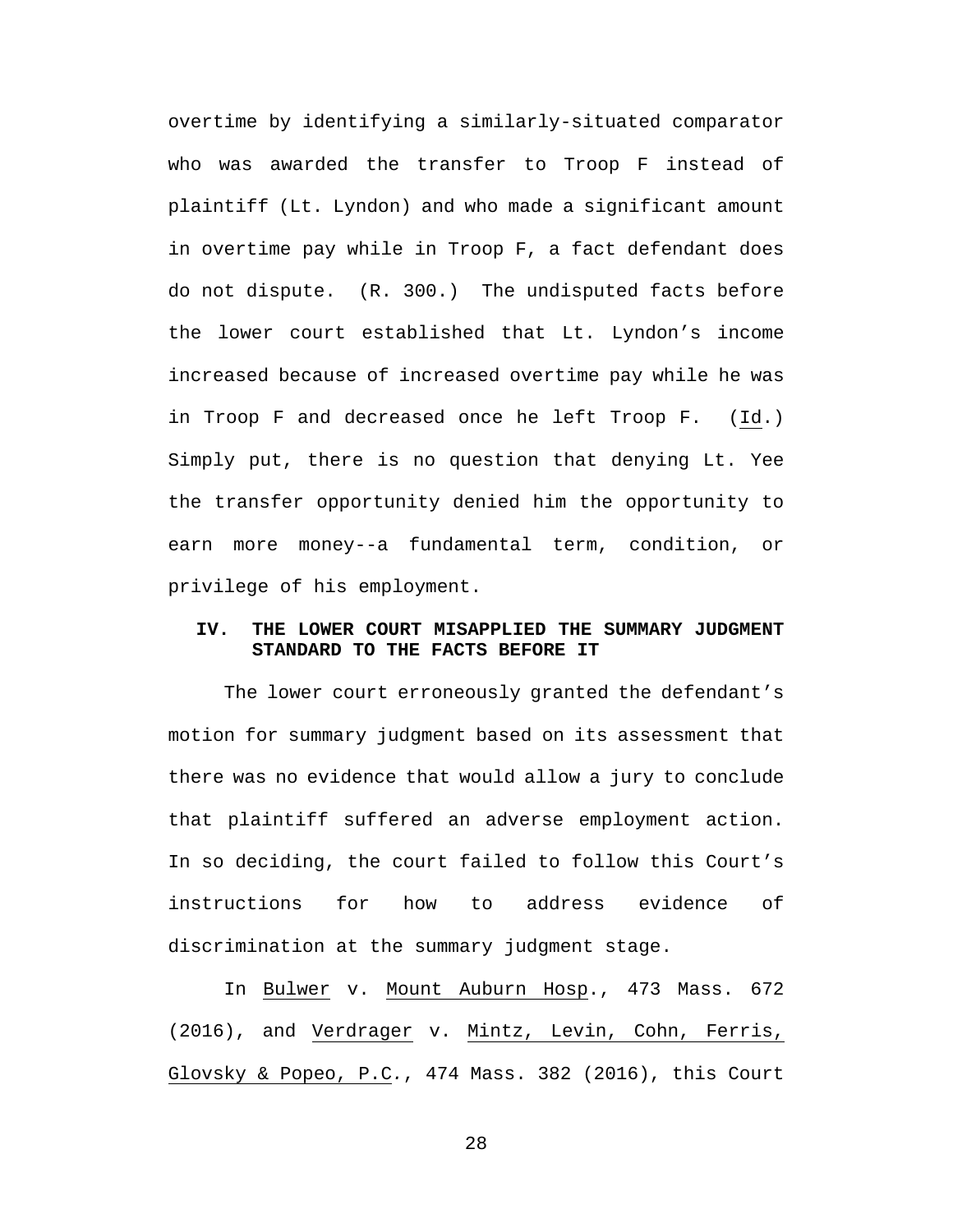overtime by identifying a similarly-situated comparator who was awarded the transfer to Troop F instead of plaintiff (Lt. Lyndon) and who made a significant amount in overtime pay while in Troop F, a fact defendant does do not dispute. (R. 300.) The undisputed facts before the lower court established that Lt. Lyndon's income increased because of increased overtime pay while he was in Troop F and decreased once he left Troop F. (Id.) Simply put, there is no question that denying Lt. Yee the transfer opportunity denied him the opportunity to earn more money--a fundamental term, condition, or privilege of his employment.

### **IV. THE LOWER COURT MISAPPLIED THE SUMMARY JUDGMENT STANDARD TO THE FACTS BEFORE IT**

The lower court erroneously granted the defendant's motion for summary judgment based on its assessment that there was no evidence that would allow a jury to conclude that plaintiff suffered an adverse employment action. In so deciding, the court failed to follow this Court's instructions for how to address evidence of discrimination at the summary judgment stage.

In Bulwer v. Mount Auburn Hosp., 473 Mass. 672 (2016), and Verdrager v. Mintz, Levin, Cohn, Ferris, Glovsky & Popeo, P.C*.*, 474 Mass. 382 (2016), this Court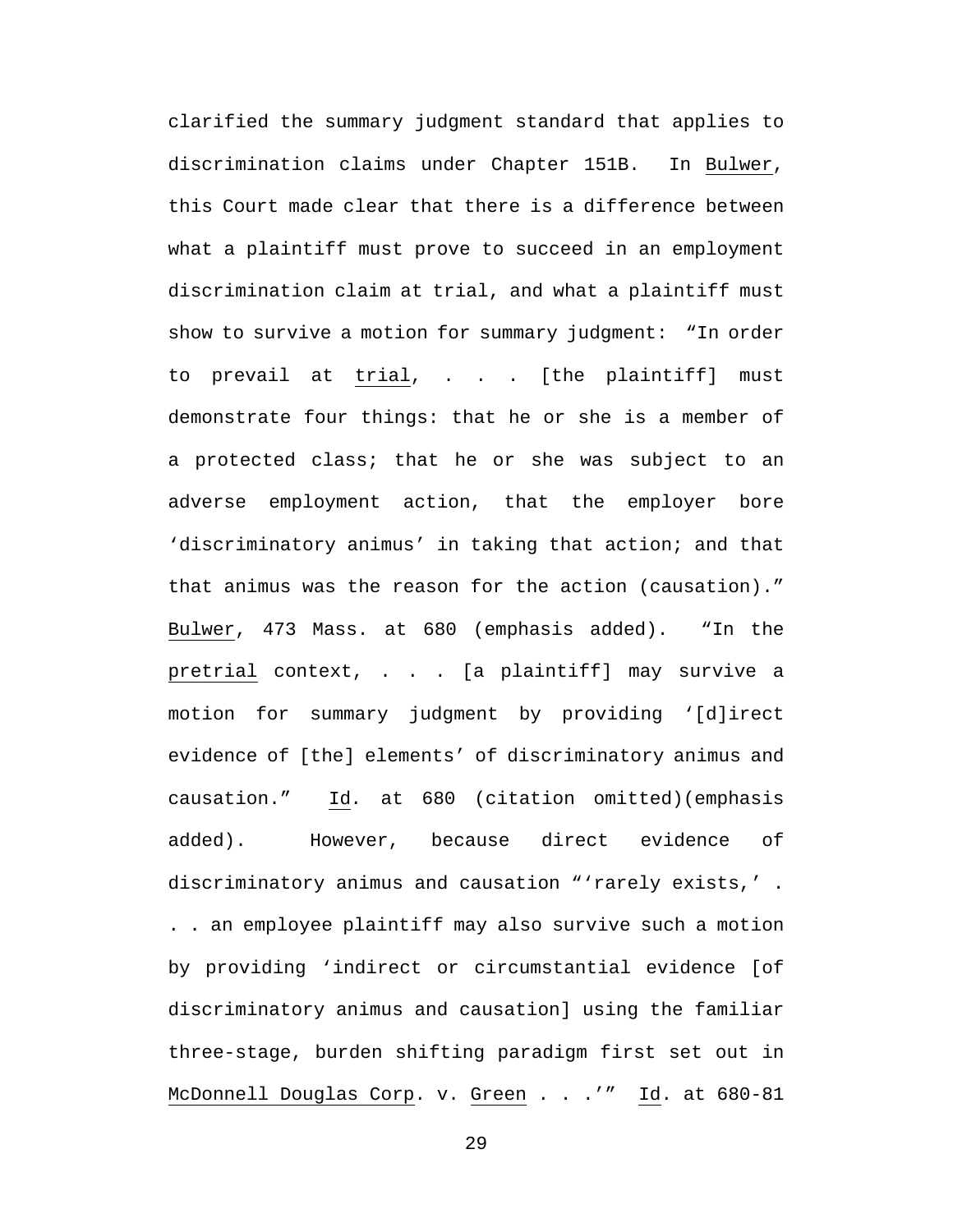clarified the summary judgment standard that applies to discrimination claims under Chapter 151B. In Bulwer, this Court made clear that there is a difference between what a plaintiff must prove to succeed in an employment discrimination claim at trial, and what a plaintiff must show to survive a motion for summary judgment: "In order to prevail at trial, . . . [the plaintiff] must demonstrate four things: that he or she is a member of a protected class; that he or she was subject to an adverse employment action, that the employer bore 'discriminatory animus' in taking that action; and that that animus was the reason for the action (causation)." Bulwer, 473 Mass. at 680 (emphasis added). "In the pretrial context, . . . [a plaintiff] may survive a motion for summary judgment by providing '[d]irect evidence of [the] elements' of discriminatory animus and causation." Id*.* at 680 (citation omitted)(emphasis added). However, because direct evidence of discriminatory animus and causation "'rarely exists,' . . . an employee plaintiff may also survive such a motion by providing 'indirect or circumstantial evidence [of discriminatory animus and causation] using the familiar three-stage, burden shifting paradigm first set out in McDonnell Douglas Corp. v. Green . . .'" Id. at 680-81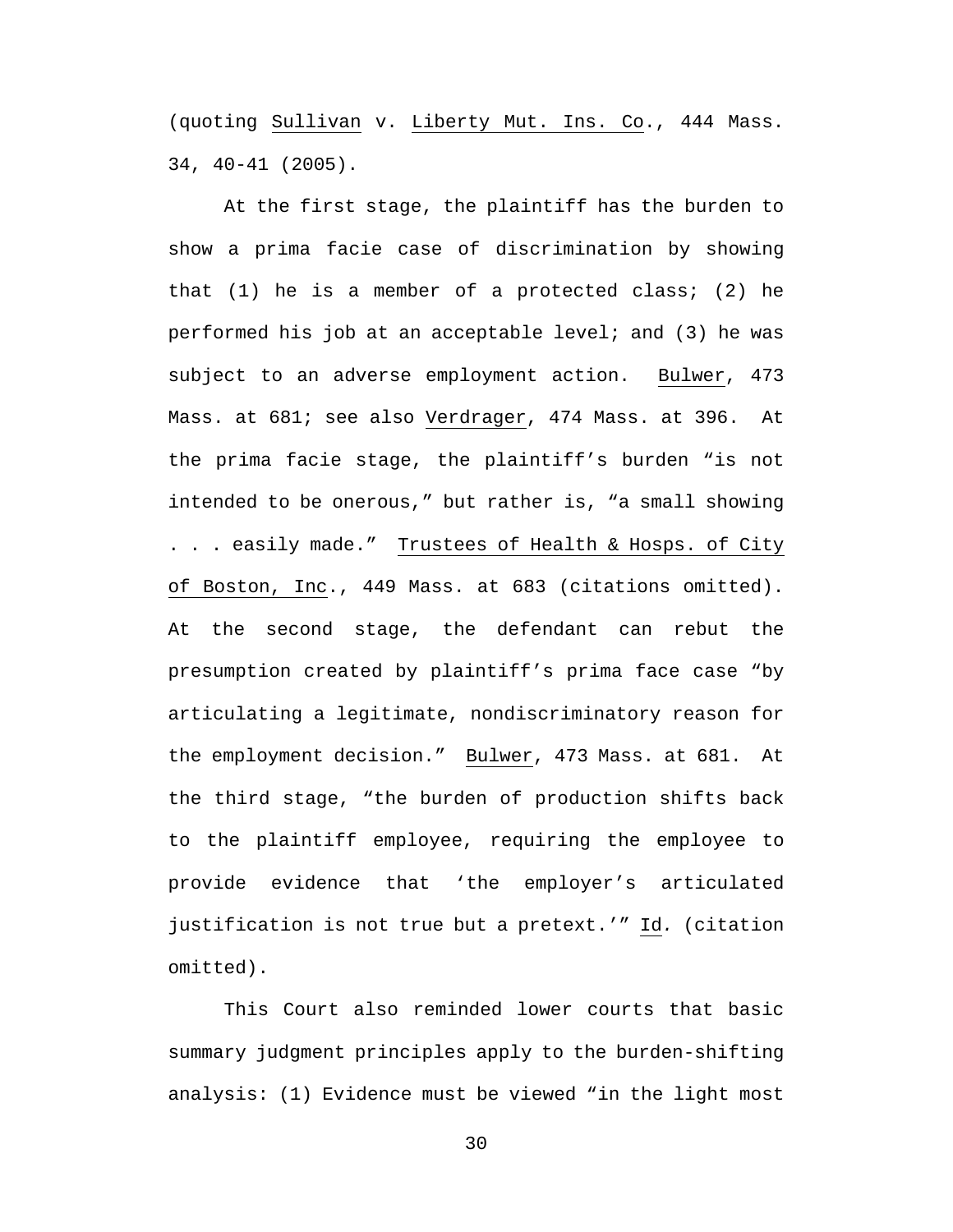(quoting Sullivan v. Liberty Mut. Ins. Co., 444 Mass. 34, 40-41 (2005).

At the first stage, the plaintiff has the burden to show a prima facie case of discrimination by showing that  $(1)$  he is a member of a protected class;  $(2)$  he performed his job at an acceptable level; and (3) he was subject to an adverse employment action. Bulwer, 473 Mass. at 681; see also Verdrager, 474 Mass. at 396. At the prima facie stage, the plaintiff's burden "is not intended to be onerous," but rather is, "a small showing . . . easily made." Trustees of Health & Hosps. of City of Boston, Inc., 449 Mass. at 683 (citations omitted). At the second stage, the defendant can rebut the presumption created by plaintiff's prima face case "by articulating a legitimate, nondiscriminatory reason for the employment decision." Bulwer, 473 Mass. at 681. At the third stage, "the burden of production shifts back to the plaintiff employee, requiring the employee to provide evidence that 'the employer's articulated justification is not true but a pretext.'" Id*.* (citation omitted).

This Court also reminded lower courts that basic summary judgment principles apply to the burden-shifting analysis: (1) Evidence must be viewed "in the light most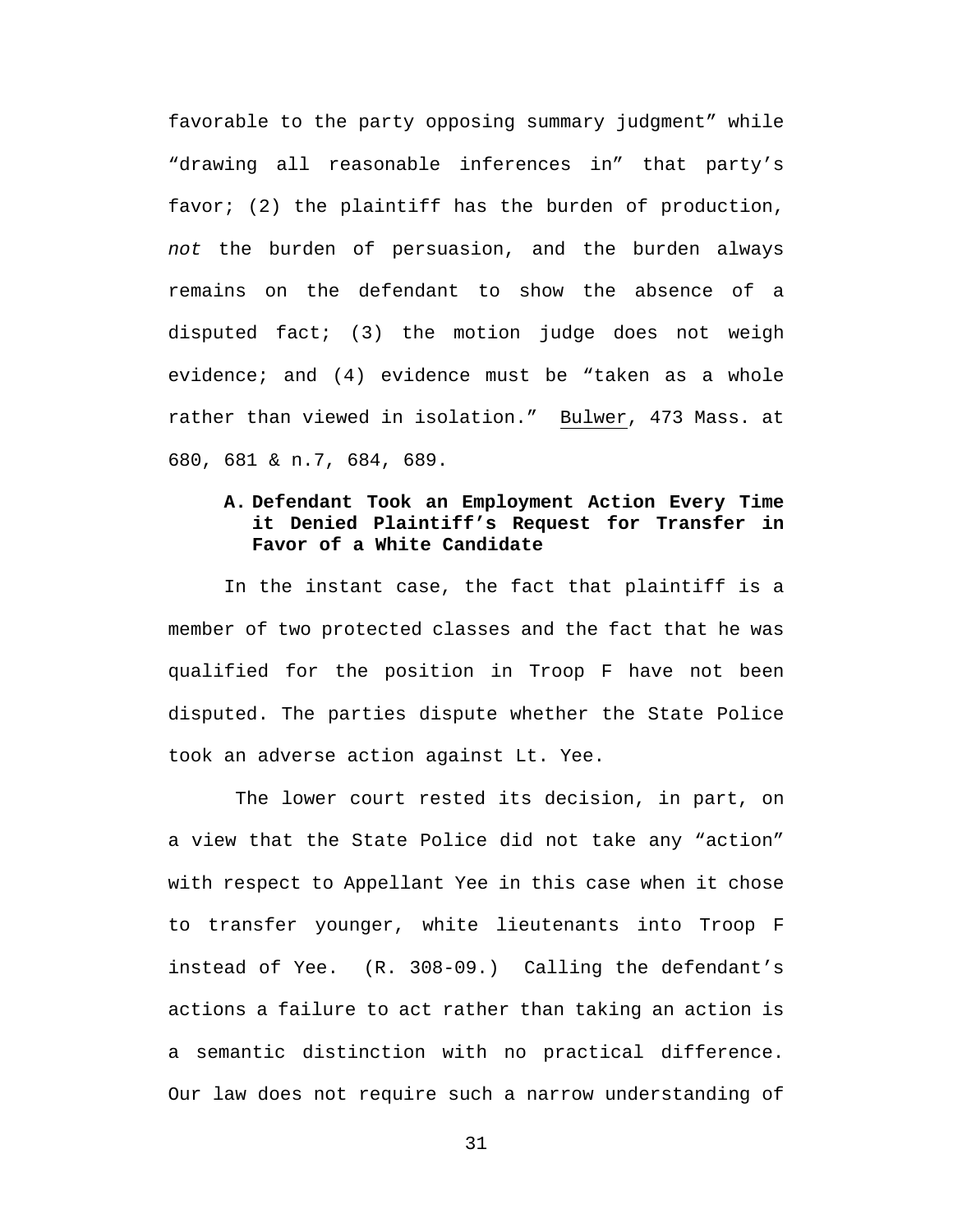favorable to the party opposing summary judgment" while "drawing all reasonable inferences in" that party's favor; (2) the plaintiff has the burden of production, *not* the burden of persuasion, and the burden always remains on the defendant to show the absence of a disputed fact; (3) the motion judge does not weigh evidence; and (4) evidence must be "taken as a whole rather than viewed in isolation." Bulwer, 473 Mass. at 680, 681 & n.7, 684, 689.

# **A. Defendant Took an Employment Action Every Time it Denied Plaintiff's Request for Transfer in Favor of a White Candidate**

In the instant case, the fact that plaintiff is a member of two protected classes and the fact that he was qualified for the position in Troop F have not been disputed. The parties dispute whether the State Police took an adverse action against Lt. Yee.

The lower court rested its decision, in part, on a view that the State Police did not take any "action" with respect to Appellant Yee in this case when it chose to transfer younger, white lieutenants into Troop F instead of Yee. (R. 308-09.) Calling the defendant's actions a failure to act rather than taking an action is a semantic distinction with no practical difference. Our law does not require such a narrow understanding of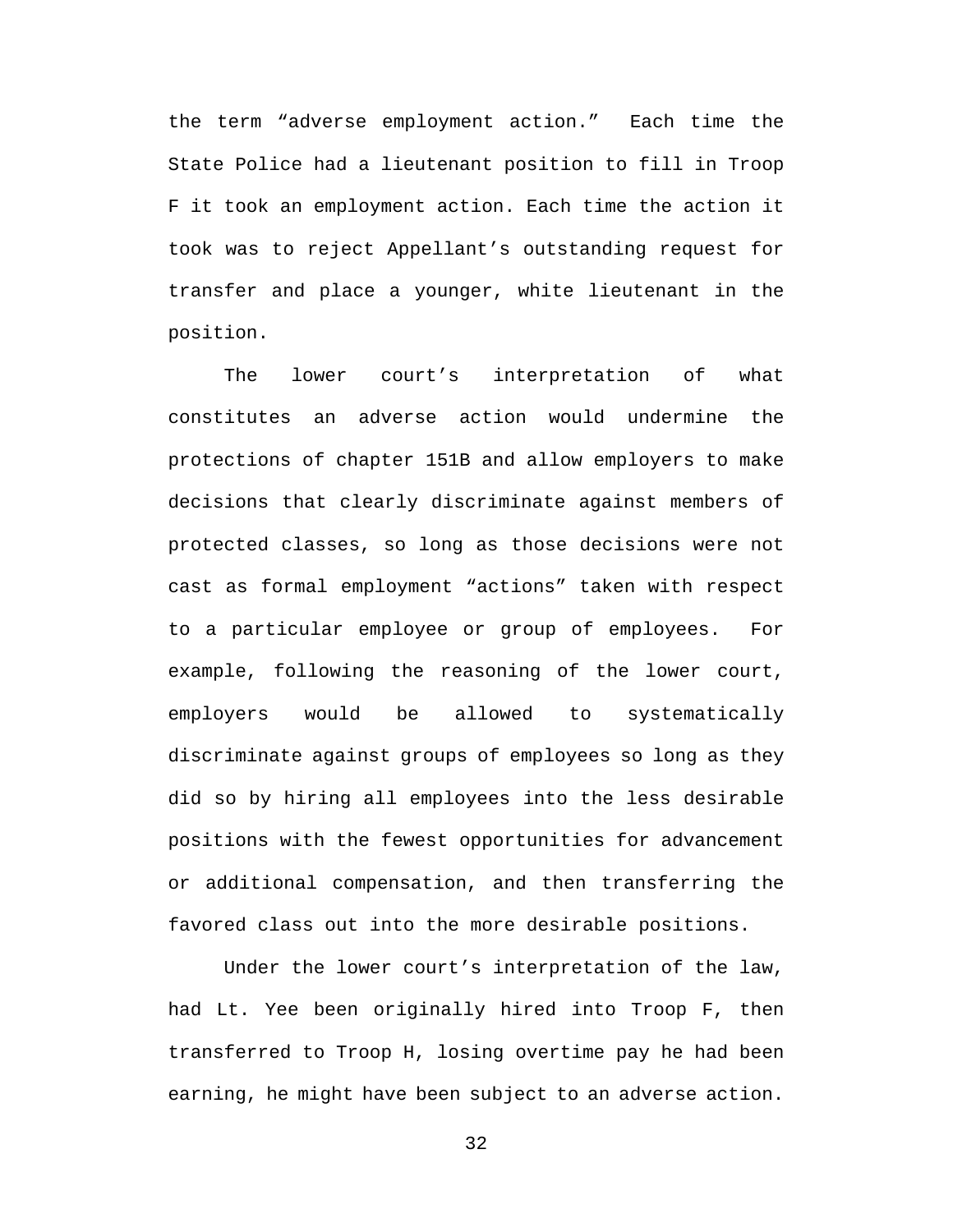the term "adverse employment action." Each time the State Police had a lieutenant position to fill in Troop F it took an employment action. Each time the action it took was to reject Appellant's outstanding request for transfer and place a younger, white lieutenant in the position.

The lower court's interpretation of what constitutes an adverse action would undermine the protections of chapter 151B and allow employers to make decisions that clearly discriminate against members of protected classes, so long as those decisions were not cast as formal employment "actions" taken with respect to a particular employee or group of employees. For example, following the reasoning of the lower court, employers would be allowed to systematically discriminate against groups of employees so long as they did so by hiring all employees into the less desirable positions with the fewest opportunities for advancement or additional compensation, and then transferring the favored class out into the more desirable positions.

Under the lower court's interpretation of the law, had Lt. Yee been originally hired into Troop F, then transferred to Troop H, losing overtime pay he had been earning, he might have been subject to an adverse action.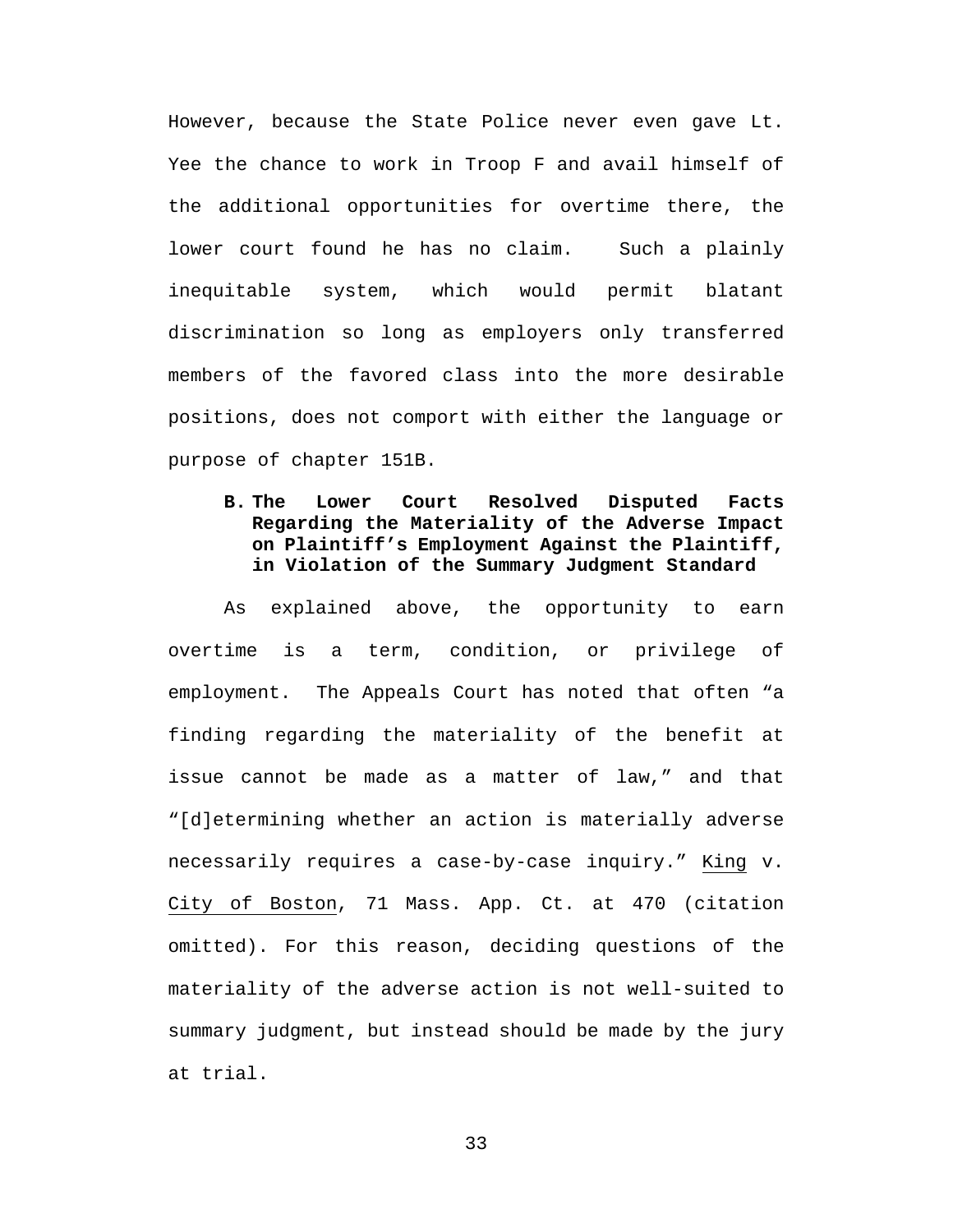However, because the State Police never even gave Lt. Yee the chance to work in Troop F and avail himself of the additional opportunities for overtime there, the lower court found he has no claim. Such a plainly inequitable system, which would permit blatant discrimination so long as employers only transferred members of the favored class into the more desirable positions, does not comport with either the language or purpose of chapter 151B.

# **B. The Lower Court Resolved Disputed Facts Regarding the Materiality of the Adverse Impact on Plaintiff's Employment Against the Plaintiff, in Violation of the Summary Judgment Standard**

As explained above, the opportunity to earn overtime is a term, condition, or privilege of employment. The Appeals Court has noted that often "a finding regarding the materiality of the benefit at issue cannot be made as a matter of law," and that "[d]etermining whether an action is materially adverse necessarily requires a case-by-case inquiry." King v. City of Boston, 71 Mass. App. Ct. at 470 (citation omitted). For this reason, deciding questions of the materiality of the adverse action is not well-suited to summary judgment, but instead should be made by the jury at trial.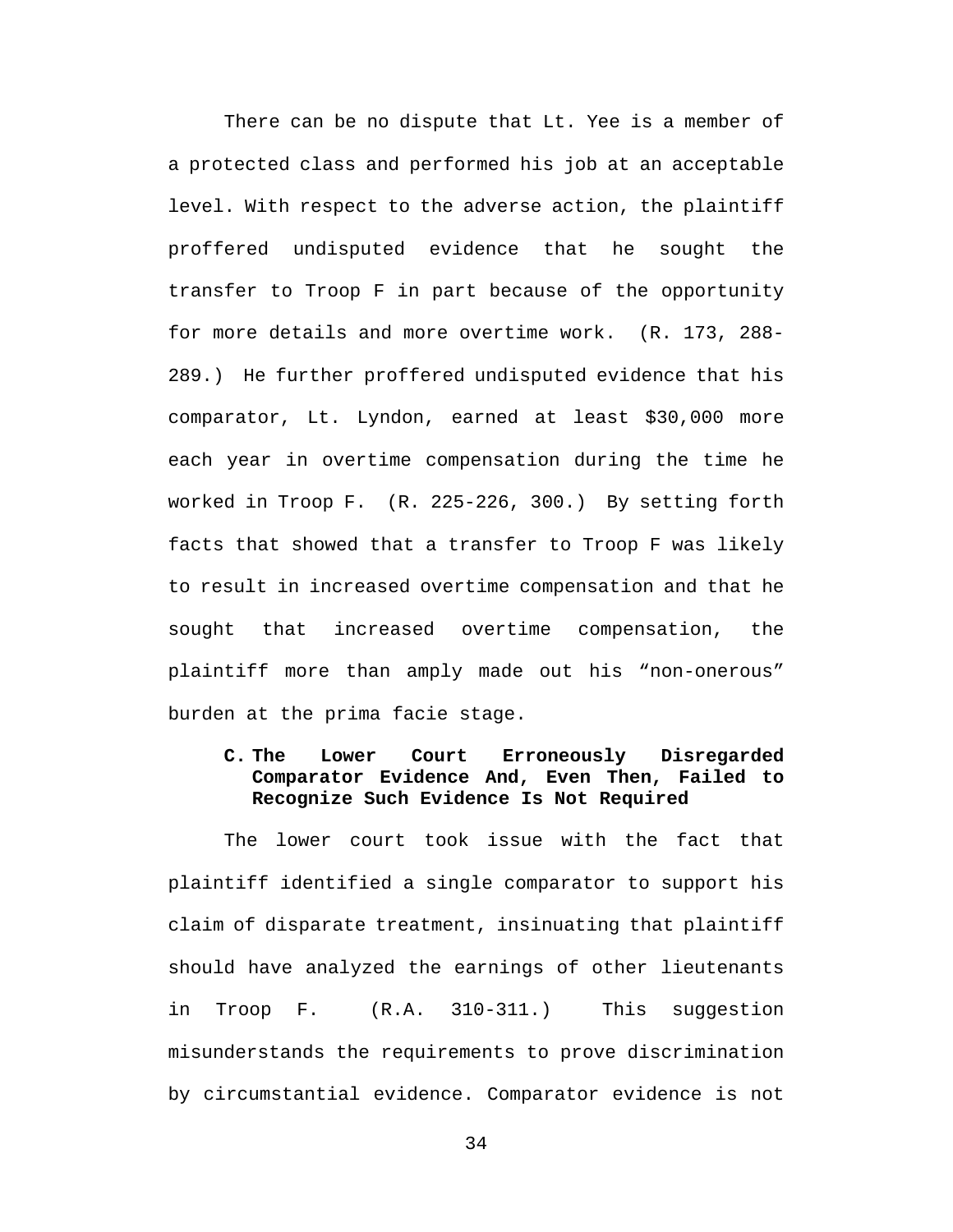There can be no dispute that Lt. Yee is a member of a protected class and performed his job at an acceptable level. With respect to the adverse action, the plaintiff proffered undisputed evidence that he sought the transfer to Troop F in part because of the opportunity for more details and more overtime work. (R. 173, 288- 289.) He further proffered undisputed evidence that his comparator, Lt. Lyndon, earned at least \$30,000 more each year in overtime compensation during the time he worked in Troop F. (R. 225-226, 300.) By setting forth facts that showed that a transfer to Troop F was likely to result in increased overtime compensation and that he sought that increased overtime compensation, the plaintiff more than amply made out his "non-onerous" burden at the prima facie stage.

# **C. The Lower Court Erroneously Disregarded Comparator Evidence And, Even Then, Failed to Recognize Such Evidence Is Not Required**

The lower court took issue with the fact that plaintiff identified a single comparator to support his claim of disparate treatment, insinuating that plaintiff should have analyzed the earnings of other lieutenants in Troop F. (R.A. 310-311.) This suggestion misunderstands the requirements to prove discrimination by circumstantial evidence. Comparator evidence is not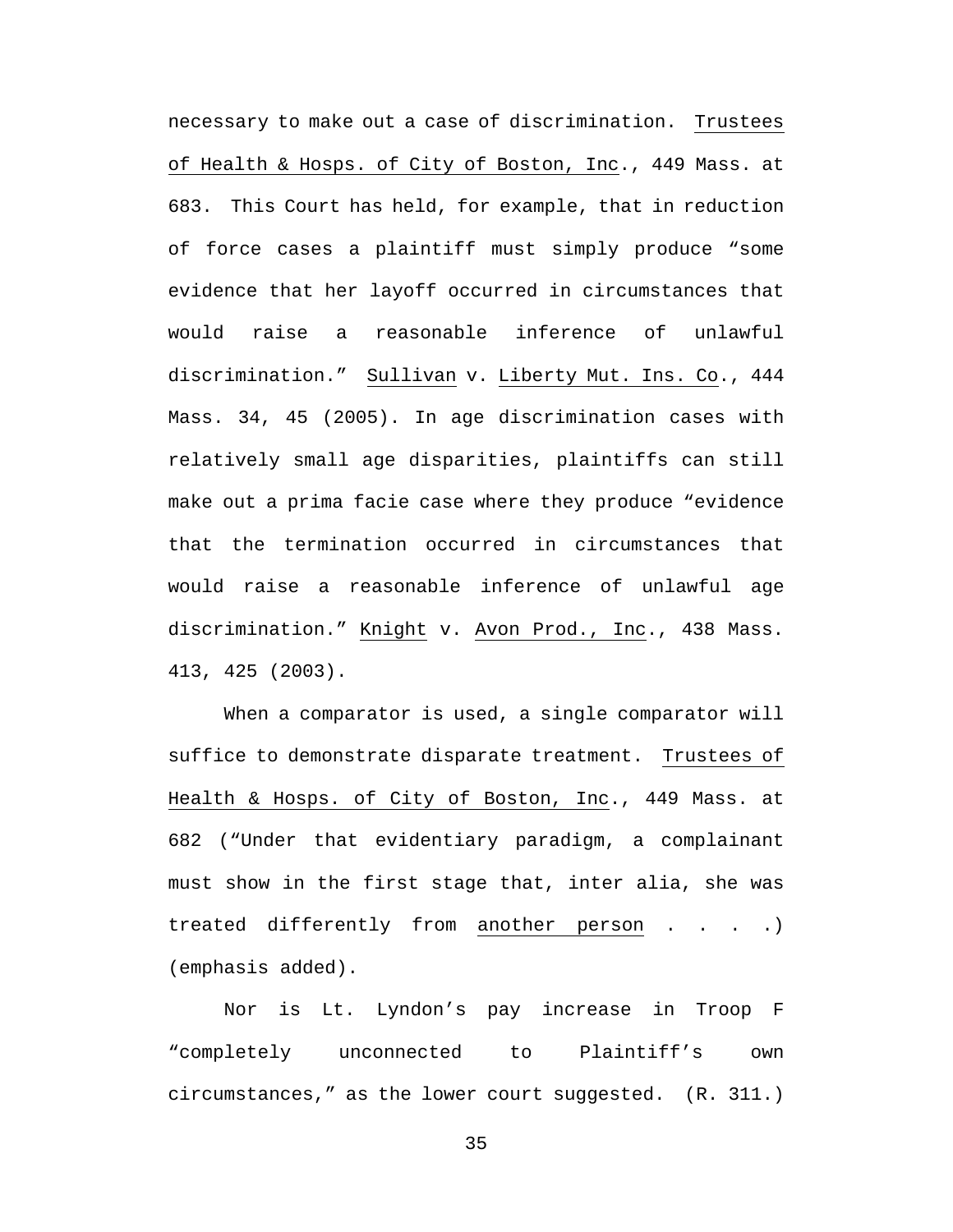necessary to make out a case of discrimination. Trustees of Health & Hosps. of City of Boston, Inc., 449 Mass. at 683. This Court has held, for example, that in reduction of force cases a plaintiff must simply produce "some evidence that her layoff occurred in circumstances that would raise a reasonable inference of unlawful discrimination." Sullivan v. Liberty Mut. Ins. Co., 444 Mass. 34, 45 (2005). In age discrimination cases with relatively small age disparities, plaintiffs can still make out a prima facie case where they produce "evidence that the termination occurred in circumstances that would raise a reasonable inference of unlawful age discrimination." Knight v. Avon Prod., Inc., 438 Mass. 413, 425 (2003).

When a comparator is used, a single comparator will suffice to demonstrate disparate treatment. Trustees of Health & Hosps. of City of Boston, Inc., 449 Mass. at 682 ("Under that evidentiary paradigm, a complainant must show in the first stage that, inter alia, she was treated differently from another person . . . . ) (emphasis added).

Nor is Lt. Lyndon's pay increase in Troop F "completely unconnected to Plaintiff's own circumstances," as the lower court suggested. (R. 311.)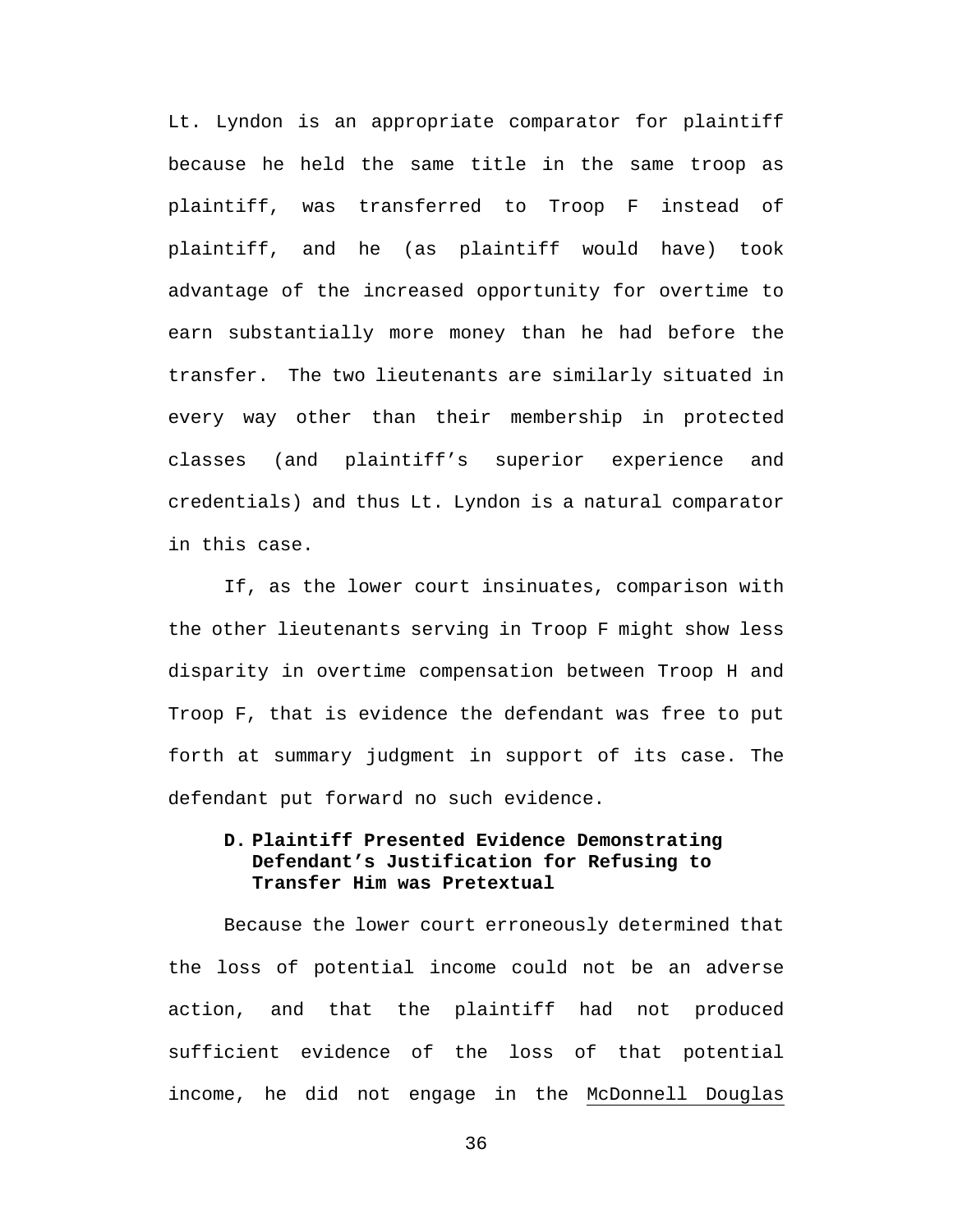Lt. Lyndon is an appropriate comparator for plaintiff because he held the same title in the same troop as plaintiff, was transferred to Troop F instead of plaintiff, and he (as plaintiff would have) took advantage of the increased opportunity for overtime to earn substantially more money than he had before the transfer. The two lieutenants are similarly situated in every way other than their membership in protected classes (and plaintiff's superior experience and credentials) and thus Lt. Lyndon is a natural comparator in this case.

If, as the lower court insinuates, comparison with the other lieutenants serving in Troop F might show less disparity in overtime compensation between Troop H and Troop F, that is evidence the defendant was free to put forth at summary judgment in support of its case. The defendant put forward no such evidence.

## **D. Plaintiff Presented Evidence Demonstrating Defendant's Justification for Refusing to Transfer Him was Pretextual**

Because the lower court erroneously determined that the loss of potential income could not be an adverse action, and that the plaintiff had not produced sufficient evidence of the loss of that potential income, he did not engage in the McDonnell Douglas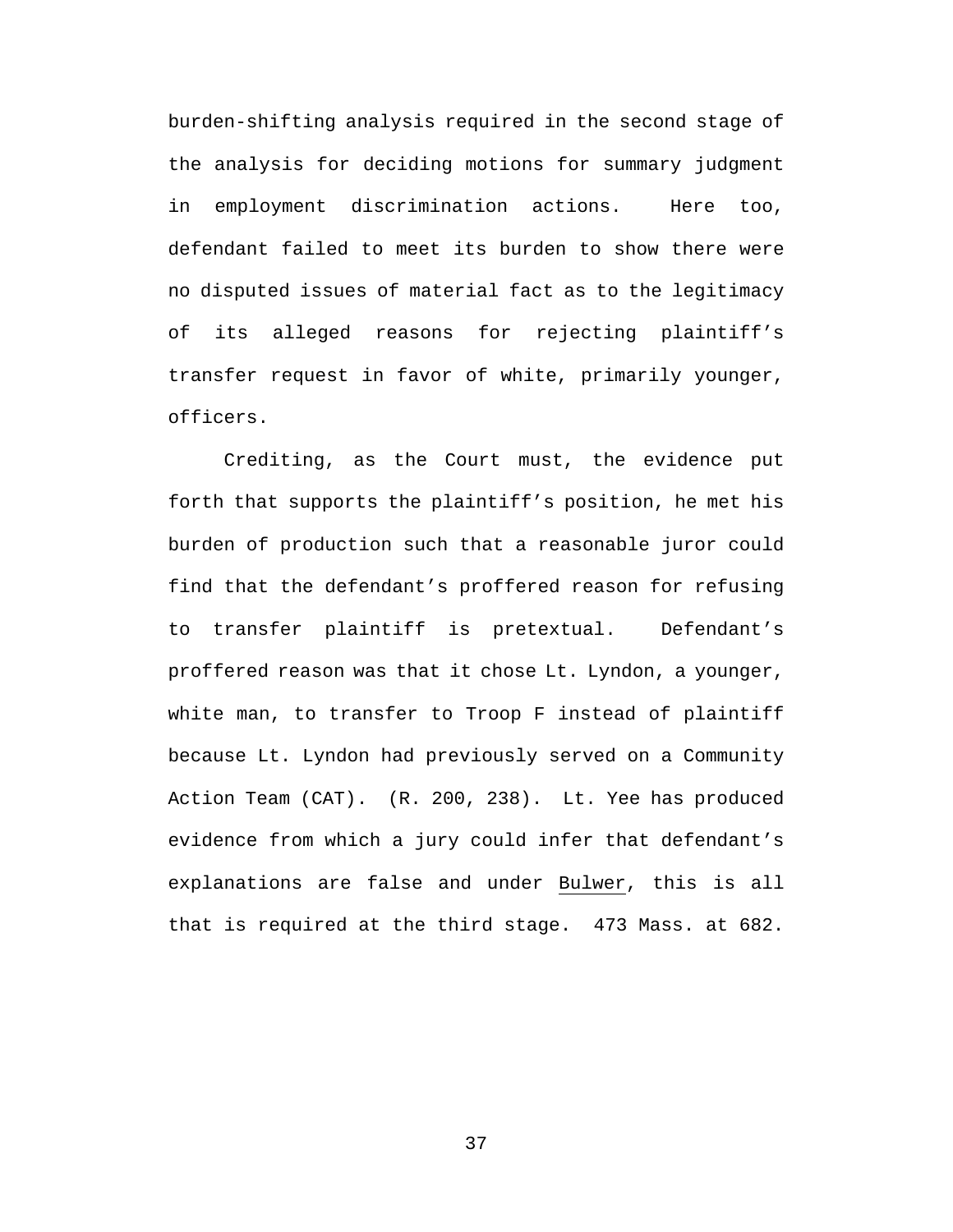burden-shifting analysis required in the second stage of the analysis for deciding motions for summary judgment in employment discrimination actions. Here too, defendant failed to meet its burden to show there were no disputed issues of material fact as to the legitimacy of its alleged reasons for rejecting plaintiff's transfer request in favor of white, primarily younger, officers.

Crediting, as the Court must, the evidence put forth that supports the plaintiff's position, he met his burden of production such that a reasonable juror could find that the defendant's proffered reason for refusing to transfer plaintiff is pretextual. Defendant's proffered reason was that it chose Lt. Lyndon, a younger, white man, to transfer to Troop F instead of plaintiff because Lt. Lyndon had previously served on a Community Action Team (CAT). (R. 200, 238). Lt. Yee has produced evidence from which a jury could infer that defendant's explanations are false and under Bulwer, this is all that is required at the third stage. 473 Mass. at 682.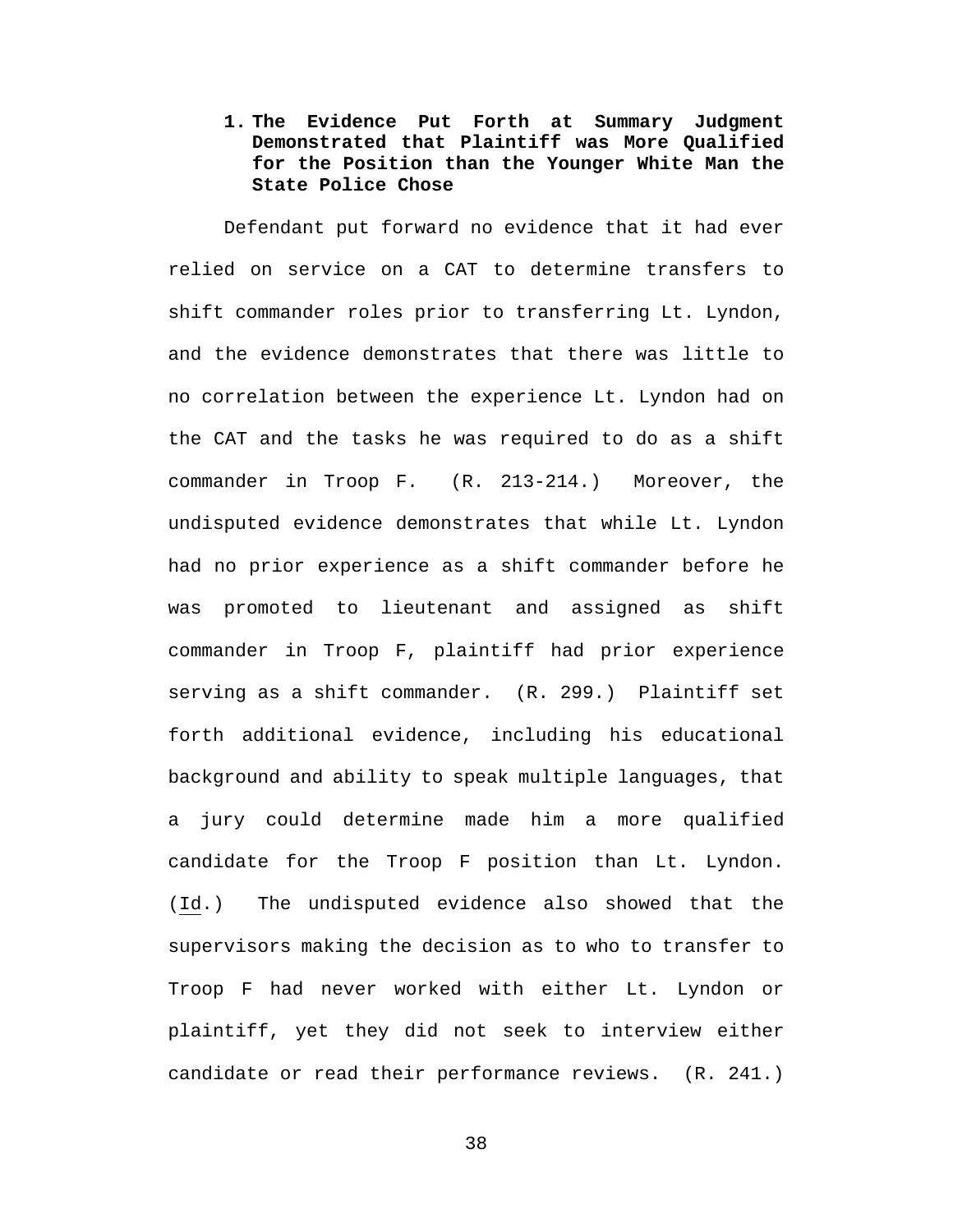**1. The Evidence Put Forth at Summary Judgment Demonstrated that Plaintiff was More Qualified for the Position than the Younger White Man the State Police Chose**

Defendant put forward no evidence that it had ever relied on service on a CAT to determine transfers to shift commander roles prior to transferring Lt. Lyndon, and the evidence demonstrates that there was little to no correlation between the experience Lt. Lyndon had on the CAT and the tasks he was required to do as a shift commander in Troop F. (R. 213-214.) Moreover, the undisputed evidence demonstrates that while Lt. Lyndon had no prior experience as a shift commander before he was promoted to lieutenant and assigned as shift commander in Troop F, plaintiff had prior experience serving as a shift commander. (R. 299.) Plaintiff set forth additional evidence, including his educational background and ability to speak multiple languages, that a jury could determine made him a more qualified candidate for the Troop F position than Lt. Lyndon. (Id.) The undisputed evidence also showed that the supervisors making the decision as to who to transfer to Troop F had never worked with either Lt. Lyndon or plaintiff, yet they did not seek to interview either candidate or read their performance reviews. (R. 241.)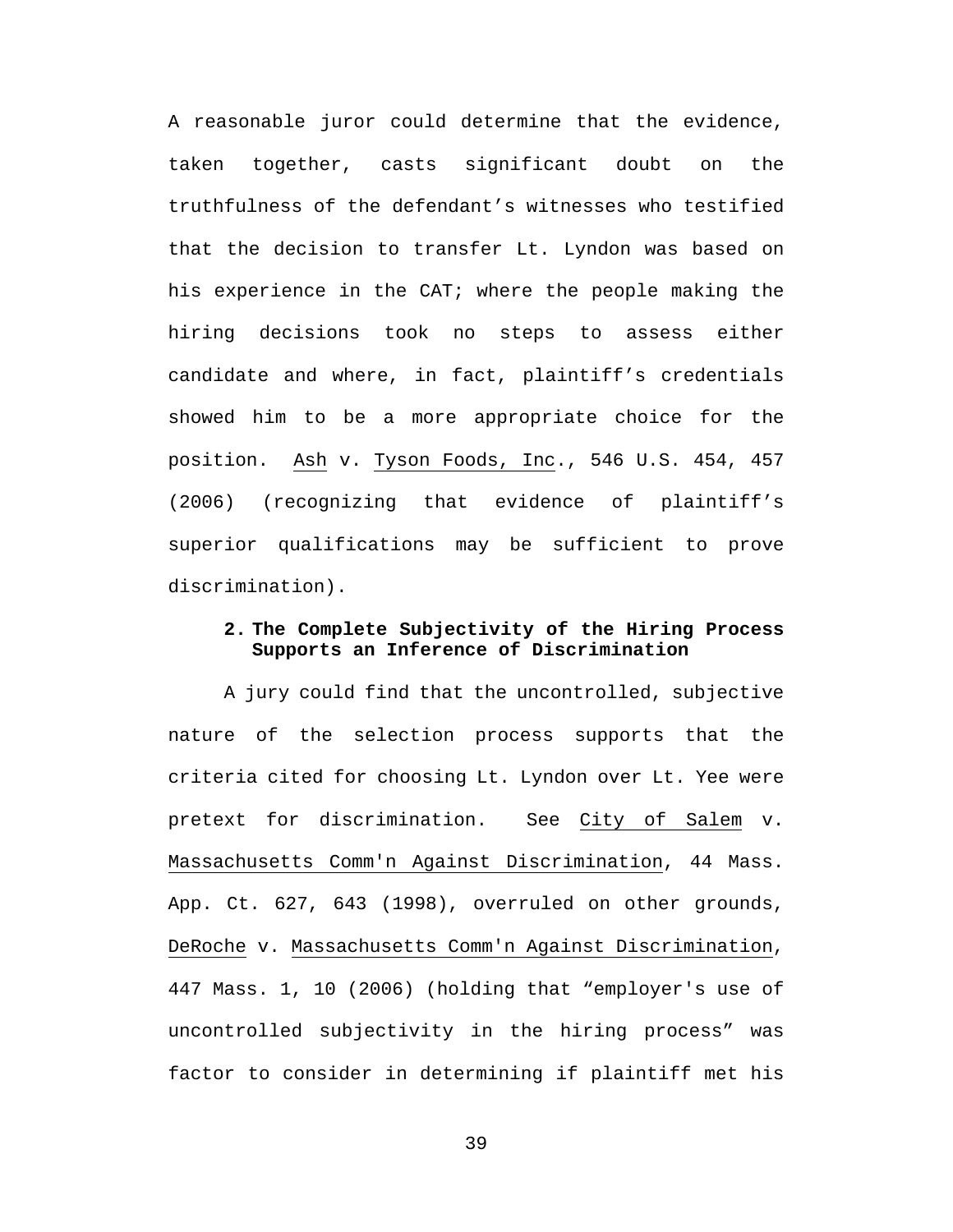A reasonable juror could determine that the evidence, taken together, casts significant doubt on the truthfulness of the defendant's witnesses who testified that the decision to transfer Lt. Lyndon was based on his experience in the CAT; where the people making the hiring decisions took no steps to assess either candidate and where, in fact, plaintiff's credentials showed him to be a more appropriate choice for the position. Ash v. Tyson Foods, Inc., 546 U.S. 454, 457 (2006) (recognizing that evidence of plaintiff's superior qualifications may be sufficient to prove discrimination).

## **2. The Complete Subjectivity of the Hiring Process Supports an Inference of Discrimination**

A jury could find that the uncontrolled, subjective nature of the selection process supports that the criteria cited for choosing Lt. Lyndon over Lt. Yee were pretext for discrimination. See City of Salem v. Massachusetts Comm'n Against Discrimination, 44 Mass. App. Ct. 627, 643 (1998), overruled on other grounds, DeRoche v. Massachusetts Comm'n Against Discrimination, 447 Mass. 1, 10 (2006) (holding that "employer's use of uncontrolled subjectivity in the hiring process" was factor to consider in determining if plaintiff met his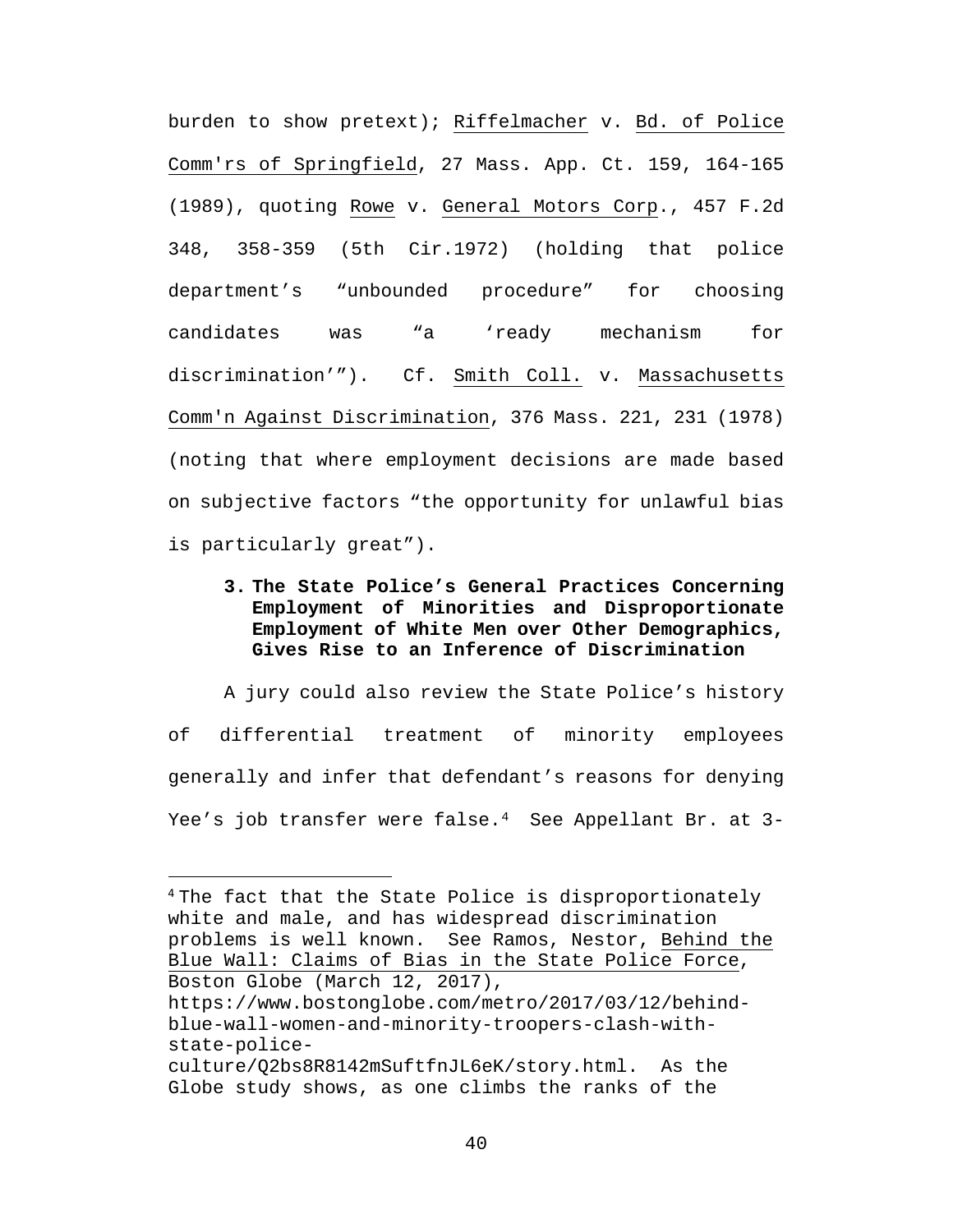burden to show pretext); Riffelmacher v. Bd. of Police Comm'rs of Springfield, 27 Mass. App. Ct. 159, 164-165 (1989), quoting Rowe v. General Motors Corp., 457 F.2d 348, 358-359 (5th Cir.1972) (holding that police department's "unbounded procedure" for choosing candidates was "a 'ready mechanism for discrimination'"). Cf. Smith Coll. v. Massachusetts Comm'n Against Discrimination, 376 Mass. 221, 231 (1978) (noting that where employment decisions are made based on subjective factors "the opportunity for unlawful bias is particularly great").

**3. The State Police's General Practices Concerning Employment of Minorities and Disproportionate Employment of White Men over Other Demographics, Gives Rise to an Inference of Discrimination** 

A jury could also review the State Police's history of differential treatment of minority employees generally and infer that defendant's reasons for denying Yee's job transfer were false.<sup>[4](#page--1-0)</sup> See Appellant Br. at 3-

- state-police-
- culture/Q2bs8R8142mSuftfnJL6eK/story.html. As the Globe study shows, as one climbs the ranks of the

<sup>&</sup>lt;sup>4</sup> The fact that the State Police is disproportionately white and male, and has widespread discrimination problems is well known. See Ramos, Nestor, Behind the Blue Wall: Claims of Bias in the State Police Force, Boston Globe (March 12, 2017), https://www.bostonglobe.com/metro/2017/03/12/behindblue-wall-women-and-minority-troopers-clash-with-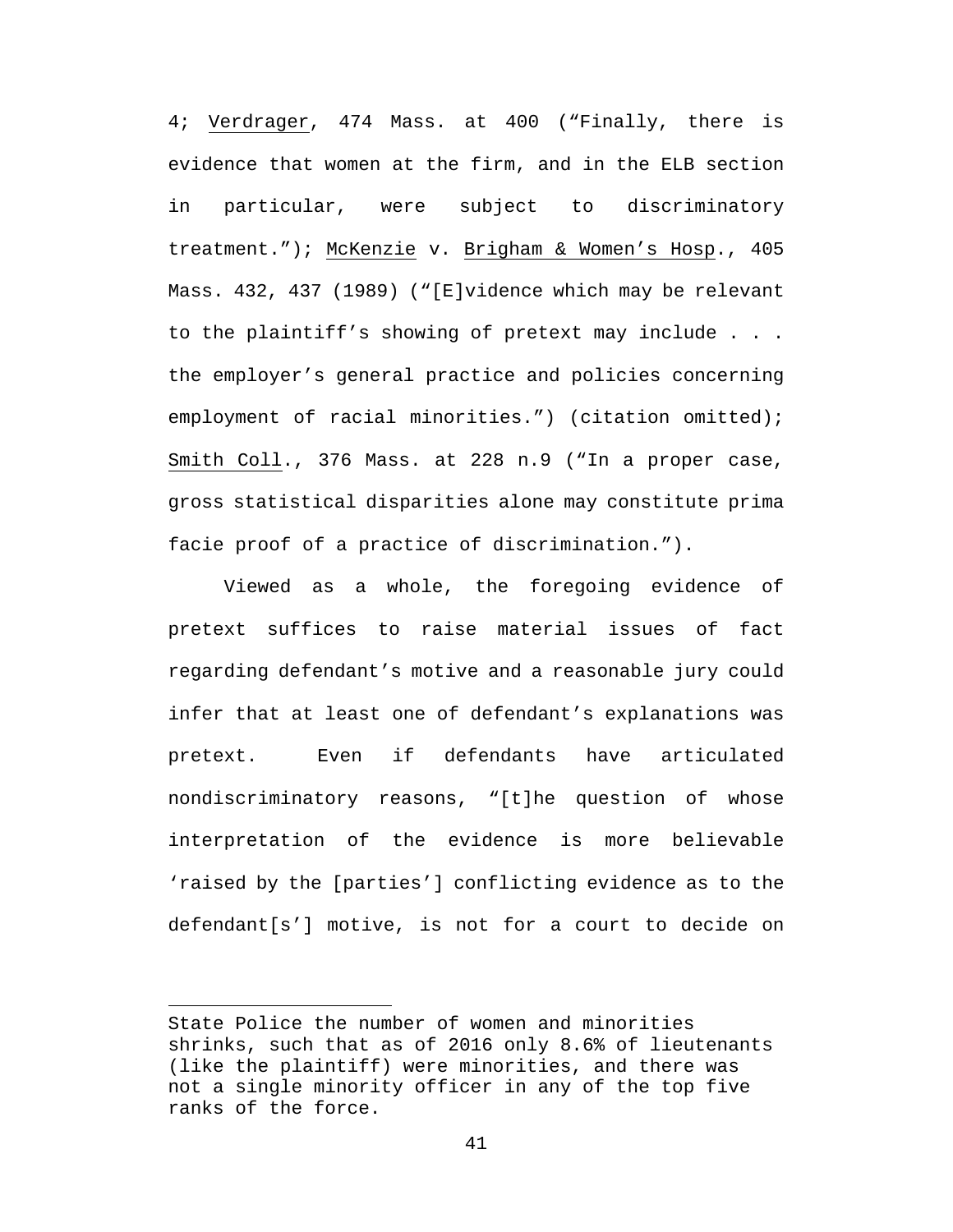4; Verdrager, 474 Mass. at 400 ("Finally, there is evidence that women at the firm, and in the ELB section in particular, were subject to discriminatory treatment."); McKenzie v. Brigham & Women's Hosp., 405 Mass. 432, 437 (1989) ("[E]vidence which may be relevant to the plaintiff's showing of pretext may include . . . the employer's general practice and policies concerning employment of racial minorities.") (citation omitted); Smith Coll., 376 Mass. at 228 n.9 ("In a proper case, gross statistical disparities alone may constitute prima facie proof of a practice of discrimination.").

Viewed as a whole, the foregoing evidence of pretext suffices to raise material issues of fact regarding defendant's motive and a reasonable jury could infer that at least one of defendant's explanations was pretext. Even if defendants have articulated nondiscriminatory reasons, "[t]he question of whose interpretation of the evidence is more believable 'raised by the [parties'] conflicting evidence as to the defendant[s'] motive, is not for a court to decide on

 $\overline{\phantom{a}}$ 

State Police the number of women and minorities shrinks, such that as of 2016 only 8.6% of lieutenants (like the plaintiff) were minorities, and there was not a single minority officer in any of the top five ranks of the force.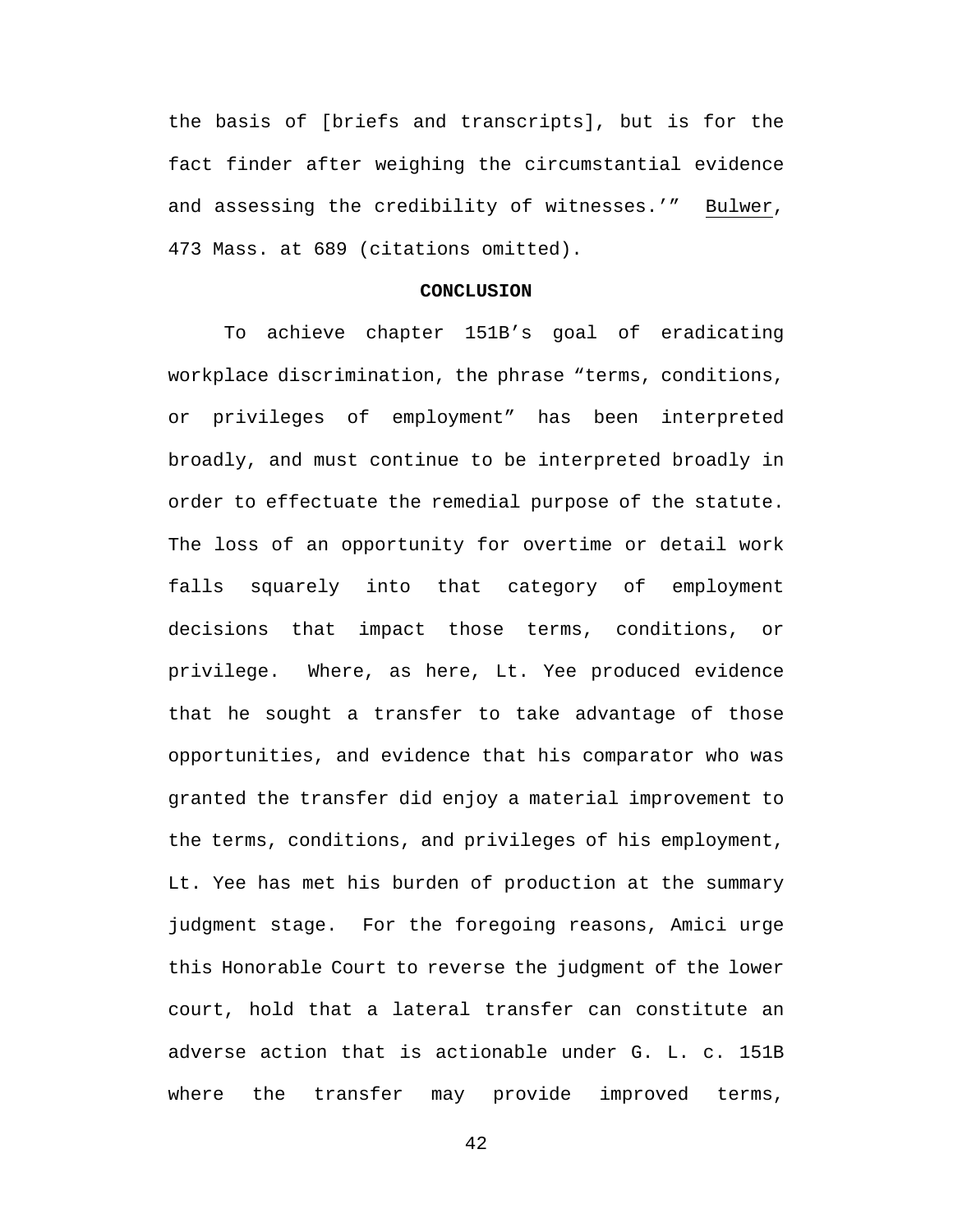the basis of [briefs and transcripts], but is for the fact finder after weighing the circumstantial evidence and assessing the credibility of witnesses.'" Bulwer, 473 Mass. at 689 (citations omitted).

#### **CONCLUSION**

To achieve chapter 151B's goal of eradicating workplace discrimination, the phrase "terms, conditions, or privileges of employment" has been interpreted broadly, and must continue to be interpreted broadly in order to effectuate the remedial purpose of the statute. The loss of an opportunity for overtime or detail work falls squarely into that category of employment decisions that impact those terms, conditions, or privilege. Where, as here, Lt. Yee produced evidence that he sought a transfer to take advantage of those opportunities, and evidence that his comparator who was granted the transfer did enjoy a material improvement to the terms, conditions, and privileges of his employment, Lt. Yee has met his burden of production at the summary judgment stage. For the foregoing reasons, Amici urge this Honorable Court to reverse the judgment of the lower court, hold that a lateral transfer can constitute an adverse action that is actionable under G. L. c. 151B where the transfer may provide improved terms,